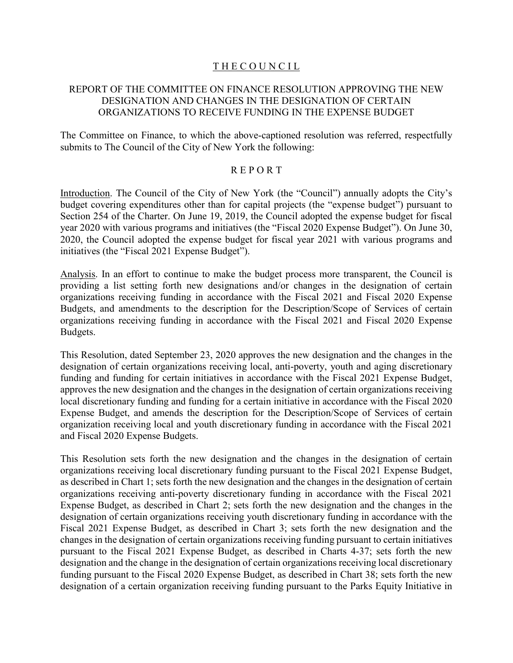# THE COUNCIL

# REPORT OF THE COMMITTEE ON FINANCE RESOLUTION APPROVING THE NEW DESIGNATION AND CHANGES IN THE DESIGNATION OF CERTAIN ORGANIZATIONS TO RECEIVE FUNDING IN THE EXPENSE BUDGET

The Committee on Finance, to which the above-captioned resolution was referred, respectfully submits to The Council of the City of New York the following:

## R E P O R T

Introduction. The Council of the City of New York (the "Council") annually adopts the City's budget covering expenditures other than for capital projects (the "expense budget") pursuant to Section 254 of the Charter. On June 19, 2019, the Council adopted the expense budget for fiscal year 2020 with various programs and initiatives (the "Fiscal 2020 Expense Budget"). On June 30, 2020, the Council adopted the expense budget for fiscal year 2021 with various programs and initiatives (the "Fiscal 2021 Expense Budget").

Analysis. In an effort to continue to make the budget process more transparent, the Council is providing a list setting forth new designations and/or changes in the designation of certain organizations receiving funding in accordance with the Fiscal 2021 and Fiscal 2020 Expense Budgets, and amendments to the description for the Description/Scope of Services of certain organizations receiving funding in accordance with the Fiscal 2021 and Fiscal 2020 Expense Budgets.

This Resolution, dated September 23, 2020 approves the new designation and the changes in the designation of certain organizations receiving local, anti-poverty, youth and aging discretionary funding and funding for certain initiatives in accordance with the Fiscal 2021 Expense Budget, approves the new designation and the changes in the designation of certain organizations receiving local discretionary funding and funding for a certain initiative in accordance with the Fiscal 2020 Expense Budget, and amends the description for the Description/Scope of Services of certain organization receiving local and youth discretionary funding in accordance with the Fiscal 2021 and Fiscal 2020 Expense Budgets.

This Resolution sets forth the new designation and the changes in the designation of certain organizations receiving local discretionary funding pursuant to the Fiscal 2021 Expense Budget, as described in Chart 1; sets forth the new designation and the changes in the designation of certain organizations receiving anti-poverty discretionary funding in accordance with the Fiscal 2021 Expense Budget, as described in Chart 2; sets forth the new designation and the changes in the designation of certain organizations receiving youth discretionary funding in accordance with the Fiscal 2021 Expense Budget, as described in Chart 3; sets forth the new designation and the changes in the designation of certain organizations receiving funding pursuant to certain initiatives pursuant to the Fiscal 2021 Expense Budget, as described in Charts 4-37; sets forth the new designation and the change in the designation of certain organizations receiving local discretionary funding pursuant to the Fiscal 2020 Expense Budget, as described in Chart 38; sets forth the new designation of a certain organization receiving funding pursuant to the Parks Equity Initiative in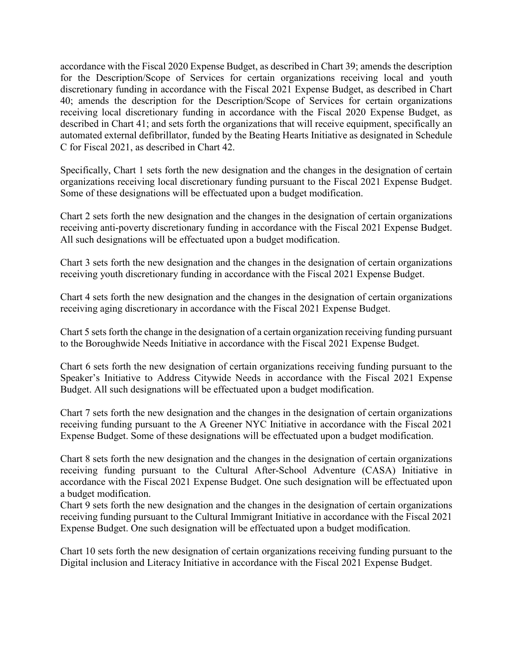accordance with the Fiscal 2020 Expense Budget, as described in Chart 39; amends the description for the Description/Scope of Services for certain organizations receiving local and youth discretionary funding in accordance with the Fiscal 2021 Expense Budget, as described in Chart 40; amends the description for the Description/Scope of Services for certain organizations receiving local discretionary funding in accordance with the Fiscal 2020 Expense Budget, as described in Chart 41; and sets forth the organizations that will receive equipment, specifically an automated external defibrillator, funded by the Beating Hearts Initiative as designated in Schedule C for Fiscal 2021, as described in Chart 42.

Specifically, Chart 1 sets forth the new designation and the changes in the designation of certain organizations receiving local discretionary funding pursuant to the Fiscal 2021 Expense Budget. Some of these designations will be effectuated upon a budget modification.

Chart 2 sets forth the new designation and the changes in the designation of certain organizations receiving anti-poverty discretionary funding in accordance with the Fiscal 2021 Expense Budget. All such designations will be effectuated upon a budget modification.

Chart 3 sets forth the new designation and the changes in the designation of certain organizations receiving youth discretionary funding in accordance with the Fiscal 2021 Expense Budget.

Chart 4 sets forth the new designation and the changes in the designation of certain organizations receiving aging discretionary in accordance with the Fiscal 2021 Expense Budget.

Chart 5 sets forth the change in the designation of a certain organization receiving funding pursuant to the Boroughwide Needs Initiative in accordance with the Fiscal 2021 Expense Budget.

Chart 6 sets forth the new designation of certain organizations receiving funding pursuant to the Speaker's Initiative to Address Citywide Needs in accordance with the Fiscal 2021 Expense Budget. All such designations will be effectuated upon a budget modification.

Chart 7 sets forth the new designation and the changes in the designation of certain organizations receiving funding pursuant to the A Greener NYC Initiative in accordance with the Fiscal 2021 Expense Budget. Some of these designations will be effectuated upon a budget modification.

Chart 8 sets forth the new designation and the changes in the designation of certain organizations receiving funding pursuant to the Cultural After-School Adventure (CASA) Initiative in accordance with the Fiscal 2021 Expense Budget. One such designation will be effectuated upon a budget modification.

Chart 9 sets forth the new designation and the changes in the designation of certain organizations receiving funding pursuant to the Cultural Immigrant Initiative in accordance with the Fiscal 2021 Expense Budget. One such designation will be effectuated upon a budget modification.

Chart 10 sets forth the new designation of certain organizations receiving funding pursuant to the Digital inclusion and Literacy Initiative in accordance with the Fiscal 2021 Expense Budget.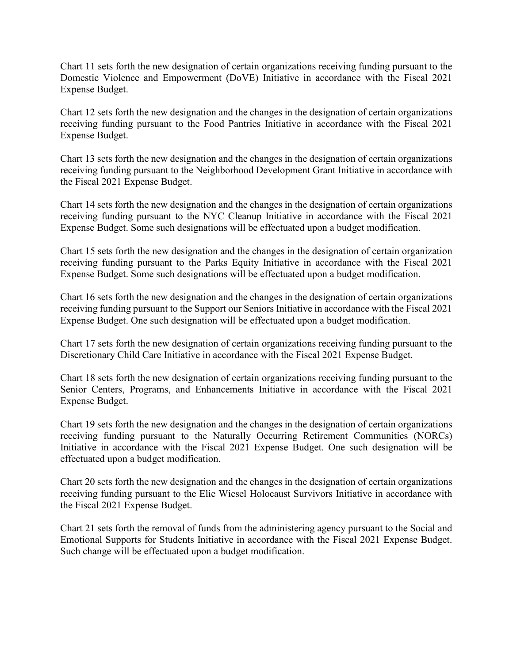Chart 11 sets forth the new designation of certain organizations receiving funding pursuant to the Domestic Violence and Empowerment (DoVE) Initiative in accordance with the Fiscal 2021 Expense Budget.

Chart 12 sets forth the new designation and the changes in the designation of certain organizations receiving funding pursuant to the Food Pantries Initiative in accordance with the Fiscal 2021 Expense Budget.

Chart 13 sets forth the new designation and the changes in the designation of certain organizations receiving funding pursuant to the Neighborhood Development Grant Initiative in accordance with the Fiscal 2021 Expense Budget.

Chart 14 sets forth the new designation and the changes in the designation of certain organizations receiving funding pursuant to the NYC Cleanup Initiative in accordance with the Fiscal 2021 Expense Budget. Some such designations will be effectuated upon a budget modification.

Chart 15 sets forth the new designation and the changes in the designation of certain organization receiving funding pursuant to the Parks Equity Initiative in accordance with the Fiscal 2021 Expense Budget. Some such designations will be effectuated upon a budget modification.

Chart 16 sets forth the new designation and the changes in the designation of certain organizations receiving funding pursuant to the Support our Seniors Initiative in accordance with the Fiscal 2021 Expense Budget. One such designation will be effectuated upon a budget modification.

Chart 17 sets forth the new designation of certain organizations receiving funding pursuant to the Discretionary Child Care Initiative in accordance with the Fiscal 2021 Expense Budget.

Chart 18 sets forth the new designation of certain organizations receiving funding pursuant to the Senior Centers, Programs, and Enhancements Initiative in accordance with the Fiscal 2021 Expense Budget.

Chart 19 sets forth the new designation and the changes in the designation of certain organizations receiving funding pursuant to the Naturally Occurring Retirement Communities (NORCs) Initiative in accordance with the Fiscal 2021 Expense Budget. One such designation will be effectuated upon a budget modification.

Chart 20 sets forth the new designation and the changes in the designation of certain organizations receiving funding pursuant to the Elie Wiesel Holocaust Survivors Initiative in accordance with the Fiscal 2021 Expense Budget.

Chart 21 sets forth the removal of funds from the administering agency pursuant to the Social and Emotional Supports for Students Initiative in accordance with the Fiscal 2021 Expense Budget. Such change will be effectuated upon a budget modification.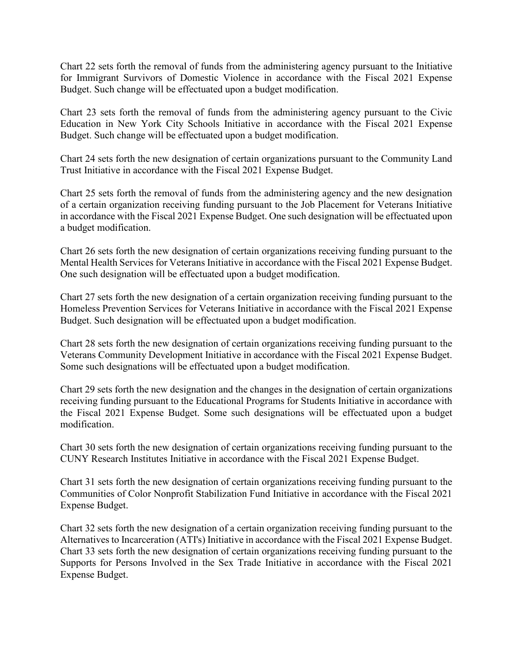Chart 22 sets forth the removal of funds from the administering agency pursuant to the Initiative for Immigrant Survivors of Domestic Violence in accordance with the Fiscal 2021 Expense Budget. Such change will be effectuated upon a budget modification.

Chart 23 sets forth the removal of funds from the administering agency pursuant to the Civic Education in New York City Schools Initiative in accordance with the Fiscal 2021 Expense Budget. Such change will be effectuated upon a budget modification.

Chart 24 sets forth the new designation of certain organizations pursuant to the Community Land Trust Initiative in accordance with the Fiscal 2021 Expense Budget.

Chart 25 sets forth the removal of funds from the administering agency and the new designation of a certain organization receiving funding pursuant to the Job Placement for Veterans Initiative in accordance with the Fiscal 2021 Expense Budget. One such designation will be effectuated upon a budget modification.

Chart 26 sets forth the new designation of certain organizations receiving funding pursuant to the Mental Health Services for Veterans Initiative in accordance with the Fiscal 2021 Expense Budget. One such designation will be effectuated upon a budget modification.

Chart 27 sets forth the new designation of a certain organization receiving funding pursuant to the Homeless Prevention Services for Veterans Initiative in accordance with the Fiscal 2021 Expense Budget. Such designation will be effectuated upon a budget modification.

Chart 28 sets forth the new designation of certain organizations receiving funding pursuant to the Veterans Community Development Initiative in accordance with the Fiscal 2021 Expense Budget. Some such designations will be effectuated upon a budget modification.

Chart 29 sets forth the new designation and the changes in the designation of certain organizations receiving funding pursuant to the Educational Programs for Students Initiative in accordance with the Fiscal 2021 Expense Budget. Some such designations will be effectuated upon a budget modification.

Chart 30 sets forth the new designation of certain organizations receiving funding pursuant to the CUNY Research Institutes Initiative in accordance with the Fiscal 2021 Expense Budget.

Chart 31 sets forth the new designation of certain organizations receiving funding pursuant to the Communities of Color Nonprofit Stabilization Fund Initiative in accordance with the Fiscal 2021 Expense Budget.

Chart 32 sets forth the new designation of a certain organization receiving funding pursuant to the Alternatives to Incarceration (ATI's) Initiative in accordance with the Fiscal 2021 Expense Budget. Chart 33 sets forth the new designation of certain organizations receiving funding pursuant to the Supports for Persons Involved in the Sex Trade Initiative in accordance with the Fiscal 2021 Expense Budget.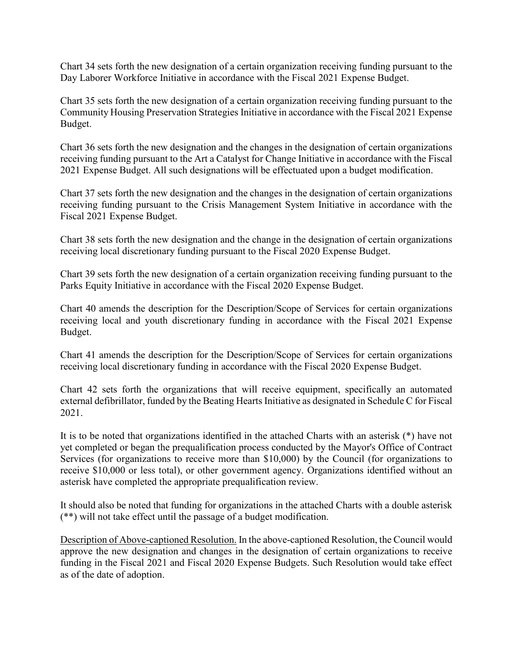Chart 34 sets forth the new designation of a certain organization receiving funding pursuant to the Day Laborer Workforce Initiative in accordance with the Fiscal 2021 Expense Budget.

Chart 35 sets forth the new designation of a certain organization receiving funding pursuant to the Community Housing Preservation Strategies Initiative in accordance with the Fiscal 2021 Expense Budget.

Chart 36 sets forth the new designation and the changes in the designation of certain organizations receiving funding pursuant to the Art a Catalyst for Change Initiative in accordance with the Fiscal 2021 Expense Budget. All such designations will be effectuated upon a budget modification.

Chart 37 sets forth the new designation and the changes in the designation of certain organizations receiving funding pursuant to the Crisis Management System Initiative in accordance with the Fiscal 2021 Expense Budget.

Chart 38 sets forth the new designation and the change in the designation of certain organizations receiving local discretionary funding pursuant to the Fiscal 2020 Expense Budget.

Chart 39 sets forth the new designation of a certain organization receiving funding pursuant to the Parks Equity Initiative in accordance with the Fiscal 2020 Expense Budget.

Chart 40 amends the description for the Description/Scope of Services for certain organizations receiving local and youth discretionary funding in accordance with the Fiscal 2021 Expense Budget.

Chart 41 amends the description for the Description/Scope of Services for certain organizations receiving local discretionary funding in accordance with the Fiscal 2020 Expense Budget.

Chart 42 sets forth the organizations that will receive equipment, specifically an automated external defibrillator, funded by the Beating Hearts Initiative as designated in Schedule C for Fiscal 2021.

It is to be noted that organizations identified in the attached Charts with an asterisk (\*) have not yet completed or began the prequalification process conducted by the Mayor's Office of Contract Services (for organizations to receive more than \$10,000) by the Council (for organizations to receive \$10,000 or less total), or other government agency. Organizations identified without an asterisk have completed the appropriate prequalification review.

It should also be noted that funding for organizations in the attached Charts with a double asterisk (\*\*) will not take effect until the passage of a budget modification.

Description of Above-captioned Resolution. In the above-captioned Resolution, the Council would approve the new designation and changes in the designation of certain organizations to receive funding in the Fiscal 2021 and Fiscal 2020 Expense Budgets. Such Resolution would take effect as of the date of adoption.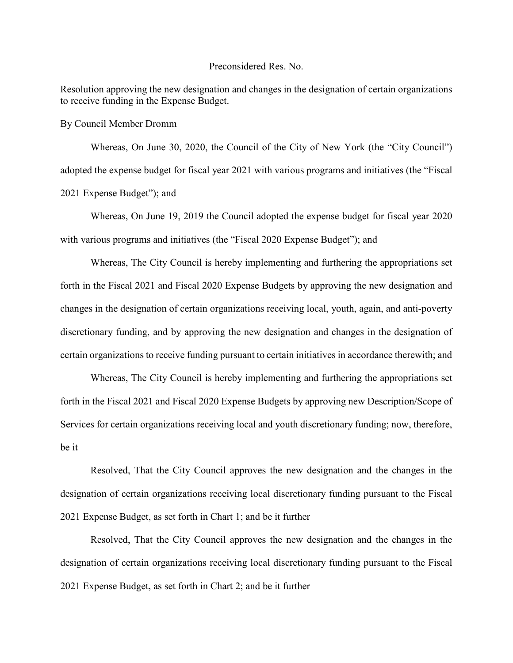### Preconsidered Res. No.

Resolution approving the new designation and changes in the designation of certain organizations to receive funding in the Expense Budget.

By Council Member Dromm

Whereas, On June 30, 2020, the Council of the City of New York (the "City Council") adopted the expense budget for fiscal year 2021 with various programs and initiatives (the "Fiscal 2021 Expense Budget"); and

Whereas, On June 19, 2019 the Council adopted the expense budget for fiscal year 2020 with various programs and initiatives (the "Fiscal 2020 Expense Budget"); and

Whereas, The City Council is hereby implementing and furthering the appropriations set forth in the Fiscal 2021 and Fiscal 2020 Expense Budgets by approving the new designation and changes in the designation of certain organizations receiving local, youth, again, and anti-poverty discretionary funding, and by approving the new designation and changes in the designation of certain organizations to receive funding pursuant to certain initiatives in accordance therewith; and

Whereas, The City Council is hereby implementing and furthering the appropriations set forth in the Fiscal 2021 and Fiscal 2020 Expense Budgets by approving new Description/Scope of Services for certain organizations receiving local and youth discretionary funding; now, therefore, be it

Resolved, That the City Council approves the new designation and the changes in the designation of certain organizations receiving local discretionary funding pursuant to the Fiscal 2021 Expense Budget, as set forth in Chart 1; and be it further

Resolved, That the City Council approves the new designation and the changes in the designation of certain organizations receiving local discretionary funding pursuant to the Fiscal 2021 Expense Budget, as set forth in Chart 2; and be it further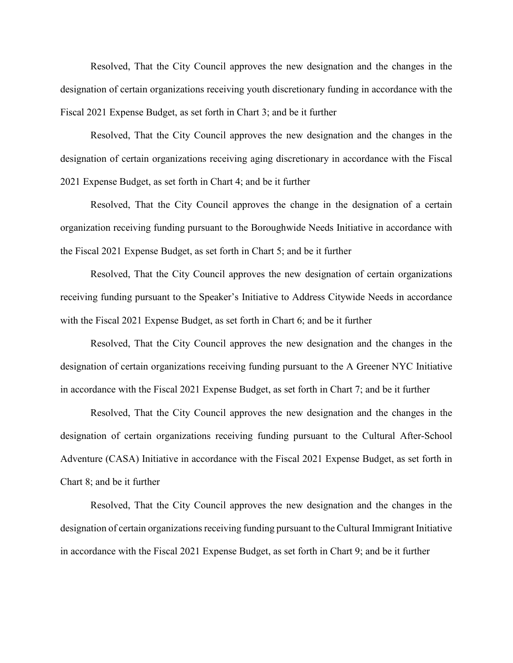Resolved, That the City Council approves the new designation and the changes in the designation of certain organizations receiving youth discretionary funding in accordance with the Fiscal 2021 Expense Budget, as set forth in Chart 3; and be it further

Resolved, That the City Council approves the new designation and the changes in the designation of certain organizations receiving aging discretionary in accordance with the Fiscal 2021 Expense Budget, as set forth in Chart 4; and be it further

Resolved, That the City Council approves the change in the designation of a certain organization receiving funding pursuant to the Boroughwide Needs Initiative in accordance with the Fiscal 2021 Expense Budget, as set forth in Chart 5; and be it further

Resolved, That the City Council approves the new designation of certain organizations receiving funding pursuant to the Speaker's Initiative to Address Citywide Needs in accordance with the Fiscal 2021 Expense Budget, as set forth in Chart 6; and be it further

Resolved, That the City Council approves the new designation and the changes in the designation of certain organizations receiving funding pursuant to the A Greener NYC Initiative in accordance with the Fiscal 2021 Expense Budget, as set forth in Chart 7; and be it further

Resolved, That the City Council approves the new designation and the changes in the designation of certain organizations receiving funding pursuant to the Cultural After-School Adventure (CASA) Initiative in accordance with the Fiscal 2021 Expense Budget, as set forth in Chart 8; and be it further

Resolved, That the City Council approves the new designation and the changes in the designation of certain organizations receiving funding pursuant to the Cultural Immigrant Initiative in accordance with the Fiscal 2021 Expense Budget, as set forth in Chart 9; and be it further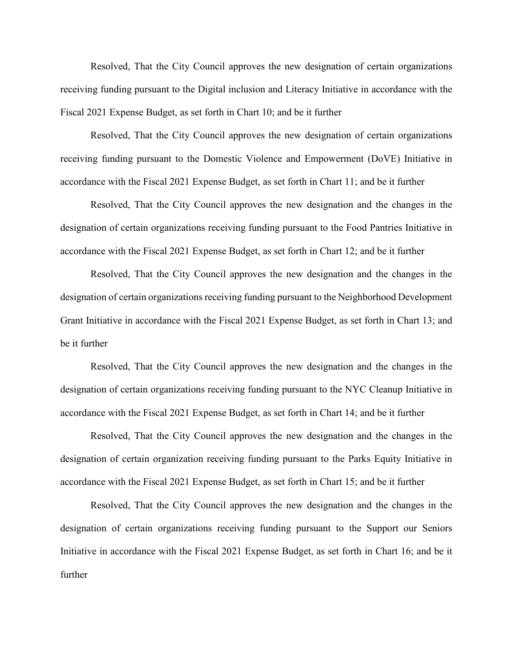Resolved, That the City Council approves the new designation of certain organizations receiving funding pursuant to the Digital inclusion and Literacy Initiative in accordance with the Fiscal 2021 Expense Budget, as set forth in Chart 10; and be it further

Resolved, That the City Council approves the new designation of certain organizations receiving funding pursuant to the Domestic Violence and Empowerment (DoVE) Initiative in accordance with the Fiscal 2021 Expense Budget, as set forth in Chart 11; and be it further

Resolved, That the City Council approves the new designation and the changes in the designation of certain organizations receiving funding pursuant to the Food Pantries Initiative in accordance with the Fiscal 2021 Expense Budget, as set forth in Chart 12; and be it further

Resolved, That the City Council approves the new designation and the changes in the designation of certain organizations receiving funding pursuant to the Neighborhood Development Grant Initiative in accordance with the Fiscal 2021 Expense Budget, as set forth in Chart 13; and be it further

Resolved, That the City Council approves the new designation and the changes in the designation of certain organizations receiving funding pursuant to the NYC Cleanup Initiative in accordance with the Fiscal 2021 Expense Budget, as set forth in Chart 14; and be it further

Resolved, That the City Council approves the new designation and the changes in the designation of certain organization receiving funding pursuant to the Parks Equity Initiative in accordance with the Fiscal 2021 Expense Budget, as set forth in Chart 15; and be it further

Resolved, That the City Council approves the new designation and the changes in the designation of certain organizations receiving funding pursuant to the Support our Seniors Initiative in accordance with the Fiscal 2021 Expense Budget, as set forth in Chart 16; and be it further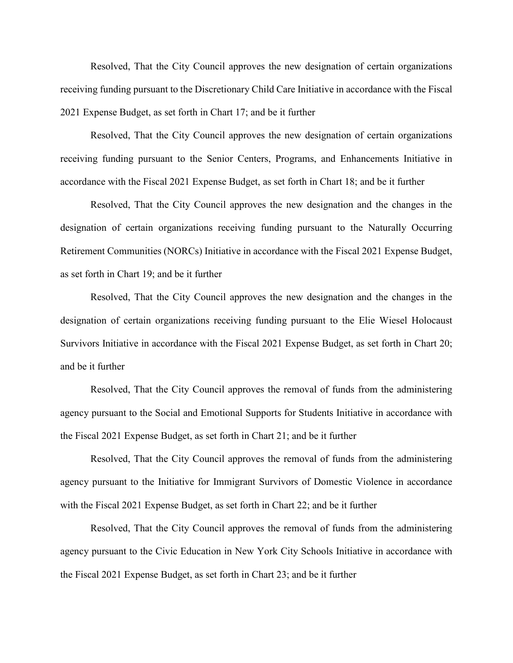Resolved, That the City Council approves the new designation of certain organizations receiving funding pursuant to the Discretionary Child Care Initiative in accordance with the Fiscal 2021 Expense Budget, as set forth in Chart 17; and be it further

Resolved, That the City Council approves the new designation of certain organizations receiving funding pursuant to the Senior Centers, Programs, and Enhancements Initiative in accordance with the Fiscal 2021 Expense Budget, as set forth in Chart 18; and be it further

Resolved, That the City Council approves the new designation and the changes in the designation of certain organizations receiving funding pursuant to the Naturally Occurring Retirement Communities (NORCs) Initiative in accordance with the Fiscal 2021 Expense Budget, as set forth in Chart 19; and be it further

Resolved, That the City Council approves the new designation and the changes in the designation of certain organizations receiving funding pursuant to the Elie Wiesel Holocaust Survivors Initiative in accordance with the Fiscal 2021 Expense Budget, as set forth in Chart 20; and be it further

Resolved, That the City Council approves the removal of funds from the administering agency pursuant to the Social and Emotional Supports for Students Initiative in accordance with the Fiscal 2021 Expense Budget, as set forth in Chart 21; and be it further

Resolved, That the City Council approves the removal of funds from the administering agency pursuant to the Initiative for Immigrant Survivors of Domestic Violence in accordance with the Fiscal 2021 Expense Budget, as set forth in Chart 22; and be it further

Resolved, That the City Council approves the removal of funds from the administering agency pursuant to the Civic Education in New York City Schools Initiative in accordance with the Fiscal 2021 Expense Budget, as set forth in Chart 23; and be it further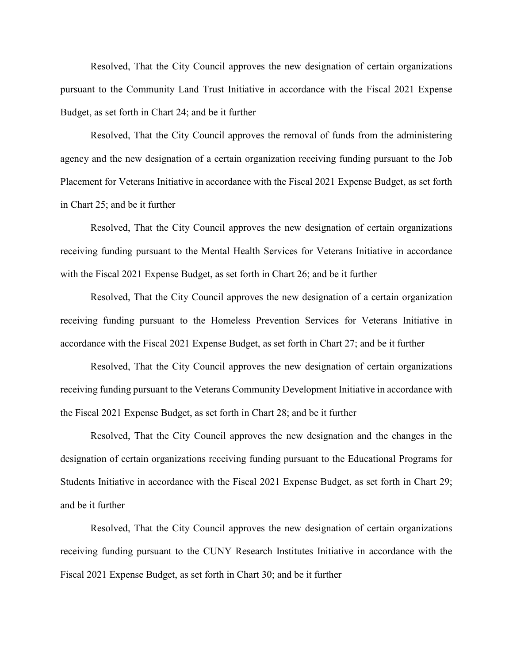Resolved, That the City Council approves the new designation of certain organizations pursuant to the Community Land Trust Initiative in accordance with the Fiscal 2021 Expense Budget, as set forth in Chart 24; and be it further

Resolved, That the City Council approves the removal of funds from the administering agency and the new designation of a certain organization receiving funding pursuant to the Job Placement for Veterans Initiative in accordance with the Fiscal 2021 Expense Budget, as set forth in Chart 25; and be it further

Resolved, That the City Council approves the new designation of certain organizations receiving funding pursuant to the Mental Health Services for Veterans Initiative in accordance with the Fiscal 2021 Expense Budget, as set forth in Chart 26; and be it further

Resolved, That the City Council approves the new designation of a certain organization receiving funding pursuant to the Homeless Prevention Services for Veterans Initiative in accordance with the Fiscal 2021 Expense Budget, as set forth in Chart 27; and be it further

Resolved, That the City Council approves the new designation of certain organizations receiving funding pursuant to the Veterans Community Development Initiative in accordance with the Fiscal 2021 Expense Budget, as set forth in Chart 28; and be it further

Resolved, That the City Council approves the new designation and the changes in the designation of certain organizations receiving funding pursuant to the Educational Programs for Students Initiative in accordance with the Fiscal 2021 Expense Budget, as set forth in Chart 29; and be it further

Resolved, That the City Council approves the new designation of certain organizations receiving funding pursuant to the CUNY Research Institutes Initiative in accordance with the Fiscal 2021 Expense Budget, as set forth in Chart 30; and be it further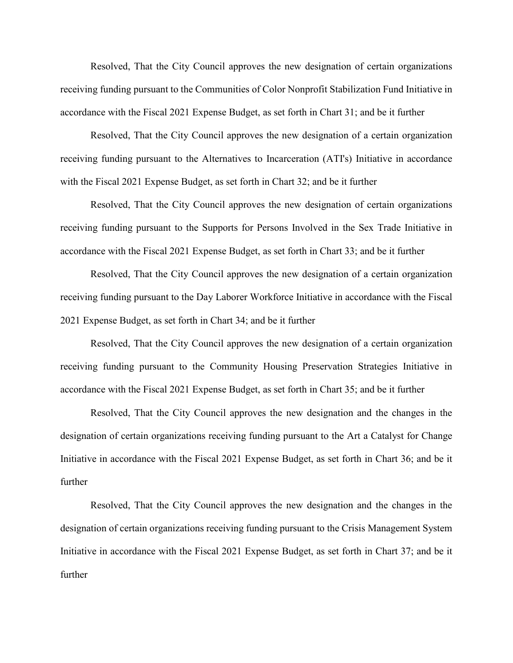Resolved, That the City Council approves the new designation of certain organizations receiving funding pursuant to the Communities of Color Nonprofit Stabilization Fund Initiative in accordance with the Fiscal 2021 Expense Budget, as set forth in Chart 31; and be it further

Resolved, That the City Council approves the new designation of a certain organization receiving funding pursuant to the Alternatives to Incarceration (ATI's) Initiative in accordance with the Fiscal 2021 Expense Budget, as set forth in Chart 32; and be it further

Resolved, That the City Council approves the new designation of certain organizations receiving funding pursuant to the Supports for Persons Involved in the Sex Trade Initiative in accordance with the Fiscal 2021 Expense Budget, as set forth in Chart 33; and be it further

Resolved, That the City Council approves the new designation of a certain organization receiving funding pursuant to the Day Laborer Workforce Initiative in accordance with the Fiscal 2021 Expense Budget, as set forth in Chart 34; and be it further

Resolved, That the City Council approves the new designation of a certain organization receiving funding pursuant to the Community Housing Preservation Strategies Initiative in accordance with the Fiscal 2021 Expense Budget, as set forth in Chart 35; and be it further

Resolved, That the City Council approves the new designation and the changes in the designation of certain organizations receiving funding pursuant to the Art a Catalyst for Change Initiative in accordance with the Fiscal 2021 Expense Budget, as set forth in Chart 36; and be it further

Resolved, That the City Council approves the new designation and the changes in the designation of certain organizations receiving funding pursuant to the Crisis Management System Initiative in accordance with the Fiscal 2021 Expense Budget, as set forth in Chart 37; and be it further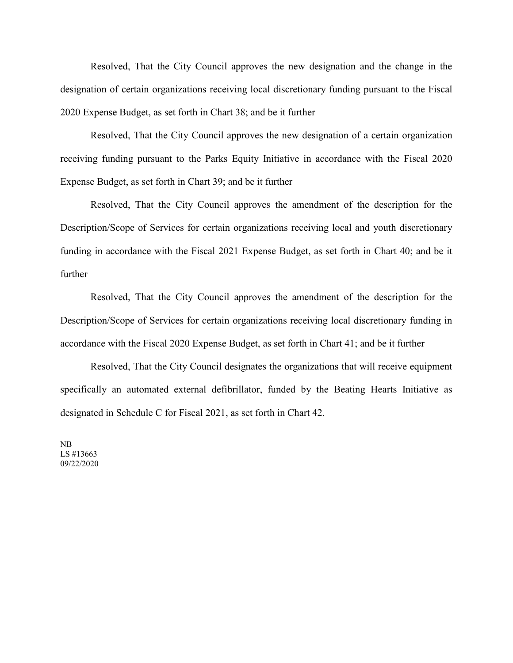Resolved, That the City Council approves the new designation and the change in the designation of certain organizations receiving local discretionary funding pursuant to the Fiscal 2020 Expense Budget, as set forth in Chart 38; and be it further

Resolved, That the City Council approves the new designation of a certain organization receiving funding pursuant to the Parks Equity Initiative in accordance with the Fiscal 2020 Expense Budget, as set forth in Chart 39; and be it further

Resolved, That the City Council approves the amendment of the description for the Description/Scope of Services for certain organizations receiving local and youth discretionary funding in accordance with the Fiscal 2021 Expense Budget, as set forth in Chart 40; and be it further

Resolved, That the City Council approves the amendment of the description for the Description/Scope of Services for certain organizations receiving local discretionary funding in accordance with the Fiscal 2020 Expense Budget, as set forth in Chart 41; and be it further

Resolved, That the City Council designates the organizations that will receive equipment specifically an automated external defibrillator, funded by the Beating Hearts Initiative as designated in Schedule C for Fiscal 2021, as set forth in Chart 42.

NB LS #13663 09/22/2020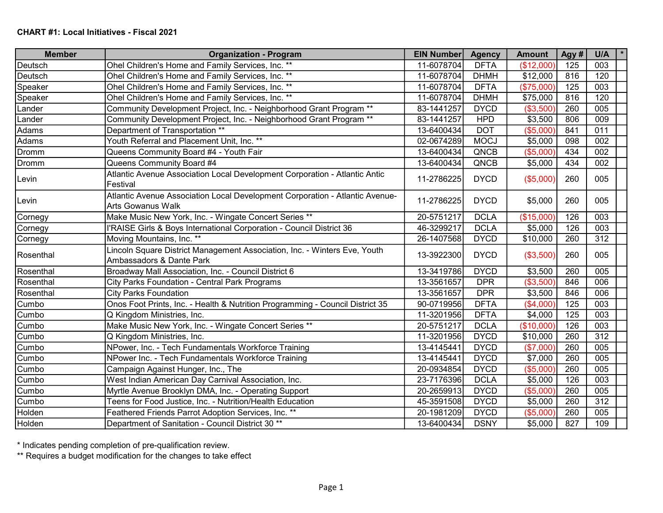| <b>Member</b> | <b>Organization - Program</b>                                                                            | <b>EIN Number</b> | <b>Agency</b> | <b>Amount</b> | Agy# | U/A |  |
|---------------|----------------------------------------------------------------------------------------------------------|-------------------|---------------|---------------|------|-----|--|
| Deutsch       | Ohel Children's Home and Family Services, Inc. **                                                        | 11-6078704        | <b>DFTA</b>   | (\$12,000)    | 125  | 003 |  |
| Deutsch       | Ohel Children's Home and Family Services, Inc. **                                                        | 11-6078704        | <b>DHMH</b>   | \$12,000      | 816  | 120 |  |
| Speaker       | Ohel Children's Home and Family Services, Inc. **                                                        | 11-6078704        | <b>DFTA</b>   | (\$75,000     | 125  | 003 |  |
| Speaker       | Ohel Children's Home and Family Services, Inc. **                                                        | 11-6078704        | <b>DHMH</b>   | \$75,000      | 816  | 120 |  |
| Lander        | Community Development Project, Inc. - Neighborhood Grant Program **                                      | 83-1441257        | <b>DYCD</b>   | (\$3,500      | 260  | 005 |  |
| Lander        | Community Development Project, Inc. - Neighborhood Grant Program **                                      | 83-1441257        | <b>HPD</b>    | \$3,500       | 806  | 009 |  |
| Adams         | Department of Transportation **                                                                          | 13-6400434        | <b>DOT</b>    | (\$5,000      | 841  | 011 |  |
| Adams         | Youth Referral and Placement Unit, Inc. **                                                               | 02-0674289        | <b>MOCJ</b>   | \$5,000       | 098  | 002 |  |
| Dromm         | Queens Community Board #4 - Youth Fair                                                                   | 13-6400434        | QNCB          | (\$5,000      | 434  | 002 |  |
| Dromm         | Queens Community Board #4                                                                                | 13-6400434        | QNCB          | \$5,000       | 434  | 002 |  |
| Levin         | Atlantic Avenue Association Local Development Corporation - Atlantic Antic<br>Festival                   | 11-2786225        | <b>DYCD</b>   | (\$5,000)     | 260  | 005 |  |
| Levin         | Atlantic Avenue Association Local Development Corporation - Atlantic Avenue-<br><b>Arts Gowanus Walk</b> | 11-2786225        | <b>DYCD</b>   | \$5,000       | 260  | 005 |  |
| Cornegy       | Make Music New York, Inc. - Wingate Concert Series **                                                    | 20-5751217        | <b>DCLA</b>   | (\$15,000     | 126  | 003 |  |
| Cornegy       | l'RAISE Girls & Boys International Corporation - Council District 36                                     | 46-3299217        | <b>DCLA</b>   | \$5,000       | 126  | 003 |  |
| Cornegy       | Moving Mountains, Inc. **                                                                                | 26-1407568        | <b>DYCD</b>   | \$10,000      | 260  | 312 |  |
| Rosenthal     | Lincoln Square District Management Association, Inc. - Winters Eve, Youth<br>Ambassadors & Dante Park    | 13-3922300        | <b>DYCD</b>   | (\$3,500)     | 260  | 005 |  |
| Rosenthal     | Broadway Mall Association, Inc. - Council District 6                                                     | 13-3419786        | <b>DYCD</b>   | \$3,500       | 260  | 005 |  |
| Rosenthal     | City Parks Foundation - Central Park Programs                                                            | 13-3561657        | <b>DPR</b>    | (\$3,500      | 846  | 006 |  |
| Rosenthal     | <b>City Parks Foundation</b>                                                                             | 13-3561657        | <b>DPR</b>    | \$3,500       | 846  | 006 |  |
| Cumbo         | Onos Foot Prints, Inc. - Health & Nutrition Programming - Council District 35                            | 90-0719956        | <b>DFTA</b>   | (\$4,000      | 125  | 003 |  |
| Cumbo         | Q Kingdom Ministries, Inc.                                                                               | 11-3201956        | <b>DFTA</b>   | \$4,000       | 125  | 003 |  |
| Cumbo         | Make Music New York, Inc. - Wingate Concert Series **                                                    | 20-5751217        | <b>DCLA</b>   | (\$10,000)    | 126  | 003 |  |
| Cumbo         | Q Kingdom Ministries, Inc.                                                                               | 11-3201956        | <b>DYCD</b>   | \$10,000      | 260  | 312 |  |
| Cumbo         | NPower, Inc. - Tech Fundamentals Workforce Training                                                      | 13-4145441        | <b>DYCD</b>   | (\$7,000      | 260  | 005 |  |
| Cumbo         | NPower Inc. - Tech Fundamentals Workforce Training                                                       | 13-4145441        | <b>DYCD</b>   | \$7,000       | 260  | 005 |  |
| Cumbo         | Campaign Against Hunger, Inc., The                                                                       | 20-0934854        | <b>DYCD</b>   | (\$5,000      | 260  | 005 |  |
| Cumbo         | West Indian American Day Carnival Association, Inc.                                                      | 23-7176396        | <b>DCLA</b>   | \$5,000       | 126  | 003 |  |
| Cumbo         | Myrtle Avenue Brooklyn DMA, Inc. - Operating Support                                                     | 20-2659913        | <b>DYCD</b>   | (\$5,000      | 260  | 005 |  |
| Cumbo         | Teens for Food Justice, Inc. - Nutrition/Health Education                                                | 45-3591508        | <b>DYCD</b>   | \$5,000       | 260  | 312 |  |
| Holden        | Feathered Friends Parrot Adoption Services, Inc. **                                                      | 20-1981209        | <b>DYCD</b>   | (\$5,000      | 260  | 005 |  |
| Holden        | Department of Sanitation - Council District 30 <sup>**</sup>                                             | 13-6400434        | <b>DSNY</b>   | \$5,000       | 827  | 109 |  |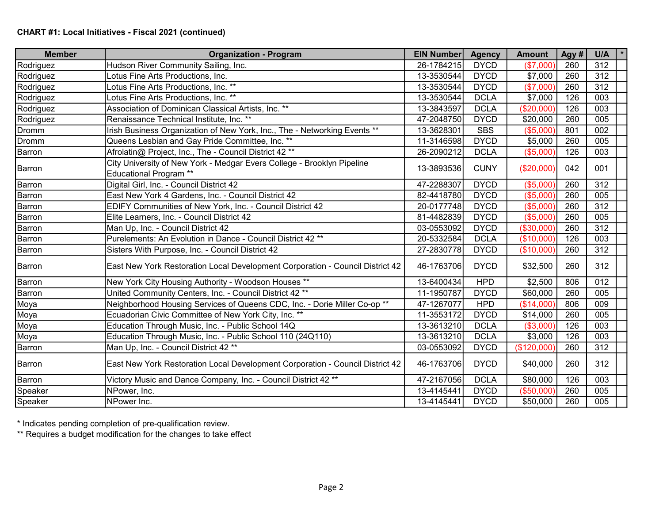| <b>Member</b> | <b>Organization - Program</b>                                                                           | <b>EIN Number</b> | <b>Agency</b> | <b>Amount</b> | Agy# | U/A              |
|---------------|---------------------------------------------------------------------------------------------------------|-------------------|---------------|---------------|------|------------------|
| Rodriguez     | Hudson River Community Sailing, Inc.                                                                    | 26-1784215        | <b>DYCD</b>   | (\$7,000      | 260  | 312              |
| Rodriguez     | Lotus Fine Arts Productions, Inc.                                                                       | 13-3530544        | <b>DYCD</b>   | \$7,000       | 260  | 312              |
| Rodriguez     | Lotus Fine Arts Productions, Inc. **                                                                    | 13-3530544        | <b>DYCD</b>   | (\$7,000      | 260  | 312              |
| Rodriguez     | Lotus Fine Arts Productions, Inc. **                                                                    | 13-3530544        | <b>DCLA</b>   | \$7,000       | 126  | 003              |
| Rodriguez     | Association of Dominican Classical Artists, Inc. **                                                     | 13-3843597        | <b>DCLA</b>   | (\$20,000     | 126  | 003              |
| Rodriguez     | Renaissance Technical Institute, Inc. **                                                                | 47-2048750        | <b>DYCD</b>   | \$20,000      | 260  | 005              |
| Dromm         | Irish Business Organization of New York, Inc., The - Networking Events **                               | 13-3628301        | <b>SBS</b>    | (\$5,000      | 801  | 002              |
| Dromm         | Queens Lesbian and Gay Pride Committee, Inc. **                                                         | 11-3146598        | <b>DYCD</b>   | \$5,000       | 260  | 005              |
| Barron        | Afrolatin@ Project, Inc., The - Council District 42 **                                                  | 26-2090212        | <b>DCLA</b>   | (\$5,000      | 126  | 003              |
| Barron        | City University of New York - Medgar Evers College - Brooklyn Pipeline<br><b>Educational Program **</b> | 13-3893536        | <b>CUNY</b>   | (\$20,000)    | 042  | 001              |
| Barron        | Digital Girl, Inc. - Council District 42                                                                | 47-2288307        | <b>DYCD</b>   | (\$5,000      | 260  | 312              |
| Barron        | East New York 4 Gardens, Inc. - Council District 42                                                     | 82-4418780        | <b>DYCD</b>   | (\$5,000      | 260  | 005              |
| Barron        | EDIFY Communities of New York, Inc. - Council District 42                                               | 20-0177748        | <b>DYCD</b>   | (\$5,000      | 260  | 312              |
| Barron        | Elite Learners, Inc. - Council District 42                                                              | 81-4482839        | <b>DYCD</b>   | (\$5,000      | 260  | 005              |
| Barron        | Man Up, Inc. - Council District 42                                                                      | 03-0553092        | <b>DYCD</b>   | (\$30,000     | 260  | 312              |
| Barron        | Purelements: An Evolution in Dance - Council District 42 **                                             | 20-5332584        | <b>DCLA</b>   | (\$10,000     | 126  | 003              |
| Barron        | Sisters With Purpose, Inc. - Council District 42                                                        | 27-2830778        | <b>DYCD</b>   | (\$10,000     | 260  | 312              |
| Barron        | East New York Restoration Local Development Corporation - Council District 42                           | 46-1763706        | <b>DYCD</b>   | \$32,500      | 260  | 312              |
| Barron        | New York City Housing Authority - Woodson Houses **                                                     | 13-6400434        | <b>HPD</b>    | \$2,500       | 806  | $\overline{012}$ |
| Barron        | United Community Centers, Inc. - Council District 42 **                                                 | 11-1950787        | <b>DYCD</b>   | \$60,000      | 260  | 005              |
| Moya          | Neighborhood Housing Services of Queens CDC, Inc. - Dorie Miller Co-op **                               | 47-1267077        | <b>HPD</b>    | (\$14,000     | 806  | 009              |
| Moya          | Ecuadorian Civic Committee of New York City, Inc. **                                                    | 11-3553172        | <b>DYCD</b>   | \$14,000      | 260  | 005              |
| Moya          | Education Through Music, Inc. - Public School 14Q                                                       | 13-3613210        | <b>DCLA</b>   | (\$3,000      | 126  | $\overline{003}$ |
| Moya          | Education Through Music, Inc. - Public School 110 (24Q110)                                              | 13-3613210        | <b>DCLA</b>   | \$3,000       | 126  | 003              |
| Barron        | Man Up, Inc. - Council District 42 **                                                                   | 03-0553092        | <b>DYCD</b>   | (\$120,000]   | 260  | 312              |
| Barron        | East New York Restoration Local Development Corporation - Council District 42                           | 46-1763706        | <b>DYCD</b>   | \$40,000      | 260  | 312              |
| Barron        | Victory Music and Dance Company, Inc. - Council District 42 **                                          | 47-2167056        | <b>DCLA</b>   | \$80,000      | 126  | 003              |
| Speaker       | NPower, Inc.                                                                                            | 13-4145441        | <b>DYCD</b>   | (\$50,000     | 260  | 005              |
| Speaker       | NPower Inc.                                                                                             | 13-4145441        | <b>DYCD</b>   | \$50,000      | 260  | 005              |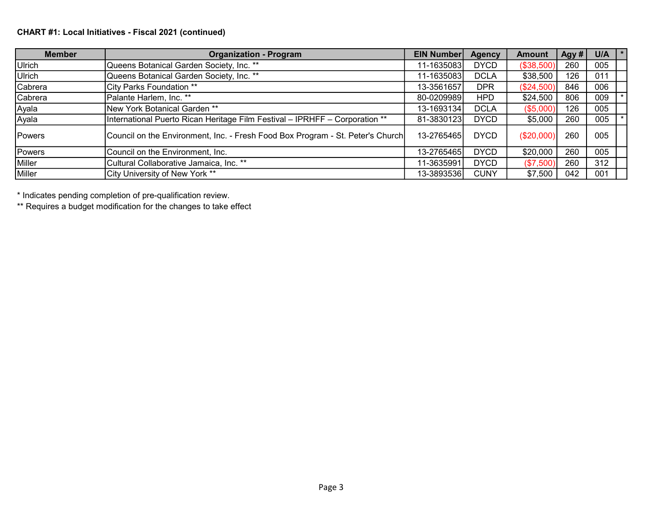## CHART #1: Local Initiatives - Fiscal 2021 (continued)

| <b>Member</b> | <b>Organization - Program</b>                                                  | <b>EIN Number</b> | <b>Agency</b> | <b>Amount</b> | Agy # | U/A |  |
|---------------|--------------------------------------------------------------------------------|-------------------|---------------|---------------|-------|-----|--|
| Ulrich        | Queens Botanical Garden Society, Inc. **                                       | 11-1635083        | <b>DYCD</b>   | (\$38,500)    | 260   | 005 |  |
| Ulrich        | Queens Botanical Garden Society, Inc. **                                       | 11-1635083        | <b>DCLA</b>   | \$38,500      | 126   | 011 |  |
| Cabrera       | City Parks Foundation **                                                       | 13-3561657        | <b>DPR</b>    | (\$24,500)    | 846   | 006 |  |
| Cabrera       | Palante Harlem, Inc. **                                                        | 80-0209989        | <b>HPD</b>    | \$24,500      | 806   | 009 |  |
| Ayala         | New York Botanical Garden **                                                   | 13-1693134        | <b>DCLA</b>   | (\$5,000)     | 126   | 005 |  |
| Ayala         | International Puerto Rican Heritage Film Festival - IPRHFF - Corporation **    | 81-3830123        | <b>DYCD</b>   | \$5,000       | 260   | 005 |  |
| Powers        | Council on the Environment, Inc. - Fresh Food Box Program - St. Peter's Church | 13-2765465        | <b>DYCD</b>   | (\$20,000)    | 260   | 005 |  |
| Powers        | Council on the Environment, Inc.                                               | 13-2765465        | <b>DYCD</b>   | \$20,000      | 260   | 005 |  |
| Miller        | Cultural Collaborative Jamaica, Inc. **                                        | 11-3635991        | <b>DYCD</b>   | (\$7,500)     | 260   | 312 |  |
| Miller        | City University of New York **                                                 | 13-3893536        | <b>CUNY</b>   | \$7,500       | 042   | 001 |  |

\* Indicates pending completion of pre-qualification review.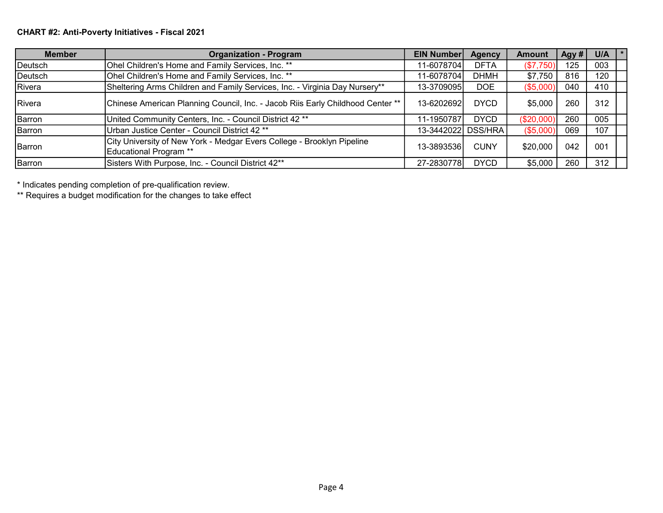## CHART #2: Anti-Poverty Initiatives - Fiscal 2021

| <b>Member</b> | <b>Organization - Program</b>                                                                    | <b>EIN Number</b>  | <b>Agency</b> | Amount     | Agy # | U/A |  |
|---------------|--------------------------------------------------------------------------------------------------|--------------------|---------------|------------|-------|-----|--|
| Deutsch       | Ohel Children's Home and Family Services, Inc. **                                                | 11-6078704         | <b>DFTA</b>   | (\$7,750)  | 125   | 003 |  |
| Deutsch       | Ohel Children's Home and Family Services, Inc. **                                                | 11-6078704         | <b>DHMH</b>   | \$7,750    | 816   | 120 |  |
| Rivera        | Sheltering Arms Children and Family Services, Inc. - Virginia Day Nursery**                      | 13-3709095         | <b>DOE</b>    | (\$5,000)  | 040   | 410 |  |
| Rivera        | Chinese American Planning Council, Inc. - Jacob Riis Early Childhood Center **                   | 13-6202692         | <b>DYCD</b>   | \$5,000    | 260   | 312 |  |
| Barron        | United Community Centers, Inc. - Council District 42 <sup>**</sup>                               | 11-1950787         | <b>DYCD</b>   | (\$20,000] | 260   | 005 |  |
| Barron        | Urban Justice Center - Council District 42 <sup>**</sup>                                         | 13-3442022 DSS/HRA |               | (\$5,000)  | 069   | 107 |  |
| Barron        | City University of New York - Medgar Evers College - Brooklyn Pipeline<br>Educational Program ** | 13-38935361        | <b>CUNY</b>   | \$20,000   | 042   | 001 |  |
| Barron        | Sisters With Purpose, Inc. - Council District 42**                                               | 27-2830778         | <b>DYCD</b>   | \$5,000    | 260   | 312 |  |

\* Indicates pending completion of pre-qualification review.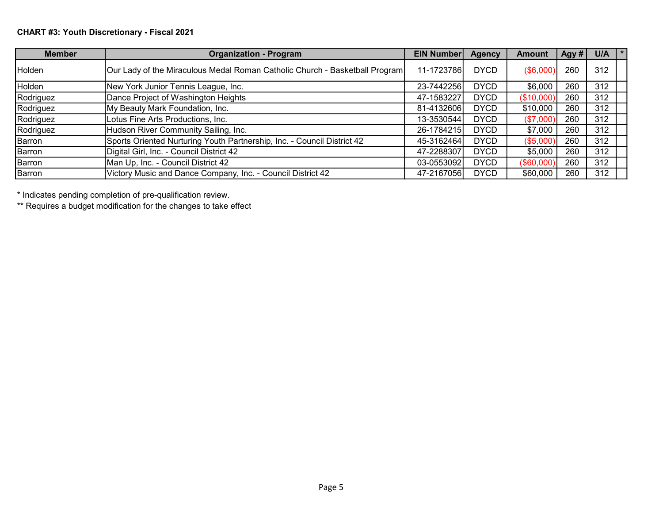# CHART #3: Youth Discretionary - Fiscal 2021

| <b>Member</b> | <b>Organization - Program</b>                                               | <b>EIN Number</b> | <b>Agency</b> | Amount           | Agy # | U/A |  |
|---------------|-----------------------------------------------------------------------------|-------------------|---------------|------------------|-------|-----|--|
| Holden        | Our Lady of the Miraculous Medal Roman Catholic Church - Basketball Program | 11-1723786        | <b>DYCD</b>   | $($ \$6,000) $ $ | 260   | 312 |  |
| Holden        | New York Junior Tennis League, Inc.                                         | 23-7442256        | <b>DYCD</b>   | \$6,000          | 260   | 312 |  |
| Rodriguez     | Dance Project of Washington Heights                                         | 47-1583227        | <b>DYCD</b>   | (\$10,000]       | 260   | 312 |  |
| Rodriguez     | My Beauty Mark Foundation, Inc.                                             | 81-4132606        | <b>DYCD</b>   | \$10,000         | 260   | 312 |  |
| Rodriguez     | Lotus Fine Arts Productions, Inc.                                           | 13-3530544        | <b>DYCD</b>   | (\$7,000)        | 260   | 312 |  |
| Rodriguez     | Hudson River Community Sailing, Inc.                                        | 26-1784215        | <b>DYCD</b>   | \$7,000          | 260   | 312 |  |
| Barron        | Sports Oriented Nurturing Youth Partnership, Inc. - Council District 42     | 45-3162464        | <b>DYCD</b>   | (\$5,000         | 260   | 312 |  |
| Barron        | Digital Girl, Inc. - Council District 42                                    | 47-2288307        | <b>DYCD</b>   | \$5,000          | 260   | 312 |  |
| Barron        | Man Up, Inc. - Council District 42                                          | 03-0553092        | <b>DYCD</b>   | (\$60,000        | 260   | 312 |  |
| Barron        | Victory Music and Dance Company, Inc. - Council District 42                 | 47-2167056        | <b>DYCD</b>   | \$60,000         | 260   | 312 |  |

\* Indicates pending completion of pre-qualification review.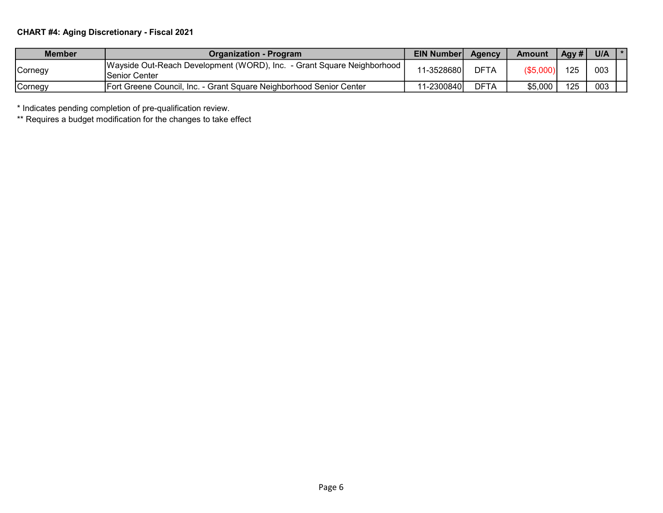# CHART #4: Aging Discretionary - Fiscal 2021

| <b>Member</b> | <b>Organization - Program</b>                                                             | <b>EIN Number</b> | Agency      | <b>Amount</b> | Agy $#$ | U/A |  |
|---------------|-------------------------------------------------------------------------------------------|-------------------|-------------|---------------|---------|-----|--|
| ,Cornegy      | Wayside Out-Reach Development (WORD), Inc. - Grant Square Neighborhood  <br>Senior Center | 11-3528680        | <b>DFTA</b> | (\$5,000)     | 125     | 003 |  |
| ,Cornegy      | Fort Greene Council, Inc. - Grant Square Neighborhood Senior Center                       | 11-2300840        | <b>DFTA</b> | \$5,000       | 125     | 003 |  |

\* Indicates pending completion of pre-qualification review.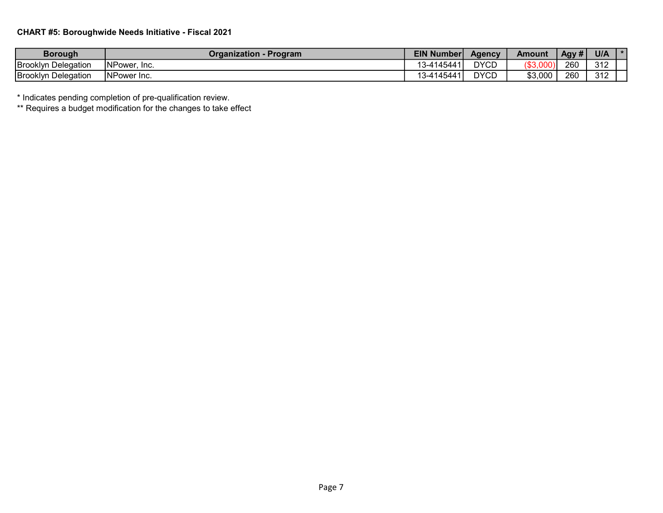## CHART #5: Boroughwide Needs Initiative - Fiscal 2021

| <b>Borough</b>             | - Program<br>Organization | <b>EIN Number</b>                          | Aaencv           | Amount                       | Aqv # | U/A          |  |
|----------------------------|---------------------------|--------------------------------------------|------------------|------------------------------|-------|--------------|--|
| <b>Brooklyn Delegation</b> | NPower, Inc.              | 1117111<br>$14^{\circ}$<br>ıд<br>5-د<br>⊶ບ | <b>DYCD</b>      | $\Omega$<br>100<br>ັ∙ ຈວ.∪∪ບ | 260   | 240<br>ے ا ت |  |
| <b>Brooklyn Delegation</b> | NPower Inc.               | 145<br>ıД<br>5-د<br>،ر،                    | <b>DYCD</b><br>◡ | \$3,000                      | 260   | 240<br>៴៲៸   |  |

\* Indicates pending completion of pre-qualification review.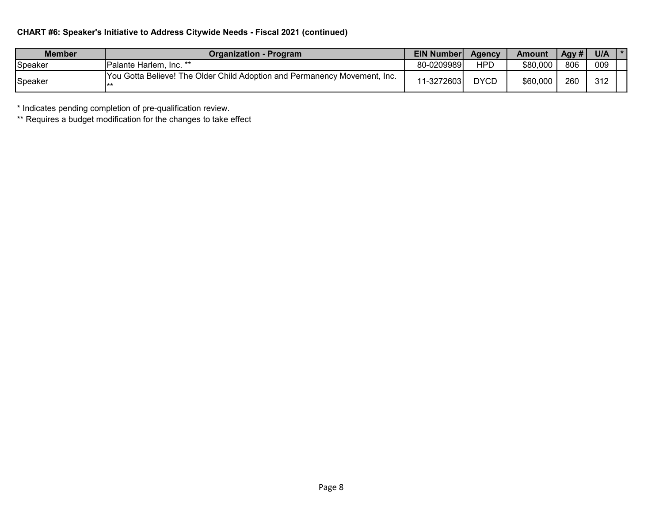## CHART #6: Speaker's Initiative to Address Citywide Needs - Fiscal 2021 (continued)

| Member  | <b>Organization - Program</b>                                               | <b>EIN Number</b> | Agency      | <b>Amount</b> | Aay# | U/A |  |
|---------|-----------------------------------------------------------------------------|-------------------|-------------|---------------|------|-----|--|
| Speaker | IPalante Harlem, Inc. **                                                    | 80-0209989        | <b>HPD</b>  | \$80,000      | 806  | 009 |  |
| Speaker | [You Gotta Believe! The Older Child Adoption and Permanency Movement, Inc.] | 11-3272603।       | <b>DYCD</b> | \$60,000      | 260  | 312 |  |

\* Indicates pending completion of pre-qualification review.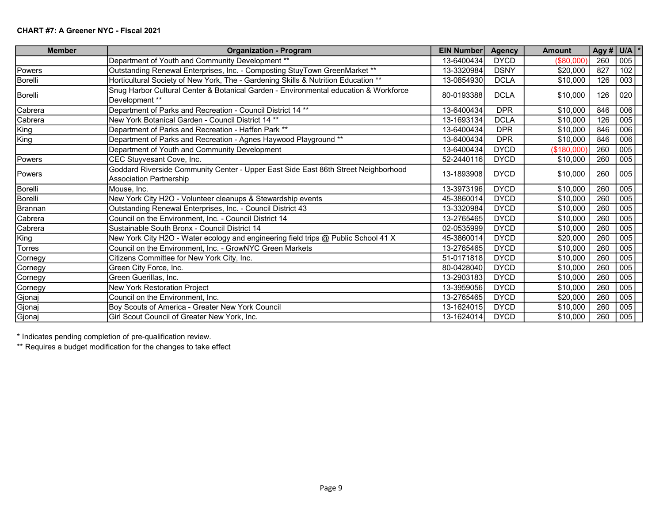| <b>Member</b> | <b>Organization - Program</b>                                                                                        | <b>EIN Number</b> | <b>Agency</b> | <b>Amount</b> |     | Agy # $U/A$ * |
|---------------|----------------------------------------------------------------------------------------------------------------------|-------------------|---------------|---------------|-----|---------------|
|               | Department of Youth and Community Development **                                                                     | 13-6400434        | <b>DYCD</b>   | (\$80,000"    | 260 | 005           |
| Powers        | Outstanding Renewal Enterprises, Inc. - Composting StuyTown GreenMarket **                                           | 13-3320984        | <b>DSNY</b>   | \$20,000      | 827 | 102           |
| Borelli       | Horticultural Society of New York, The - Gardening Skills & Nutrition Education **                                   | 13-0854930        | <b>DCLA</b>   | \$10,000      | 126 | 003           |
| Borelli       | Snug Harbor Cultural Center & Botanical Garden - Environmental education & Workforce<br>Development **               | 80-0193388        | <b>DCLA</b>   | \$10,000      | 126 | 020           |
| Cabrera       | Department of Parks and Recreation - Council District 14 **                                                          | 13-6400434        | <b>DPR</b>    | \$10,000      | 846 | 006           |
| Cabrera       | New York Botanical Garden - Council District 14 **                                                                   | 13-1693134        | <b>DCLA</b>   | \$10,000      | 126 | 005           |
| King          | Department of Parks and Recreation - Haffen Park **                                                                  | 13-6400434        | <b>DPR</b>    | \$10,000      | 846 | 006           |
| King          | Department of Parks and Recreation - Agnes Haywood Playground **                                                     | 13-6400434        | <b>DPR</b>    | \$10,000      | 846 | 006           |
|               | Department of Youth and Community Development                                                                        | 13-6400434        | <b>DYCD</b>   | (\$180,000)   | 260 | 005           |
| Powers        | CEC Stuyvesant Cove, Inc.                                                                                            | 52-2440116        | <b>DYCD</b>   | \$10,000      | 260 | 005           |
| <b>Powers</b> | Goddard Riverside Community Center - Upper East Side East 86th Street Neighborhood<br><b>Association Partnership</b> | 13-1893908        | <b>DYCD</b>   | \$10,000      | 260 | 005           |
| Borelli       | Mouse, Inc.                                                                                                          | 13-3973196        | <b>DYCD</b>   | \$10,000      | 260 | 005           |
| Borelli       | New York City H2O - Volunteer cleanups & Stewardship events                                                          | 45-3860014        | <b>DYCD</b>   | \$10,000      | 260 | 005           |
| Brannan       | Outstanding Renewal Enterprises, Inc. - Council District 43                                                          | 13-3320984        | <b>DYCD</b>   | \$10,000      | 260 | 005           |
| Cabrera       | Council on the Environment, Inc. - Council District 14                                                               | 13-2765465        | <b>DYCD</b>   | \$10,000      | 260 | 005           |
| Cabrera       | Sustainable South Bronx - Council District 14                                                                        | 02-0535999        | <b>DYCD</b>   | \$10,000      | 260 | 005           |
| King          | New York City H2O - Water ecology and engineering field trips @ Public School 41 X                                   | 45-3860014        | <b>DYCD</b>   | \$20,000      | 260 | 005           |
| <b>Torres</b> | Council on the Environment, Inc. - GrowNYC Green Markets                                                             | 13-2765465        | <b>DYCD</b>   | \$10,000      | 260 | 005           |
| Cornegy       | Citizens Committee for New York City, Inc.                                                                           | 51-0171818        | <b>DYCD</b>   | \$10,000      | 260 | 005           |
| Cornegy       | Green City Force, Inc.                                                                                               | 80-0428040        | <b>DYCD</b>   | \$10,000      | 260 | 005           |
| Cornegy       | Green Guerillas, Inc.                                                                                                | 13-2903183        | <b>DYCD</b>   | \$10,000      | 260 | 005           |
| Cornegy       | New York Restoration Project                                                                                         | 13-3959056        | <b>DYCD</b>   | \$10,000      | 260 | 005           |
| Gjonaj        | Council on the Environment, Inc.                                                                                     | 13-2765465        | <b>DYCD</b>   | \$20,000      | 260 | 005           |
| Gjonaj        | Boy Scouts of America - Greater New York Council                                                                     | 13-1624015        | <b>DYCD</b>   | \$10,000      | 260 | 005           |
| Gjonaj        | Girl Scout Council of Greater New York, Inc.                                                                         | 13-1624014        | <b>DYCD</b>   | \$10,000      | 260 | 005           |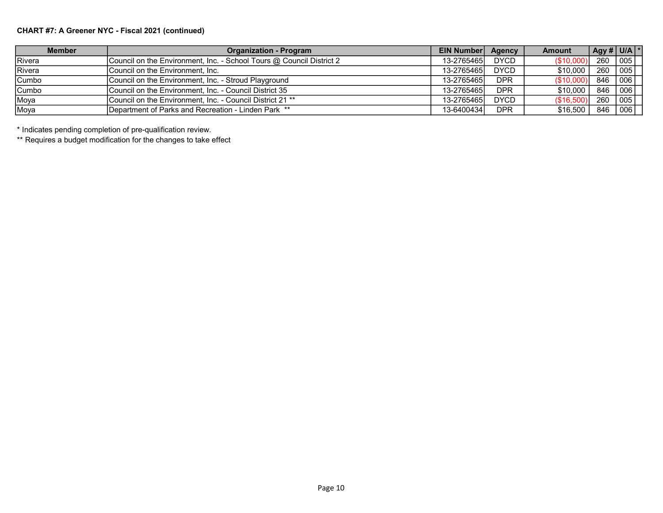## CHART #7: A Greener NYC - Fiscal 2021 (continued)

| <b>Member</b> | <b>Organization - Program</b>                                        | <b>EIN Number</b> | Agency      | Amount     | Agy # U/A $\vert$ * |            |
|---------------|----------------------------------------------------------------------|-------------------|-------------|------------|---------------------|------------|
| IRivera       | Council on the Environment, Inc. - School Tours @ Council District 2 | 13-2765465        | <b>DYCD</b> | (\$10,000) | 260  005            |            |
| Rivera        | lCouncil on the Environment. Inc.                                    | 13-2765465        | <b>DYCD</b> | \$10.000   | 260   005           |            |
| Cumbo         | Council on the Environment, Inc. - Stroud Playground                 | 13-2765465        | <b>DPR</b>  | (\$10,000) | 846                 | $\mid$ 006 |
| Cumbo         | Council on the Environment, Inc. - Council District 35               | 13-2765465        | <b>DPR</b>  | \$10,000   | 846   006           |            |
| Moya          | Council on the Environment, Inc. - Council District 21 **            | 13-2765465        | <b>DYCD</b> | (\$16,500) | 260   005           |            |
| Moya          | Department of Parks and Recreation - Linden Park **                  | 13-6400434        | <b>DPR</b>  | \$16,500   | 846   006           |            |

\* Indicates pending completion of pre-qualification review.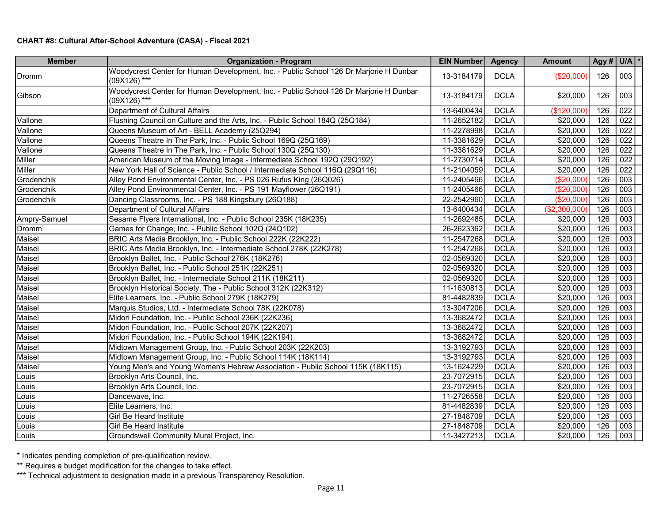## CHART #8: Cultural After-School Adventure (CASA) - Fiscal 2021

| <b>Member</b> | <b>Organization - Program</b>                                                                          | EIN Number | <b>Agency</b> | <b>Amount</b> | Agy # $U/A$ * |     |
|---------------|--------------------------------------------------------------------------------------------------------|------------|---------------|---------------|---------------|-----|
| <b>IDromm</b> | Woodycrest Center for Human Development, Inc. - Public School 126 Dr Marjorie H Dunbar<br>(09X126) *** | 13-3184179 | <b>DCLA</b>   | (\$20,000)    | 126           | 003 |
| Gibson        | Woodycrest Center for Human Development, Inc. - Public School 126 Dr Marjorie H Dunbar<br>(09X126) *** | 13-3184179 | <b>DCLA</b>   | \$20,000      | 126           | 003 |
|               | Department of Cultural Affairs                                                                         | 13-6400434 | <b>DCLA</b>   | (\$120,000    | 126           | 022 |
| Vallone       | Flushing Council on Culture and the Arts, Inc. - Public School 184Q (25Q184)                           | 11-2652182 | <b>DCLA</b>   | \$20,000      | 126           | 022 |
| Vallone       | Queens Museum of Art - BELL Academy (25Q294)                                                           | 11-2278998 | <b>DCLA</b>   | \$20,000      | 126           | 022 |
| Vallone       | Queens Theatre In The Park, Inc. - Public School 169Q (25Q169)                                         | 11-3381629 | <b>DCLA</b>   | \$20,000      | 126           | 022 |
| Vallone       | Queens Theatre In The Park, Inc. - Public School 130Q (25Q130)                                         | 11-3381629 | <b>DCLA</b>   | \$20,000      | 126           | 022 |
| Miller        | American Museum of the Moving Image - Intermediate School 192Q (29Q192)                                | 11-2730714 | <b>DCLA</b>   | \$20,000      | 126           | 022 |
| Miller        | New York Hall of Science - Public School / Intermediate School 116Q (29Q116)                           | 11-2104059 | <b>DCLA</b>   | \$20,000      | 126           | 022 |
| Grodenchik    | Alley Pond Environmental Center, Inc. - PS 026 Rufus King (26Q026)                                     | 11-2405466 | <b>DCLA</b>   | (\$20,000"    | 126           | 003 |
| Grodenchik    | Alley Pond Environmental Center, Inc. - PS 191 Mayflower (26Q191)                                      | 11-2405466 | <b>DCLA</b>   | (\$20,000)    | 126           | 003 |
| Grodenchik    | Dancing Classrooms, Inc. - PS 188 Kingsbury (26Q188)                                                   | 22-2542960 | <b>DCLA</b>   | (\$20,000)    | 126           | 003 |
|               | Department of Cultural Affairs                                                                         | 13-6400434 | <b>DCLA</b>   | (\$2,300,000) | 126           | 003 |
| Ampry-Samuel  | Sesame Flyers International, Inc. - Public School 235K (18K235)                                        | 11-2692485 | <b>DCLA</b>   | \$20,000      | 126           | 003 |
| Dromm         | Games for Change, Inc. - Public School 102Q (24Q102)                                                   | 26-2623362 | <b>DCLA</b>   | \$20,000      | 126           | 003 |
| Maisel        | BRIC Arts Media Brooklyn, Inc. - Public School 222K (22K222)                                           | 11-2547268 | <b>DCLA</b>   | \$20,000      | 126           | 003 |
| Maisel        | BRIC Arts Media Brooklyn, Inc. - Intermediate School 278K (22K278)                                     | 11-2547268 | <b>DCLA</b>   | \$20,000      | 126           | 003 |
| Maisel        | Brooklyn Ballet, Inc. - Public School 276K (18K276)                                                    | 02-0569320 | <b>DCLA</b>   | \$20,000      | 126           | 003 |
| Maisel        | Brooklyn Ballet, Inc. - Public School 251K (22K251)                                                    | 02-0569320 | <b>DCLA</b>   | \$20,000      | 126           | 003 |
| Maisel        | Brooklyn Ballet, Inc. - Intermediate School 211K (18K211)                                              | 02-0569320 | <b>DCLA</b>   | \$20,000      | 126           | 003 |
| Maisel        | Brooklyn Historical Society, The - Public School 312K (22K312)                                         | 11-1630813 | <b>DCLA</b>   | \$20,000      | 126           | 003 |
| Maisel        | Elite Learners, Inc. - Public School 279K (18K279)                                                     | 81-4482839 | <b>DCLA</b>   | \$20,000      | 126           | 003 |
| Maisel        | Marquis Studios, Ltd. - Intermediate School 78K (22K078)                                               | 13-3047206 | <b>DCLA</b>   | \$20,000      | 126           | 003 |
| Maisel        | Midori Foundation, Inc. - Public School 236K (22K236)                                                  | 13-3682472 | <b>DCLA</b>   | \$20,000      | 126           | 003 |
| Maisel        | Midori Foundation, Inc. - Public School 207K (22K207)                                                  | 13-3682472 | <b>DCLA</b>   | \$20,000      | 126           | 003 |
| Maisel        | Midori Foundation, Inc. - Public School 194K (22K194)                                                  | 13-3682472 | <b>DCLA</b>   | \$20,000      | 126           | 003 |
| Maisel        | Midtown Management Group, Inc. - Public School 203K (22K203)                                           | 13-3192793 | <b>DCLA</b>   | \$20,000      | 126           | 003 |
| Maisel        | Midtown Management Group, Inc. - Public School 114K (18K114)                                           | 13-3192793 | <b>DCLA</b>   | \$20,000      | 126           | 003 |
| Maisel        | Young Men's and Young Women's Hebrew Association - Public School 115K (18K115)                         | 13-1624229 | <b>DCLA</b>   | \$20,000      | 126           | 003 |
| Louis         | Brooklyn Arts Council, Inc.                                                                            | 23-7072915 | <b>DCLA</b>   | \$20,000      | 126           | 003 |
| Louis         | Brooklyn Arts Council, Inc.                                                                            | 23-7072915 | <b>DCLA</b>   | \$20,000      | 126           | 003 |
| Louis         | Dancewave, Inc.                                                                                        | 11-2726558 | <b>DCLA</b>   | \$20,000      | 126           | 003 |
| Louis         | Elite Learners, Inc.                                                                                   | 81-4482839 | <b>DCLA</b>   | \$20,000      | 126           | 003 |
| Louis         | Girl Be Heard Institute                                                                                | 27-1848709 | <b>DCLA</b>   | \$20,000      | 126           | 003 |
| Louis         | Girl Be Heard Institute                                                                                | 27-1848709 | <b>DCLA</b>   | \$20,000      | 126           | 003 |
| Louis         | Groundswell Community Mural Project, Inc.                                                              | 11-3427213 | <b>DCLA</b>   | \$20,000      | 126           | 003 |

\* Indicates pending completion of pre-qualification review.

\*\* Requires a budget modification for the changes to take effect.

\*\*\* Technical adjustment to designation made in a previous Transparency Resolution.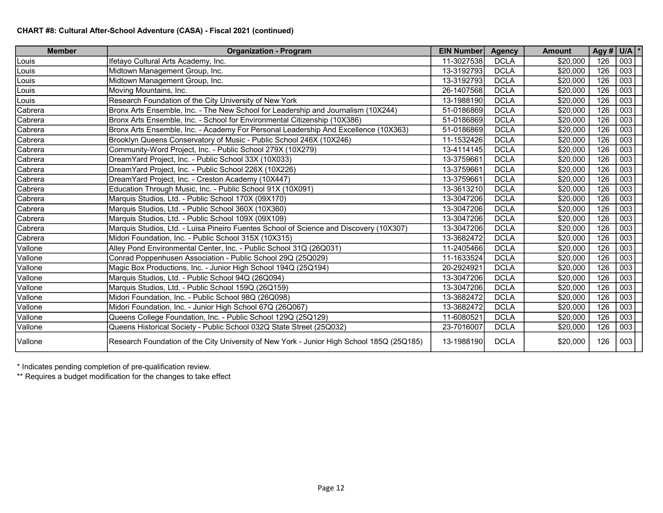| <b>Member</b> | <b>Organization - Program</b>                                                             | <b>EIN Number</b> | <b>Agency</b> | <b>Amount</b> | Agy # $U/A$ * |     |
|---------------|-------------------------------------------------------------------------------------------|-------------------|---------------|---------------|---------------|-----|
| Louis         | Ifetayo Cultural Arts Academy, Inc.                                                       | 11-3027538        | <b>DCLA</b>   | \$20,000      | 126           | 003 |
| Louis         | Midtown Management Group, Inc.                                                            | 13-3192793        | <b>DCLA</b>   | \$20,000      | 126           | 003 |
| Louis         | Midtown Management Group, Inc.                                                            | 13-3192793        | <b>DCLA</b>   | \$20,000      | 126           | 003 |
| Louis         | Moving Mountains, Inc.                                                                    | 26-1407568        | <b>DCLA</b>   | \$20,000      | 126           | 003 |
| Louis         | Research Foundation of the City University of New York                                    | 13-1988190        | <b>DCLA</b>   | \$20,000      | 126           | 003 |
| Cabrera       | Bronx Arts Ensemble, Inc. - The New School for Leadership and Journalism (10X244)         | 51-0186869        | <b>DCLA</b>   | \$20,000      | 126           | 003 |
| Cabrera       | Bronx Arts Ensemble, Inc. - School for Environmental Citizenship (10X386)                 | 51-0186869        | <b>DCLA</b>   | \$20,000      | 126           | 003 |
| Cabrera       | Bronx Arts Ensemble, Inc. - Academy For Personal Leadership And Excellence (10X363)       | 51-0186869        | <b>DCLA</b>   | \$20,000      | 126           | 003 |
| Cabrera       | Brooklyn Queens Conservatory of Music - Public School 246X (10X246)                       | 11-1532426        | <b>DCLA</b>   | \$20,000      | 126           | 003 |
| Cabrera       | Community-Word Project, Inc. - Public School 279X (10X279)                                | 13-4114145        | <b>DCLA</b>   | \$20,000      | 126           | 003 |
| Cabrera       | DreamYard Project, Inc. - Public School 33X (10X033)                                      | 13-3759661        | <b>DCLA</b>   | \$20,000      | 126           | 003 |
| Cabrera       | DreamYard Project, Inc. - Public School 226X (10X226)                                     | 13-3759661        | <b>DCLA</b>   | \$20,000      | 126           | 003 |
| Cabrera       | DreamYard Project, Inc. - Creston Academy (10X447)                                        | 13-3759661        | <b>DCLA</b>   | \$20,000      | 126           | 003 |
| Cabrera       | Education Through Music, Inc. - Public School 91X (10X091)                                | 13-3613210        | <b>DCLA</b>   | \$20,000      | 126           | 003 |
| Cabrera       | Marquis Studios, Ltd. - Public School 170X (09X170)                                       | 13-3047206        | <b>DCLA</b>   | \$20,000      | 126           | 003 |
| Cabrera       | Marquis Studios, Ltd. - Public School 360X (10X360)                                       | 13-3047206        | <b>DCLA</b>   | \$20,000      | 126           | 003 |
| Cabrera       | Marquis Studios, Ltd. - Public School 109X (09X109)                                       | 13-3047206        | <b>DCLA</b>   | \$20,000      | 126           | 003 |
| Cabrera       | Marquis Studios, Ltd. - Luisa Pineiro Fuentes School of Science and Discovery (10X307)    | 13-3047206        | <b>DCLA</b>   | \$20,000      | 126           | 003 |
| Cabrera       | Midori Foundation, Inc. - Public School 315X (10X315)                                     | 13-3682472        | <b>DCLA</b>   | \$20,000      | 126           | 003 |
| Vallone       | Alley Pond Environmental Center, Inc. - Public School 31Q (26Q031)                        | 11-2405466        | <b>DCLA</b>   | \$20,000      | 126           | 003 |
| Vallone       | Conrad Poppenhusen Association - Public School 29Q (25Q029)                               | 11-1633524        | <b>DCLA</b>   | \$20,000      | 126           | 003 |
| Vallone       | Magic Box Productions, Inc. - Junior High School 194Q (25Q194)                            | 20-2924921        | <b>DCLA</b>   | \$20,000      | 126           | 003 |
| Vallone       | Marquis Studios, Ltd. - Public School 94Q (26Q094)                                        | 13-3047206        | <b>DCLA</b>   | \$20,000      | 126           | 003 |
| Vallone       | Marquis Studios, Ltd. - Public School 159Q (26Q159)                                       | 13-3047206        | <b>DCLA</b>   | \$20,000      | 126           | 003 |
| Vallone       | Midori Foundation, Inc. - Public School 98Q (26Q098)                                      | 13-3682472        | <b>DCLA</b>   | \$20,000      | 126           | 003 |
| Vallone       | Midori Foundation, Inc. - Junior High School 67Q (26Q067)                                 | 13-3682472        | <b>DCLA</b>   | \$20,000      | 126           | 003 |
| Vallone       | Queens College Foundation, Inc. - Public School 129Q (25Q129)                             | 11-6080521        | <b>DCLA</b>   | \$20,000      | 126           | 003 |
| Vallone       | Queens Historical Society - Public School 032Q State Street (25Q032)                      | 23-7016007        | <b>DCLA</b>   | \$20,000      | 126           | 003 |
| Vallone       | Research Foundation of the City University of New York - Junior High School 185Q (25Q185) | 13-1988190        | <b>DCLA</b>   | \$20,000      | 126           | 003 |

\* Indicates pending completion of pre-qualification review.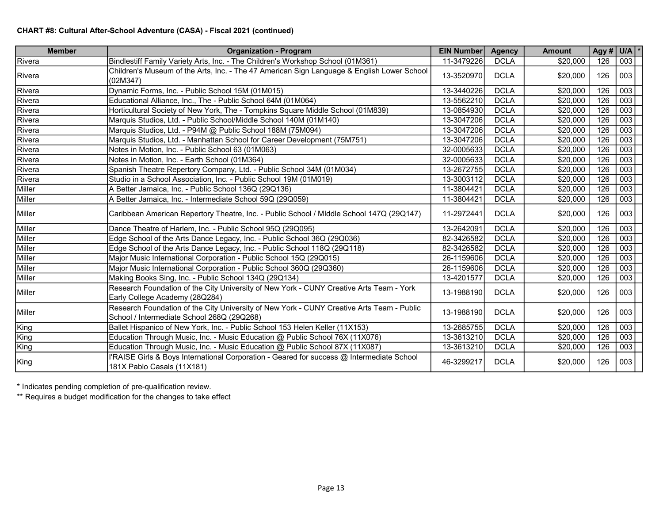| <b>Member</b>  | <b>Organization - Program</b>                                                                                                           | <b>EIN Number</b> | <b>Agency</b> | <b>Amount</b> |     | Agy # $U/A$ * |
|----------------|-----------------------------------------------------------------------------------------------------------------------------------------|-------------------|---------------|---------------|-----|---------------|
| Rivera         | Bindlestiff Family Variety Arts, Inc. - The Children's Workshop School (01M361)                                                         | 11-3479226        | <b>DCLA</b>   | \$20,000      | 126 | 003           |
| Rivera         | Children's Museum of the Arts, Inc. - The 47 American Sign Language & English Lower School<br>(02M347)                                  | 13-3520970        | <b>DCLA</b>   | \$20,000      | 126 | 003           |
| Rivera         | Dynamic Forms, Inc. - Public School 15M (01M015)                                                                                        | 13-3440226        | <b>DCLA</b>   | \$20,000      | 126 | 003           |
| Rivera         | Educational Alliance, Inc., The - Public School 64M (01M064)                                                                            | 13-5562210        | <b>DCLA</b>   | \$20,000      | 126 | 003           |
| Rivera         | Horticultural Society of New York, The - Tompkins Square Middle School (01M839)                                                         | 13-0854930        | <b>DCLA</b>   | \$20,000      | 126 | 003           |
| Rivera         | Marquis Studios, Ltd. - Public School/Middle School 140M (01M140)                                                                       | 13-3047206        | <b>DCLA</b>   | \$20,000      | 126 | 003           |
| Rivera         | Marquis Studios, Ltd. - P94M @ Public School 188M (75M094)                                                                              | 13-3047206        | <b>DCLA</b>   | \$20,000      | 126 | 003           |
| Rivera         | Marquis Studios, Ltd. - Manhattan School for Career Development (75M751)                                                                | 13-3047206        | <b>DCLA</b>   | \$20,000      | 126 | 003           |
| Rivera         | Notes in Motion, Inc. - Public School 63 (01M063)                                                                                       | 32-0005633        | <b>DCLA</b>   | \$20,000      | 126 | 003           |
| Rivera         | Notes in Motion, Inc. - Earth School (01M364)                                                                                           | 32-0005633        | <b>DCLA</b>   | \$20,000      | 126 | 003           |
| Rivera         | Spanish Theatre Repertory Company, Ltd. - Public School 34M (01M034)                                                                    | 13-2672755        | <b>DCLA</b>   | \$20,000      | 126 | 003           |
| Rivera         | Studio in a School Association, Inc. - Public School 19M (01M019)                                                                       | 13-3003112        | <b>DCLA</b>   | \$20,000      | 126 | 003           |
| Miller         | A Better Jamaica, Inc. - Public School 136Q (29Q136)                                                                                    | 11-3804421        | <b>DCLA</b>   | \$20,000      | 126 | 003           |
| Miller         | A Better Jamaica, Inc. - Intermediate School 59Q (29Q059)                                                                               | 11-3804421        | <b>DCLA</b>   | \$20,000      | 126 | 003           |
| Miller         | Caribbean American Repertory Theatre, Inc. - Public School / Middle School 147Q (29Q147)                                                | 11-2972441        | <b>DCLA</b>   | \$20,000      | 126 | 003           |
| Miller         | Dance Theatre of Harlem, Inc. - Public School 95Q (29Q095)                                                                              | 13-2642091        | <b>DCLA</b>   | \$20,000      | 126 | 003           |
| Miller         | Edge School of the Arts Dance Legacy, Inc. - Public School 36Q (29Q036)                                                                 | 82-3426582        | <b>DCLA</b>   | \$20,000      | 126 | 003           |
| Miller         | Edge School of the Arts Dance Legacy, Inc. - Public School 118Q (29Q118)                                                                | 82-3426582        | <b>DCLA</b>   | \$20,000      | 126 | 003           |
| Miller         | Major Music International Corporation - Public School 15Q (29Q015)                                                                      | 26-1159606        | <b>DCLA</b>   | \$20,000      | 126 | 003           |
| Miller         | Major Music International Corporation - Public School 360Q (29Q360)                                                                     | 26-1159606        | <b>DCLA</b>   | \$20,000      | 126 | 003           |
| Miller         | Making Books Sing, Inc. - Public School 134Q (29Q134)                                                                                   | 13-4201577        | <b>DCLA</b>   | \$20,000      | 126 | 003           |
| Miller         | Research Foundation of the City University of New York - CUNY Creative Arts Team - York<br>Early College Academy (28Q284)               | 13-1988190        | <b>DCLA</b>   | \$20,000      | 126 | 003           |
| <b>IMiller</b> | Research Foundation of the City University of New York - CUNY Creative Arts Team - Public<br>School / Intermediate School 268Q (29Q268) | 13-1988190        | <b>DCLA</b>   | \$20,000      | 126 | 003           |
| King           | Ballet Hispanico of New York, Inc. - Public School 153 Helen Keller (11X153)                                                            | 13-2685755        | <b>DCLA</b>   | \$20,000      | 126 | 003           |
| King           | Education Through Music, Inc. - Music Education @ Public School 76X (11X076)                                                            | 13-3613210        | <b>DCLA</b>   | \$20,000      | 126 | 003           |
| King           | Education Through Music, Inc. - Music Education @ Public School 87X (11X087)                                                            | 13-3613210        | <b>DCLA</b>   | \$20,000      | 126 | 003           |
| King           | I'RAISE Girls & Boys International Corporation - Geared for success @ Intermediate School<br>181X Pablo Casals (11X181)                 | 46-3299217        | <b>DCLA</b>   | \$20,000      | 126 | 003           |

\* Indicates pending completion of pre-qualification review.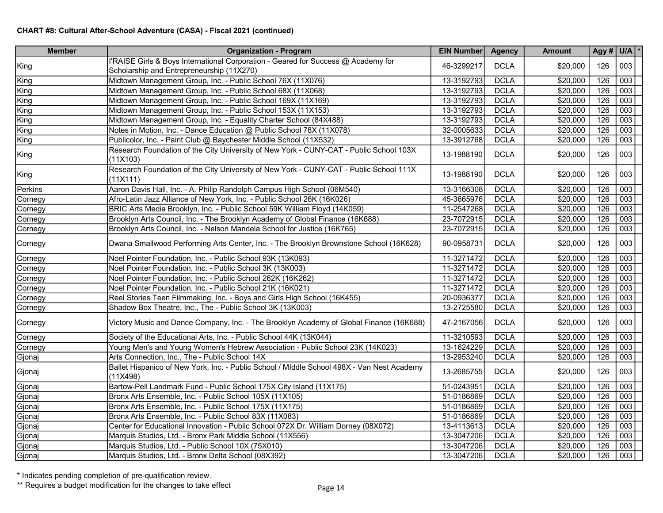| <b>Member</b> | <b>Organization - Program</b>                                                                          | EIN Number | <b>Agency</b> | <b>Amount</b>        |     | Agy # $ U/A $ * |
|---------------|--------------------------------------------------------------------------------------------------------|------------|---------------|----------------------|-----|-----------------|
|               | I'RAISE Girls & Boys International Corporation - Geared for Success @ Academy for                      | 46-3299217 | <b>DCLA</b>   |                      | 126 | 003             |
| King          | Scholarship and Entrepreneurship (11X270)                                                              |            |               | \$20,000             |     |                 |
| King          | Midtown Management Group, Inc. - Public School 76X (11X076)                                            | 13-3192793 | <b>DCLA</b>   | $\overline{$}20,000$ | 126 | 003             |
| King          | Midtown Management Group, Inc. - Public School 68X (11X068)                                            | 13-3192793 | <b>DCLA</b>   | \$20,000             | 126 | 003             |
| King          | Midtown Management Group, Inc. - Public School 169X (11X169)                                           | 13-3192793 | <b>DCLA</b>   | \$20,000             | 126 | 003             |
| King          | Midtown Management Group, Inc. - Public School 153X (11X153)                                           | 13-3192793 | <b>DCLA</b>   | \$20,000             | 126 | 003             |
| King          | Midtown Management Group, Inc. - Equality Charter School (84X488)                                      | 13-3192793 | <b>DCLA</b>   | \$20,000             | 126 | 003             |
| King          | Notes in Motion, Inc. - Dance Education @ Public School 78X (11X078)                                   | 32-0005633 | <b>DCLA</b>   | \$20,000             | 126 | 003             |
| King          | Publicolor, Inc. - Paint Club @ Baychester Middle School (11X532)                                      | 13-3912768 | <b>DCLA</b>   | \$20,000             | 126 | 003             |
| King          | Research Foundation of the City University of New York - CUNY-CAT - Public School 103X<br>(11X103)     | 13-1988190 | <b>DCLA</b>   | \$20,000             | 126 | 003             |
| King          | Research Foundation of the City University of New York - CUNY-CAT - Public School 111X<br>(11X111)     | 13-1988190 | <b>DCLA</b>   | \$20,000             | 126 | 003             |
| Perkins       | Aaron Davis Hall, Inc. - A. Philip Randolph Campus High School (06M540)                                | 13-3166308 | <b>DCLA</b>   | \$20,000             | 126 | 003             |
| Cornegy       | Afro-Latin Jazz Alliance of New York, Inc. - Public School 26K (16K026)                                | 45-3665976 | <b>DCLA</b>   | \$20,000             | 126 | 003             |
| Cornegy       | BRIC Arts Media Brooklyn, Inc. - Public School 59K William Floyd (14K059)                              | 11-2547268 | <b>DCLA</b>   | \$20,000             | 126 | 003             |
| Cornegy       | Brooklyn Arts Council, Inc. - The Brooklyn Academy of Global Finance (16K688)                          | 23-7072915 | <b>DCLA</b>   | \$20,000             | 126 | 003             |
| Cornegy       | Brooklyn Arts Council, Inc. - Nelson Mandela School for Justice (16K765)                               | 23-7072915 | <b>DCLA</b>   | \$20,000             | 126 | 003             |
| Cornegy       | Dwana Smallwood Performing Arts Center, Inc. - The Brooklyn Brownstone School (16K628)                 | 90-0958731 | <b>DCLA</b>   | \$20,000             | 126 | 003             |
| Cornegy       | Noel Pointer Foundation, Inc. - Public School 93K (13K093)                                             | 11-3271472 | <b>DCLA</b>   | \$20,000             | 126 | 003             |
| Cornegy       | Noel Pointer Foundation, Inc. - Public School 3K (13K003)                                              | 11-3271472 | <b>DCLA</b>   | \$20,000             | 126 | 003             |
| Cornegy       | Noel Pointer Foundation, Inc. - Public School 262K (16K262)                                            | 11-3271472 | <b>DCLA</b>   | \$20,000             | 126 | 003             |
| Cornegy       | Noel Pointer Foundation, Inc. - Public School 21K (16K021)                                             | 11-3271472 | <b>DCLA</b>   | \$20,000             | 126 | 003             |
| Cornegy       | Reel Stories Teen Filmmaking, Inc. - Boys and Girls High School (16K455)                               | 20-0936377 | <b>DCLA</b>   | \$20,000             | 126 | 003             |
| Cornegy       | Shadow Box Theatre, Inc., The - Public School 3K (13K003)                                              | 13-2725580 | <b>DCLA</b>   | \$20,000             | 126 | 003             |
| Cornegy       | Victory Music and Dance Company, Inc. - The Brooklyn Academy of Global Finance (16K688)                | 47-2167056 | <b>DCLA</b>   | \$20,000             | 126 | 003             |
| Cornegy       | Society of the Educational Arts, Inc. - Public School 44K (13K044)                                     | 11-3210593 | <b>DCLA</b>   | \$20,000             | 126 | 003             |
| Cornegy       | Young Men's and Young Women's Hebrew Association - Public School 23K (14K023)                          | 13-1624229 | <b>DCLA</b>   | \$20,000             | 126 | 003             |
| Gjonaj        | Arts Connection, Inc., The - Public School 14X                                                         | 13-2953240 | <b>DCLA</b>   | \$20,000             | 126 | 003             |
| Gjonaj        | Ballet Hispanico of New York, Inc. - Public School / MIddle School 498X - Van Nest Academy<br>(11X498) | 13-2685755 | <b>DCLA</b>   | \$20,000             | 126 | 003             |
| Gjonaj        | Bartow-Pell Landmark Fund - Public School 175X City Island (11X175)                                    | 51-0243951 | <b>DCLA</b>   | \$20,000             | 126 | 003             |
| Gjonaj        | Bronx Arts Ensemble, Inc. - Public School 105X (11X105)                                                | 51-0186869 | <b>DCLA</b>   | \$20,000             | 126 | 003             |
| Gjonaj        | Bronx Arts Ensemble, Inc. - Public School 175X (11X175)                                                | 51-0186869 | <b>DCLA</b>   | \$20,000             | 126 | 003             |
| Gjonaj        | Bronx Arts Ensemble, Inc. - Public School 83X (11X083)                                                 | 51-0186869 | <b>DCLA</b>   | \$20,000             | 126 | 003             |
| Gjonaj        | Center for Educational Innovation - Public School 072X Dr. William Dorney (08X072)                     | 13-4113613 | <b>DCLA</b>   | \$20,000             | 126 | 003             |
| Gjonaj        | Marquis Studios, Ltd. - Bronx Park Middle School (11X556)                                              | 13-3047206 | <b>DCLA</b>   | \$20,000             | 126 | 003             |
| Gjonaj        | Marquis Studios, Ltd. - Public School 10X (75X010)                                                     | 13-3047206 | <b>DCLA</b>   | \$20,000             | 126 | 003             |
| Gjonaj        | Marquis Studios, Ltd. - Bronx Delta School (08X392)                                                    | 13-3047206 | <b>DCLA</b>   | \$20,000             | 126 | 003             |

\* Indicates pending completion of pre-qualification review.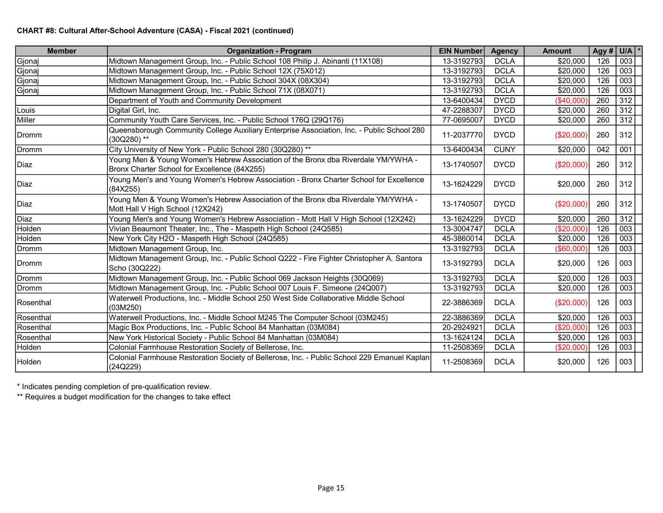| <b>Member</b>  | <b>Organization - Program</b>                                                                                                     | <b>EIN Number</b> | <b>Agency</b> | <b>Amount</b> |     | Agy # $ U/A $ * |
|----------------|-----------------------------------------------------------------------------------------------------------------------------------|-------------------|---------------|---------------|-----|-----------------|
| Gjonaj         | Midtown Management Group, Inc. - Public School 108 Philip J. Abinanti (11X108)                                                    | 13-3192793        | <b>DCLA</b>   | \$20,000      | 126 | 003             |
| Gjonaj         | Midtown Management Group, Inc. - Public School 12X (75X012)                                                                       | 13-3192793        | <b>DCLA</b>   | \$20,000      | 126 | 003             |
| Gjonaj         | Midtown Management Group, Inc. - Public School 304X (08X304)                                                                      | 13-3192793        | <b>DCLA</b>   | \$20,000      | 126 | 003             |
| Gjonaj         | Midtown Management Group, Inc. - Public School 71X (08X071)                                                                       | 13-3192793        | <b>DCLA</b>   | \$20,000      | 126 | 003             |
|                | Department of Youth and Community Development                                                                                     | 13-6400434        | <b>DYCD</b>   | (\$40,000"    | 260 | 312             |
| Louis          | Digital Girl, Inc.                                                                                                                | 47-2288307        | <b>DYCD</b>   | \$20,000      | 260 | 312             |
| Miller         | Community Youth Care Services, Inc. - Public School 176Q (29Q176)                                                                 | 77-0695007        | <b>DYCD</b>   | \$20,000      | 260 | 312             |
| Dromm          | Queensborough Community College Auxiliary Enterprise Association, Inc. - Public School 280<br>(30Q280) **                         | 11-2037770        | <b>DYCD</b>   | (\$20,000)    | 260 | 312             |
| Dromm          | City University of New York - Public School 280 (30Q280) **                                                                       | 13-6400434        | <b>CUNY</b>   | \$20,000      | 042 | 001             |
| Diaz           | Young Men & Young Women's Hebrew Association of the Bronx dba Riverdale YM/YWHA -<br>Bronx Charter School for Excellence (84X255) | 13-1740507        | <b>DYCD</b>   | (\$20,000)    | 260 | 312             |
| lDiaz          | Young Men's and Young Women's Hebrew Association - Bronx Charter School for Excellence<br>(84X255)                                | 13-1624229        | <b>DYCD</b>   | \$20,000      | 260 | 312             |
| Diaz           | Young Men & Young Women's Hebrew Association of the Bronx dba Riverdale YM/YWHA -<br>Mott Hall V High School (12X242)             | 13-1740507        | <b>DYCD</b>   | (\$20,000)    | 260 | 312             |
| Diaz           | Young Men's and Young Women's Hebrew Association - Mott Hall V High School (12X242)                                               | 13-1624229        | <b>DYCD</b>   | \$20,000      | 260 | 312             |
| Holden         | Vivian Beaumont Theater, Inc., The - Maspeth High School (24Q585)                                                                 | 13-3004747        | <b>DCLA</b>   | (\$20,000)    | 126 | 003             |
| Holden         | New York City H2O - Maspeth High School (24Q585)                                                                                  | 45-3860014        | <b>DCLA</b>   | \$20,000      | 126 | 003             |
| Dromm          | Midtown Management Group, Inc.                                                                                                    | 13-3192793        | <b>DCLA</b>   | (\$60,000)    | 126 | 003             |
| Dromm          | Midtown Management Group, Inc. - Public School Q222 - Fire Fighter Christopher A. Santora<br>Scho (30Q222)                        | 13-3192793        | <b>DCLA</b>   | \$20,000      | 126 | 003             |
| Dromm          | Midtown Management Group, Inc. - Public School 069 Jackson Heights (30Q069)                                                       | 13-3192793        | <b>DCLA</b>   | \$20,000      | 126 | 003             |
| Dromm          | Midtown Management Group, Inc. - Public School 007 Louis F. Simeone (24Q007)                                                      | 13-3192793        | <b>DCLA</b>   | \$20,000      | 126 | 003             |
| Rosenthal      | Waterwell Productions, Inc. - Middle School 250 West Side Collaborative Middle School<br>(03M250)                                 | 22-3886369        | <b>DCLA</b>   | (\$20,000)    | 126 | 003             |
| Rosenthal      | Waterwell Productions, Inc. - Middle School M245 The Computer School (03M245)                                                     | 22-3886369        | <b>DCLA</b>   | \$20,000      | 126 | 003             |
| Rosenthal      | Magic Box Productions, Inc. - Public School 84 Manhattan (03M084)                                                                 | 20-2924921        | <b>DCLA</b>   | (\$20,000)    | 126 | 003             |
| Rosenthal      | New York Historical Society - Public School 84 Manhattan (03M084)                                                                 | 13-1624124        | <b>DCLA</b>   | \$20,000      | 126 | 003             |
| Holden         | Colonial Farmhouse Restoration Society of Bellerose, Inc.                                                                         | 11-2508369        | <b>DCLA</b>   | (\$20,000)    | 126 | 003             |
| <b>IHolden</b> | Colonial Farmhouse Restoration Society of Bellerose, Inc. - Public School 229 Emanuel Kaplan<br>(24Q229)                          | 11-2508369        | <b>DCLA</b>   | \$20,000      | 126 | 003             |

\* Indicates pending completion of pre-qualification review.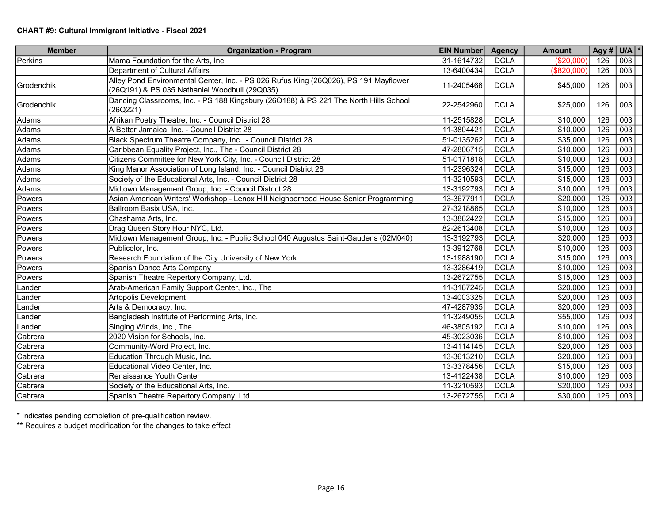| <b>Member</b>      | <b>Organization - Program</b>                                                                                                         | <b>EIN Number</b> | <b>Agency</b> | <b>Amount</b> | Agy # $U/A$ * |     |
|--------------------|---------------------------------------------------------------------------------------------------------------------------------------|-------------------|---------------|---------------|---------------|-----|
| Perkins            | Mama Foundation for the Arts, Inc.                                                                                                    | 31-1614732        | <b>DCLA</b>   | (\$20,000)    | 126           | 003 |
|                    | Department of Cultural Affairs                                                                                                        | 13-6400434        | <b>DCLA</b>   | (\$820,000)   | 126           | 003 |
| <b>IGrodenchik</b> | Alley Pond Environmental Center, Inc. - PS 026 Rufus King (26Q026), PS 191 Mayflower<br>(26Q191) & PS 035 Nathaniel Woodhull (29Q035) | 11-2405466        | <b>DCLA</b>   | \$45,000      | 126           | 003 |
| Grodenchik         | Dancing Classrooms, Inc. - PS 188 Kingsbury (26Q188) & PS 221 The North Hills School<br>(26Q221)                                      | 22-2542960        | <b>DCLA</b>   | \$25,000      | 126           | 003 |
| Adams              | Afrikan Poetry Theatre, Inc. - Council District 28                                                                                    | 11-2515828        | <b>DCLA</b>   | \$10,000      | 126           | 003 |
| Adams              | A Better Jamaica, Inc. - Council District 28                                                                                          | 11-3804421        | <b>DCLA</b>   | \$10,000      | 126           | 003 |
| Adams              | Black Spectrum Theatre Company, Inc. - Council District 28                                                                            | 51-0135262        | <b>DCLA</b>   | \$35,000      | 126           | 003 |
| Adams              | Caribbean Equality Project, Inc., The - Council District 28                                                                           | 47-2806715        | <b>DCLA</b>   | \$10,000      | 126           | 003 |
| Adams              | Citizens Committee for New York City, Inc. - Council District 28                                                                      | 51-0171818        | <b>DCLA</b>   | \$10,000      | 126           | 003 |
| Adams              | King Manor Association of Long Island, Inc. - Council District 28                                                                     | 11-2396324        | <b>DCLA</b>   | \$15,000      | 126           | 003 |
| Adams              | Society of the Educational Arts, Inc. - Council District 28                                                                           | 11-3210593        | <b>DCLA</b>   | \$15,000      | 126           | 003 |
| Adams              | Midtown Management Group, Inc. - Council District 28                                                                                  | 13-3192793        | <b>DCLA</b>   | \$10,000      | 126           | 003 |
| Powers             | Asian American Writers' Workshop - Lenox Hill Neighborhood House Senior Programming                                                   | 13-3677911        | <b>DCLA</b>   | \$20,000      | 126           | 003 |
| Powers             | Ballroom Basix USA, Inc.                                                                                                              | 27-3218865        | <b>DCLA</b>   | \$10,000      | 126           | 003 |
| Powers             | Chashama Arts, Inc.                                                                                                                   | 13-3862422        | <b>DCLA</b>   | \$15,000      | 126           | 003 |
| Powers             | Drag Queen Story Hour NYC, Ltd.                                                                                                       | 82-2613408        | <b>DCLA</b>   | \$10,000      | 126           | 003 |
| Powers             | Midtown Management Group, Inc. - Public School 040 Augustus Saint-Gaudens (02M040)                                                    | 13-3192793        | <b>DCLA</b>   | \$20,000      | 126           | 003 |
| <b>Powers</b>      | Publicolor, Inc.                                                                                                                      | 13-3912768        | <b>DCLA</b>   | \$10,000      | 126           | 003 |
| Powers             | Research Foundation of the City University of New York                                                                                | 13-1988190        | <b>DCLA</b>   | \$15,000      | 126           | 003 |
| Powers             | Spanish Dance Arts Company                                                                                                            | 13-3286419        | <b>DCLA</b>   | \$10,000      | 126           | 003 |
| Powers             | Spanish Theatre Repertory Company, Ltd.                                                                                               | 13-2672755        | <b>DCLA</b>   | \$15,000      | 126           | 003 |
| Lander             | Arab-American Family Support Center, Inc., The                                                                                        | 11-3167245        | <b>DCLA</b>   | \$20,000      | 126           | 003 |
| Lander             | Artopolis Development                                                                                                                 | 13-4003325        | <b>DCLA</b>   | \$20,000      | 126           | 003 |
| Lander             | Arts & Democracy, Inc.                                                                                                                | 47-4287935        | <b>DCLA</b>   | \$20,000      | 126           | 003 |
| Lander             | Bangladesh Institute of Performing Arts, Inc.                                                                                         | 11-3249055        | <b>DCLA</b>   | \$55,000      | 126           | 003 |
| Lander             | Singing Winds, Inc., The                                                                                                              | 46-3805192        | <b>DCLA</b>   | \$10,000      | 126           | 003 |
| Cabrera            | 2020 Vision for Schools, Inc.                                                                                                         | 45-3023036        | <b>DCLA</b>   | \$10,000      | 126           | 003 |
| Cabrera            | Community-Word Project, Inc.                                                                                                          | 13-4114145        | <b>DCLA</b>   | \$20,000      | 126           | 003 |
| Cabrera            | Education Through Music, Inc.                                                                                                         | 13-3613210        | <b>DCLA</b>   | \$20,000      | 126           | 003 |
| Cabrera            | Educational Video Center, Inc.                                                                                                        | 13-3378456        | <b>DCLA</b>   | \$15,000      | 126           | 003 |
| Cabrera            | Renaissance Youth Center                                                                                                              | 13-4122438        | <b>DCLA</b>   | \$10,000      | 126           | 003 |
| Cabrera            | Society of the Educational Arts, Inc.                                                                                                 | 11-3210593        | <b>DCLA</b>   | \$20,000      | 126           | 003 |
| Cabrera            | Spanish Theatre Repertory Company, Ltd.                                                                                               | 13-2672755        | <b>DCLA</b>   | \$30,000      | 126           | 003 |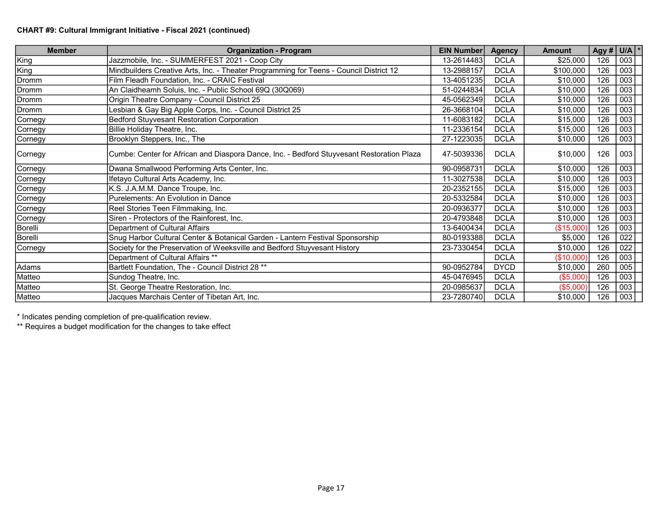## CHART #9: Cultural Immigrant Initiative - Fiscal 2021 (continued)

| <b>Member</b> | <b>Organization - Program</b>                                                             | EIN Number | <b>Agency</b> | <b>Amount</b> | Agy # $U/A$ * |     |
|---------------|-------------------------------------------------------------------------------------------|------------|---------------|---------------|---------------|-----|
| King          | Jazzmobile, Inc. - SUMMERFEST 2021 - Coop City                                            | 13-2614483 | <b>DCLA</b>   | \$25,000      | 126           | 003 |
| King          | Mindbuilders Creative Arts, Inc. - Theater Programming for Teens - Council District 12    | 13-2988157 | <b>DCLA</b>   | \$100,000     | 126           | 003 |
| Dromm         | Film Fleadh Foundation, Inc. - CRAIC Festival                                             | 13-4051235 | <b>DCLA</b>   | \$10,000      | 126           | 003 |
| Dromm         | An Claidheamh Soluis, Inc. - Public School 69Q (30Q069)                                   | 51-0244834 | <b>DCLA</b>   | \$10,000      | 126           | 003 |
| Dromm         | Origin Theatre Company - Council District 25                                              | 45-0562349 | <b>DCLA</b>   | \$10,000      | 126           | 003 |
| Dromm         | Lesbian & Gay Big Apple Corps, Inc. - Council District 25                                 | 26-3668104 | <b>DCLA</b>   | \$10,000      | 126           | 003 |
| Cornegy       | Bedford Stuyvesant Restoration Corporation                                                | 11-6083182 | <b>DCLA</b>   | \$15,000      | 126           | 003 |
| Cornegy       | Billie Holiday Theatre, Inc.                                                              | 11-2336154 | <b>DCLA</b>   | \$15,000      | 126           | 003 |
| Cornegy       | Brooklyn Steppers, Inc., The                                                              | 27-1223035 | <b>DCLA</b>   | \$10,000      | 126           | 003 |
| Cornegy       | Cumbe: Center for African and Diaspora Dance, Inc. - Bedford Stuyvesant Restoration Plaza | 47-5039336 | <b>DCLA</b>   | \$10,000      | 126           | 003 |
| Cornegy       | Dwana Smallwood Performing Arts Center, Inc.                                              | 90-0958731 | <b>DCLA</b>   | \$10,000      | 126           | 003 |
| (Cornegy      | Ifetayo Cultural Arts Academy, Inc.                                                       | 11-3027538 | <b>DCLA</b>   | \$10,000      | 126           | 003 |
| Cornegy       | K.S. J.A.M.M. Dance Troupe, Inc.                                                          | 20-2352155 | <b>DCLA</b>   | \$15,000      | 126           | 003 |
| Cornegy       | Purelements: An Evolution in Dance                                                        | 20-5332584 | <b>DCLA</b>   | \$10,000      | 126           | 003 |
| Cornegy       | Reel Stories Teen Filmmaking, Inc.                                                        | 20-0936377 | <b>DCLA</b>   | \$10,000      | 126           | 003 |
| Cornegy       | Siren - Protectors of the Rainforest, Inc.                                                | 20-4793848 | <b>DCLA</b>   | \$10,000      | 126           | 003 |
| Borelli       | Department of Cultural Affairs                                                            | 13-6400434 | <b>DCLA</b>   | (\$15,000)    | 126           | 003 |
| Borelli       | Snug Harbor Cultural Center & Botanical Garden - Lantern Festival Sponsorship             | 80-0193388 | <b>DCLA</b>   | \$5,000       | 126           | 022 |
| Cornegy       | Society for the Preservation of Weeksville and Bedford Stuyvesant History                 | 23-7330454 | <b>DCLA</b>   | \$10,000      | 126           | 022 |
|               | Department of Cultural Affairs **                                                         |            | <b>DCLA</b>   | (\$10,000)    | 126           | 003 |
| Adams         | Bartlett Foundation, The - Council District 28 **                                         | 90-0952784 | <b>DYCD</b>   | \$10,000      | 260           | 005 |
| Matteo        | Sundog Theatre, Inc.                                                                      | 45-0476945 | <b>DCLA</b>   | (\$5,000)     | 126           | 003 |
| Matteo        | St. George Theatre Restoration, Inc.                                                      | 20-0985637 | <b>DCLA</b>   | (\$5,000)     | 126           | 003 |
| Matteo        | Jacques Marchais Center of Tibetan Art, Inc.                                              | 23-7280740 | <b>DCLA</b>   | \$10,000      | 126           | 003 |

\* Indicates pending completion of pre-qualification review.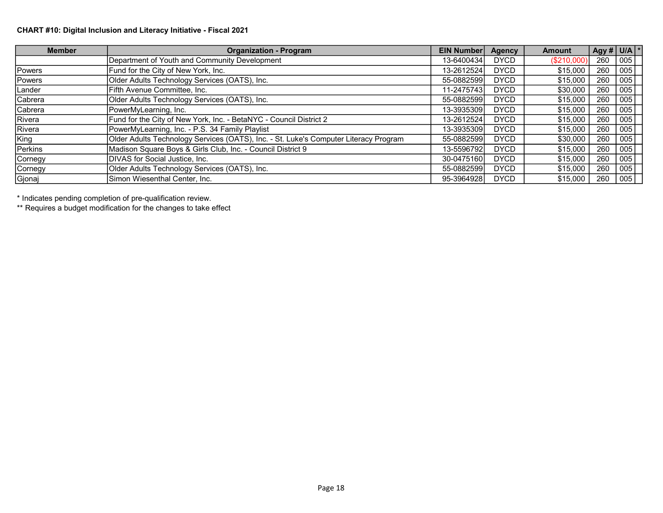## CHART #10: Digital Inclusion and Literacy Initiative - Fiscal 2021

| <b>Member</b> | <b>Organization - Program</b>                                                        | <b>EIN Number</b> | <b>Agency</b> | <b>Amount</b> | Agy # $U/A$ * |     |
|---------------|--------------------------------------------------------------------------------------|-------------------|---------------|---------------|---------------|-----|
|               | Department of Youth and Community Development                                        | 13-6400434        | <b>DYCD</b>   | (S210,000)    | 260           | 005 |
| Powers        | Fund for the City of New York, Inc.                                                  | 13-2612524        | <b>DYCD</b>   | \$15,000      | 260           | 005 |
| Powers        | Older Adults Technology Services (OATS), Inc.                                        | 55-0882599        | <b>DYCD</b>   | \$15,000      | 260           | 005 |
| Lander        | Fifth Avenue Committee, Inc.                                                         | 11-2475743        | <b>DYCD</b>   | \$30,000      | 260           | 005 |
| Cabrera       | Older Adults Technology Services (OATS), Inc.                                        | 55-0882599        | <b>DYCD</b>   | \$15,000      | 260           | 005 |
| Cabrera       | PowerMyLearning, Inc.                                                                | 13-39353091       | <b>DYCD</b>   | \$15,000      | 260           | 005 |
| Rivera        | Fund for the City of New York, Inc. - BetaNYC - Council District 2                   | 13-2612524        | <b>DYCD</b>   | \$15,000      | 260           | 005 |
| Rivera        | PowerMyLearning, Inc. - P.S. 34 Family Playlist                                      | 13-3935309        | <b>DYCD</b>   | \$15,000      | 260           | 005 |
| King          | Older Adults Technology Services (OATS), Inc. - St. Luke's Computer Literacy Program | 55-0882599        | <b>DYCD</b>   | \$30,000      | 260           | 005 |
| Perkins       | Madison Square Boys & Girls Club, Inc. - Council District 9                          | 13-5596792        | <b>DYCD</b>   | \$15,000      | 260           | 005 |
| Cornegy       | DIVAS for Social Justice, Inc.                                                       | 30-0475160        | <b>DYCD</b>   | \$15,000      | 260           | 005 |
| Cornegy       | Older Adults Technology Services (OATS), Inc.                                        | 55-0882599        | <b>DYCD</b>   | \$15,000      | 260           | 005 |
| Gjonaj        | Simon Wiesenthal Center, Inc.                                                        | 95-3964928        | <b>DYCD</b>   | \$15,000      | 260           | 005 |

\* Indicates pending completion of pre-qualification review.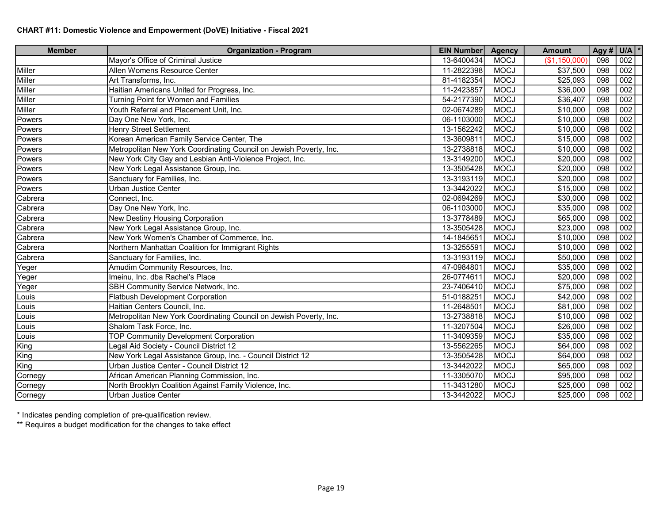| <b>Member</b> | <b>Organization - Program</b>                                      | <b>EIN Number</b> | <b>Agency</b> | <b>Amount</b> | Agy # | $U/A$ $*$ |
|---------------|--------------------------------------------------------------------|-------------------|---------------|---------------|-------|-----------|
|               | Mayor's Office of Criminal Justice                                 | 13-6400434        | <b>MOCJ</b>   | (\$1,150,000) | 098   | 002       |
| Miller        | Allen Womens Resource Center                                       | 11-2822398        | <b>MOCJ</b>   | \$37,500      | 098   | 002       |
| Miller        | Art Transforms, Inc.                                               | 81-4182354        | <b>MOCJ</b>   | \$25,093      | 098   | 002       |
| Miller        | Haitian Americans United for Progress, Inc.                        | 11-2423857        | <b>MOCJ</b>   | \$36,000      | 098   | 002       |
| Miller        | Turning Point for Women and Families                               | 54-2177390        | <b>MOCJ</b>   | \$36,407      | 098   | 002       |
| Miller        | Youth Referral and Placement Unit, Inc.                            | 02-0674289        | <b>MOCJ</b>   | \$10,000      | 098   | 002       |
| Powers        | Day One New York, Inc.                                             | 06-1103000        | <b>MOCJ</b>   | \$10,000      | 098   | 002       |
| Powers        | <b>Henry Street Settlement</b>                                     | 13-1562242        | <b>MOCJ</b>   | \$10,000      | 098   | 002       |
| Powers        | Korean American Family Service Center, The                         | 13-3609811        | <b>MOCJ</b>   | \$15,000      | 098   | 002       |
| Powers        | Metropolitan New York Coordinating Council on Jewish Poverty, Inc. | 13-2738818        | <b>MOCJ</b>   | \$10,000      | 098   | 002       |
| Powers        | New York City Gay and Lesbian Anti-Violence Project, Inc.          | 13-3149200        | <b>MOCJ</b>   | \$20,000      | 098   | 002       |
| Powers        | New York Legal Assistance Group, Inc.                              | 13-3505428        | <b>MOCJ</b>   | \$20,000      | 098   | 002       |
| Powers        | Sanctuary for Families, Inc.                                       | 13-3193119        | <b>MOCJ</b>   | \$20,000      | 098   | 002       |
| Powers        | Urban Justice Center                                               | 13-3442022        | <b>MOCJ</b>   | \$15,000      | 098   | 002       |
| Cabrera       | Connect, Inc.                                                      | 02-0694269        | <b>MOCJ</b>   | \$30,000      | 098   | 002       |
| Cabrera       | Day One New York, Inc.                                             | 06-1103000        | <b>MOCJ</b>   | \$35,000      | 098   | 002       |
| Cabrera       | New Destiny Housing Corporation                                    | 13-3778489        | <b>MOCJ</b>   | \$65,000      | 098   | 002       |
| Cabrera       | New York Legal Assistance Group, Inc.                              | 13-3505428        | <b>MOCJ</b>   | \$23,000      | 098   | 002       |
| Cabrera       | New York Women's Chamber of Commerce, Inc.                         | 14-1845651        | <b>MOCJ</b>   | \$10,000      | 098   | 002       |
| Cabrera       | Northern Manhattan Coalition for Immigrant Rights                  | 13-3255591        | <b>MOCJ</b>   | \$10,000      | 098   | 002       |
| Cabrera       | Sanctuary for Families, Inc.                                       | 13-3193119        | <b>MOCJ</b>   | \$50,000      | 098   | 002       |
| Yeger         | Amudim Community Resources, Inc.                                   | 47-0984801        | <b>MOCJ</b>   | \$35,000      | 098   | 002       |
| Yeger         | Imeinu, Inc. dba Rachel's Place                                    | 26-0774611        | <b>MOCJ</b>   | \$20,000      | 098   | 002       |
| Yeger         | SBH Community Service Network, Inc.                                | 23-7406410        | <b>MOCJ</b>   | \$75,000      | 098   | 002       |
| Louis         | <b>Flatbush Development Corporation</b>                            | 51-0188251        | <b>MOCJ</b>   | \$42,000      | 098   | 002       |
| Louis         | Haitian Centers Council, Inc.                                      | 11-2648501        | <b>MOCJ</b>   | \$81,000      | 098   | 002       |
| Louis         | Metropolitan New York Coordinating Council on Jewish Poverty, Inc. | 13-2738818        | <b>MOCJ</b>   | \$10,000      | 098   | 002       |
| Louis         | Shalom Task Force, Inc.                                            | 11-3207504        | <b>MOCJ</b>   | \$26,000      | 098   | 002       |
| Louis         | <b>TOP Community Development Corporation</b>                       | 11-3409359        | <b>MOCJ</b>   | \$35,000      | 098   | 002       |
| King          | egal Aid Society - Council District 12                             | 13-5562265        | <b>MOCJ</b>   | \$64,000      | 098   | 002       |
| King          | New York Legal Assistance Group, Inc. - Council District 12        | 13-3505428        | <b>MOCJ</b>   | \$64,000      | 098   | 002       |
| King          | Urban Justice Center - Council District 12                         | 13-3442022        | <b>MOCJ</b>   | \$65,000      | 098   | 002       |
| Cornegy       | African American Planning Commission, Inc.                         | 11-3305070        | <b>MOCJ</b>   | \$95,000      | 098   | 002       |
| Cornegy       | North Brooklyn Coalition Against Family Violence, Inc.             | 11-3431280        | <b>MOCJ</b>   | \$25,000      | 098   | 002       |
| Cornegy       | <b>Urban Justice Center</b>                                        | 13-3442022        | <b>MOCJ</b>   | \$25,000      | 098   | 002       |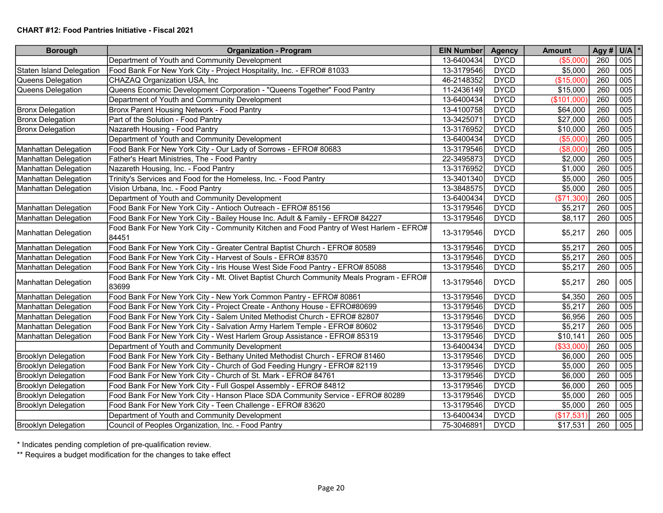#### CHART #12: Food Pantries Initiative - Fiscal 2021

| <b>Borough</b>                  | <b>Organization - Program</b>                                                                    | EIN Number | <b>Agency</b> | <b>Amount</b> |     | Agy # $U/A$ * |
|---------------------------------|--------------------------------------------------------------------------------------------------|------------|---------------|---------------|-----|---------------|
|                                 | Department of Youth and Community Development                                                    | 13-6400434 | <b>DYCD</b>   | (\$5,000      | 260 | 005           |
| <b>Staten Island Delegation</b> | Food Bank For New York City - Project Hospitality, Inc. - EFRO# 81033                            | 13-3179546 | <b>DYCD</b>   | \$5,000       | 260 | 005           |
| Queens Delegation               | CHAZAQ Organization USA, Inc                                                                     | 46-2148352 | <b>DYCD</b>   | (\$15,000)    | 260 | 005           |
| Queens Delegation               | Queens Economic Development Corporation - "Queens Together" Food Pantry                          | 11-2436149 | <b>DYCD</b>   | \$15,000      | 260 | 005           |
|                                 | Department of Youth and Community Development                                                    | 13-6400434 | <b>DYCD</b>   | (\$101,000)   | 260 | 005           |
| Bronx Delegation                | Bronx Parent Housing Network - Food Pantry                                                       | 13-4100758 | <b>DYCD</b>   | \$64,000      | 260 | 005           |
| <b>Bronx Delegation</b>         | Part of the Solution - Food Pantry                                                               | 13-3425071 | <b>DYCD</b>   | \$27,000      | 260 | 005           |
| <b>Bronx Delegation</b>         | Nazareth Housing - Food Pantry                                                                   | 13-3176952 | <b>DYCD</b>   | \$10,000      | 260 | 005           |
|                                 | Department of Youth and Community Development                                                    | 13-6400434 | <b>DYCD</b>   | (\$5,000      | 260 | 005           |
| Manhattan Delegation            | Food Bank For New York City - Our Lady of Sorrows - EFRO# 80683                                  | 13-3179546 | <b>DYCD</b>   | (\$8,000      | 260 | 005           |
| Manhattan Delegation            | Father's Heart Ministries, The - Food Pantry                                                     | 22-3495873 | <b>DYCD</b>   | \$2,000       | 260 | 005           |
| Manhattan Delegation            | Nazareth Housing, Inc. - Food Pantry                                                             | 13-3176952 | <b>DYCD</b>   | \$1,000       | 260 | 005           |
| Manhattan Delegation            | Trinity's Services and Food for the Homeless, Inc. - Food Pantry                                 | 13-3401340 | <b>DYCD</b>   | \$5,000       | 260 | 005           |
| Manhattan Delegation            | Vision Urbana, Inc. - Food Pantry                                                                | 13-3848575 | <b>DYCD</b>   | \$5,000       | 260 | 005           |
|                                 | Department of Youth and Community Development                                                    | 13-6400434 | <b>DYCD</b>   | (\$71,300)    | 260 | 005           |
| Manhattan Delegation            | Food Bank For New York City - Antioch Outreach - EFRO# 85156                                     | 13-3179546 | <b>DYCD</b>   | \$5,217       | 260 | 005           |
| Manhattan Delegation            | Food Bank For New York City - Bailey House Inc. Adult & Family - EFRO# 84227                     | 13-3179546 | <b>DYCD</b>   | \$8,117       | 260 | 005           |
| Manhattan Delegation            | Food Bank For New York City - Community Kitchen and Food Pantry of West Harlem - EFRO#<br>84451  | 13-3179546 | <b>DYCD</b>   | \$5,217       | 260 | 005           |
| <b>Manhattan Delegation</b>     | Food Bank For New York City - Greater Central Baptist Church - EFRO# 80589                       | 13-3179546 | <b>DYCD</b>   | \$5,217       | 260 | 005           |
| <b>Manhattan Delegation</b>     | Food Bank For New York City - Harvest of Souls - EFRO# 83570                                     | 13-3179546 | <b>DYCD</b>   | \$5,217       | 260 | 005           |
| <b>Manhattan Delegation</b>     | Food Bank For New York City - Iris House West Side Food Pantry - EFRO# 85088                     | 13-3179546 | <b>DYCD</b>   | \$5,217       | 260 | 005           |
| Manhattan Delegation            | Food Bank For New York City - Mt. Olivet Baptist Church Community Meals Program - EFRO#<br>83699 | 13-3179546 | <b>DYCD</b>   | \$5,217       | 260 | 005           |
| Manhattan Delegation            | Food Bank For New York City - New York Common Pantry - EFRO# 80861                               | 13-3179546 | <b>DYCD</b>   | \$4,350       | 260 | 005           |
| Manhattan Delegation            | Food Bank For New York City - Project Create - Anthony House - EFRO#80699                        | 13-3179546 | <b>DYCD</b>   | \$5,217       | 260 | 005           |
| Manhattan Delegation            | Food Bank For New York City - Salem United Methodist Church - EFRO# 82807                        | 13-3179546 | <b>DYCD</b>   | \$6,956       | 260 | 005           |
| Manhattan Delegation            | Food Bank For New York City - Salvation Army Harlem Temple - EFRO# 80602                         | 13-3179546 | <b>DYCD</b>   | \$5,217       | 260 | 005           |
| Manhattan Delegation            | Food Bank For New York City - West Harlem Group Assistance - EFRO# 85319                         | 13-3179546 | <b>DYCD</b>   | \$10,141      | 260 | 005           |
|                                 | Department of Youth and Community Development                                                    | 13-6400434 | <b>DYCD</b>   | (\$33,000     | 260 | 005           |
| Brooklyn Delegation             | Food Bank For New York City - Bethany United Methodist Church - EFRO# 81460                      | 13-3179546 | <b>DYCD</b>   | \$6,000       | 260 | 005           |
| <b>Brooklyn Delegation</b>      | Food Bank For New York City - Church of God Feeding Hungry - EFRO# 82119                         | 13-3179546 | <b>DYCD</b>   | \$5,000       | 260 | 005           |
| <b>Brooklyn Delegation</b>      | Food Bank For New York City - Church of St. Mark - EFRO# 84761                                   | 13-3179546 | <b>DYCD</b>   | \$6,000       | 260 | 005           |
| <b>Brooklyn Delegation</b>      | Food Bank For New York City - Full Gospel Assembly - EFRO# 84812                                 | 13-3179546 | <b>DYCD</b>   | \$6,000       | 260 | 005           |
| <b>Brooklyn Delegation</b>      | Food Bank For New York City - Hanson Place SDA Community Service - EFRO# 80289                   | 13-3179546 | <b>DYCD</b>   | \$5,000       | 260 | 005           |
| <b>Brooklyn Delegation</b>      | Food Bank For New York City - Teen Challenge - EFRO# 83620                                       | 13-3179546 | <b>DYCD</b>   | \$5,000       | 260 | 005           |
|                                 | Department of Youth and Community Development                                                    | 13-6400434 | <b>DYCD</b>   | (\$17,531     | 260 | 005           |
| <b>Brooklyn Delegation</b>      | Council of Peoples Organization, Inc. - Food Pantry                                              | 75-3046891 | <b>DYCD</b>   | \$17,531      | 260 | 005           |

\* Indicates pending completion of pre-qualification review.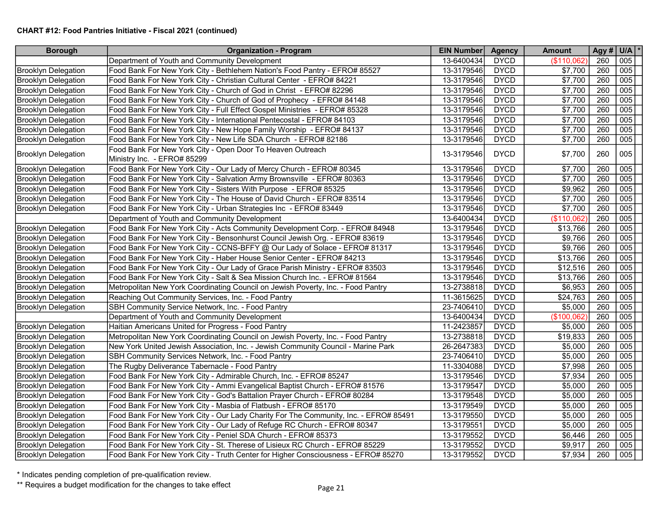## CHART #12: Food Pantries Initiative - Fiscal 2021 (continued)

| <b>Borough</b>             | <b>Organization - Program</b>                                                             | <b>EIN Number</b> | <b>Agency</b> | <b>Amount</b> | Agy # $U/A$ * |     |
|----------------------------|-------------------------------------------------------------------------------------------|-------------------|---------------|---------------|---------------|-----|
|                            | Department of Youth and Community Development                                             | 13-6400434        | <b>DYCD</b>   | (\$110,062    | 260           | 005 |
| <b>Brooklyn Delegation</b> | Food Bank For New York City - Bethlehem Nation's Food Pantry - EFRO# 85527                | 13-3179546        | <b>DYCD</b>   | \$7,700       | 260           | 005 |
| <b>Brooklyn Delegation</b> | Food Bank For New York City - Christian Cultural Center - EFRO# 84221                     | 13-3179546        | <b>DYCD</b>   | \$7,700       | 260           | 005 |
| <b>Brooklyn Delegation</b> | Food Bank For New York City - Church of God in Christ - EFRO# 82296                       | 13-3179546        | <b>DYCD</b>   | \$7,700       | 260           | 005 |
| <b>Brooklyn Delegation</b> | Food Bank For New York City - Church of God of Prophecy - EFRO# 84148                     | 13-3179546        | <b>DYCD</b>   | \$7,700       | 260           | 005 |
| <b>Brooklyn Delegation</b> | Food Bank For New York City - Full Effect Gospel Ministries - EFRO# 85328                 | 13-3179546        | <b>DYCD</b>   | \$7,700       | 260           | 005 |
| <b>Brooklyn Delegation</b> | Food Bank For New York City - International Pentecostal - EFRO# 84103                     | 13-3179546        | <b>DYCD</b>   | \$7,700       | 260           | 005 |
| Brooklyn Delegation        | Food Bank For New York City - New Hope Family Worship - EFRO# 84137                       | 13-3179546        | <b>DYCD</b>   | \$7,700       | 260           | 005 |
| <b>Brooklyn Delegation</b> | Food Bank For New York City - New Life SDA Church - EFRO# 82186                           | 13-3179546        | <b>DYCD</b>   | \$7,700       | 260           | 005 |
| <b>Brooklyn Delegation</b> | Food Bank For New York City - Open Door To Heaven Outreach<br>Ministry Inc. - EFRO# 85299 | 13-3179546        | <b>DYCD</b>   | \$7,700       | 260           | 005 |
| <b>Brooklyn Delegation</b> | Food Bank For New York City - Our Lady of Mercy Church - EFRO# 80345                      | 13-3179546        | <b>DYCD</b>   | \$7,700       | 260           | 005 |
| Brooklyn Delegation        | Food Bank For New York City - Salvation Army Brownsville - EFRO# 80363                    | 13-3179546        | <b>DYCD</b>   | \$7,700       | 260           | 005 |
| <b>Brooklyn Delegation</b> | Food Bank For New York City - Sisters With Purpose - EFRO# 85325                          | 13-3179546        | <b>DYCD</b>   | \$9,962       | 260           | 005 |
| <b>Brooklyn Delegation</b> | Food Bank For New York City - The House of David Church - EFRO# 83514                     | 13-3179546        | <b>DYCD</b>   | \$7,700       | 260           | 005 |
| <b>Brooklyn Delegation</b> | Food Bank For New York City - Urban Strategies Inc - EFRO# 83449                          | 13-3179546        | <b>DYCD</b>   | \$7,700       | 260           | 005 |
|                            | Department of Youth and Community Development                                             | 13-6400434        | <b>DYCD</b>   | (\$110,062]   | 260           | 005 |
| <b>Brooklyn Delegation</b> | Food Bank For New York City - Acts Community Development Corp. - EFRO# 84948              | 13-3179546        | <b>DYCD</b>   | \$13,766      | 260           | 005 |
| <b>Brooklyn Delegation</b> | Food Bank For New York City - Bensonhurst Council Jewish Org. - EFRO# 83619               | 13-3179546        | <b>DYCD</b>   | \$9,766       | 260           | 005 |
| <b>Brooklyn Delegation</b> | Food Bank For New York City - CCNS-BFFY @ Our Lady of Solace - EFRO# 81317                | 13-3179546        | <b>DYCD</b>   | \$9,766       | 260           | 005 |
| <b>Brooklyn Delegation</b> | Food Bank For New York City - Haber House Senior Center - EFRO# 84213                     | 13-3179546        | <b>DYCD</b>   | \$13,766      | 260           | 005 |
| Brooklyn Delegation        | Food Bank For New York City - Our Lady of Grace Parish Ministry - EFRO# 83503             | 13-3179546        | <b>DYCD</b>   | \$12,516      | 260           | 005 |
| <b>Brooklyn Delegation</b> | Food Bank For New York City - Salt & Sea Mission Church Inc. - EFRO# 81564                | 13-3179546        | <b>DYCD</b>   | \$13,766      | 260           | 005 |
| <b>Brooklyn Delegation</b> | Metropolitan New York Coordinating Council on Jewish Poverty, Inc. - Food Pantry          | 13-2738818        | <b>DYCD</b>   | \$6,953       | 260           | 005 |
| <b>Brooklyn Delegation</b> | Reaching Out Community Services, Inc. - Food Pantry                                       | 11-3615625        | <b>DYCD</b>   | \$24,763      | 260           | 005 |
| <b>Brooklyn Delegation</b> | SBH Community Service Network, Inc. - Food Pantry                                         | 23-7406410        | <b>DYCD</b>   | \$5,000       | 260           | 005 |
|                            | Department of Youth and Community Development                                             | 13-6400434        | <b>DYCD</b>   | (\$100,062)   | 260           | 005 |
| <b>Brooklyn Delegation</b> | Haitian Americans United for Progress - Food Pantry                                       | 11-2423857        | <b>DYCD</b>   | \$5,000       | 260           | 005 |
| <b>Brooklyn Delegation</b> | Metropolitan New York Coordinating Council on Jewish Poverty, Inc. - Food Pantry          | 13-2738818        | <b>DYCD</b>   | \$19,833      | 260           | 005 |
| <b>Brooklyn Delegation</b> | New York United Jewish Association, Inc. - Jewish Community Council - Marine Park         | 26-2647383        | <b>DYCD</b>   | \$5,000       | 260           | 005 |
| <b>Brooklyn Delegation</b> | SBH Community Services Network, Inc. - Food Pantry                                        | 23-7406410        | <b>DYCD</b>   | \$5,000       | 260           | 005 |
| <b>Brooklyn Delegation</b> | The Rugby Deliverance Tabernacle - Food Pantry                                            | 11-3304088        | <b>DYCD</b>   | \$7,998       | 260           | 005 |
| <b>Brooklyn Delegation</b> | Food Bank For New York City - Admirable Church, Inc. - EFRO# 85247                        | 13-3179546        | <b>DYCD</b>   | \$7,934       | 260           | 005 |
| <b>Brooklyn Delegation</b> | Food Bank For New York City - Ammi Evangelical Baptist Church - EFRO# 81576               | 13-3179547        | <b>DYCD</b>   | \$5,000       | 260           | 005 |
| Brooklyn Delegation        | Food Bank For New York City - God's Battalion Prayer Church - EFRO# 80284                 | 13-3179548        | <b>DYCD</b>   | \$5,000       | 260           | 005 |
| <b>Brooklyn Delegation</b> | Food Bank For New York City - Masbia of Flatbush - EFRO# 85170                            | 13-3179549        | <b>DYCD</b>   | \$5,000       | 260           | 005 |
| <b>Brooklyn Delegation</b> | Food Bank For New York City - Our Lady Charity For The Community, Inc. - EFRO# 85491      | 13-3179550        | <b>DYCD</b>   | \$5,000       | 260           | 005 |
| <b>Brooklyn Delegation</b> | Food Bank For New York City - Our Lady of Refuge RC Church - EFRO# 80347                  | 13-3179551        | <b>DYCD</b>   | \$5,000       | 260           | 005 |
| <b>Brooklyn Delegation</b> | Food Bank For New York City - Peniel SDA Church - EFRO# 85373                             | 13-3179552        | <b>DYCD</b>   | \$6,446       | 260           | 005 |
| <b>Brooklyn Delegation</b> | Food Bank For New York City - St. Therese of Lisieux RC Church - EFRO# 85229              | 13-3179552        | <b>DYCD</b>   | \$9,917       | 260           | 005 |
| <b>Brooklyn Delegation</b> | Food Bank For New York City - Truth Center for Higher Consciousness - EFRO# 85270         | 13-3179552        | <b>DYCD</b>   | \$7,934       | 260           | 005 |

\* Indicates pending completion of pre-qualification review.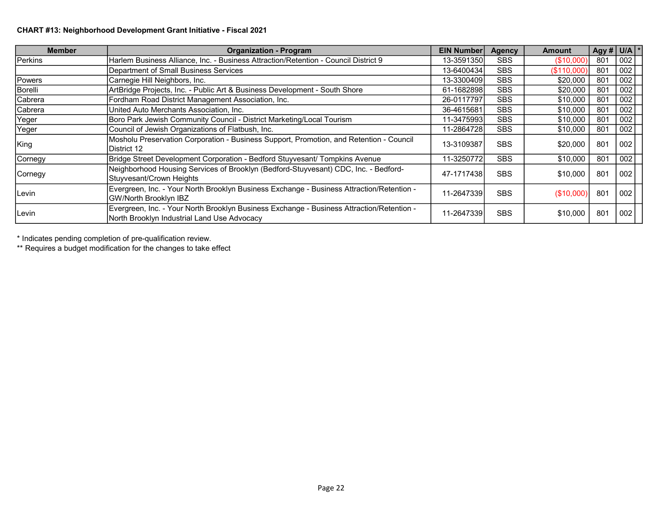## CHART #13: Neighborhood Development Grant Initiative - Fiscal 2021

| <b>Member</b>  | <b>Organization - Program</b>                                                                                                            | <b>EIN Number</b> | <b>Agency</b> | <b>Amount</b> | $\operatorname{Agy}$ # U/A \ |     |
|----------------|------------------------------------------------------------------------------------------------------------------------------------------|-------------------|---------------|---------------|------------------------------|-----|
| Perkins        | Harlem Business Alliance, Inc. - Business Attraction/Retention - Council District 9                                                      | 13-3591350        | <b>SBS</b>    | (\$10,000)    | 801                          | 002 |
|                | Department of Small Business Services                                                                                                    | 13-6400434        | <b>SBS</b>    | (\$110,000)   | 801                          | 002 |
| <b>Powers</b>  | Carnegie Hill Neighbors, Inc.                                                                                                            | 13-3300409        | <b>SBS</b>    | \$20,000      | 801                          | 002 |
| Borelli        | ArtBridge Projects, Inc. - Public Art & Business Development - South Shore                                                               | 61-1682898        | <b>SBS</b>    | \$20,000      | 801                          | 002 |
| Cabrera        | Fordham Road District Management Association, Inc.                                                                                       | 26-0117797        | <b>SBS</b>    | \$10,000      | 801                          | 002 |
| Cabrera        | United Auto Merchants Association, Inc.                                                                                                  | 36-4615681        | <b>SBS</b>    | \$10,000      | 801                          | 002 |
| Yeger          | Boro Park Jewish Community Council - District Marketing/Local Tourism                                                                    | 11-34759931       | <b>SBS</b>    | \$10,000      | 801                          | 002 |
| Yeger          | Council of Jewish Organizations of Flatbush, Inc.                                                                                        | 11-2864728        | <b>SBS</b>    | \$10,000      | 801                          | 002 |
| King           | Mosholu Preservation Corporation - Business Support, Promotion, and Retention - Council<br>IDistrict 12                                  | 13-3109387        | <b>SBS</b>    | \$20,000      | 801                          | 002 |
| <b>Cornegy</b> | Bridge Street Development Corporation - Bedford Stuyvesant/ Tompkins Avenue                                                              | 11-3250772        | <b>SBS</b>    | \$10,000      | 801                          | 002 |
| <b>Cornegy</b> | Neighborhood Housing Services of Brooklyn (Bedford-Stuyvesant) CDC, Inc. - Bedford-<br>Stuyvesant/Crown Heights                          | 47-1717438        | <b>SBS</b>    | \$10,000      | 801                          | 002 |
| Levin          | Evergreen, Inc. - Your North Brooklyn Business Exchange - Business Attraction/Retention -<br><b>GW/North Brooklyn IBZ</b>                | 11-2647339        | <b>SBS</b>    | (\$10,000)    | 801                          | 002 |
| Levin          | Evergreen, Inc. - Your North Brooklyn Business Exchange - Business Attraction/Retention -<br>North Brooklyn Industrial Land Use Advocacy | 11-26473391       | <b>SBS</b>    | \$10,000      | 801                          | 002 |

\* Indicates pending completion of pre-qualification review.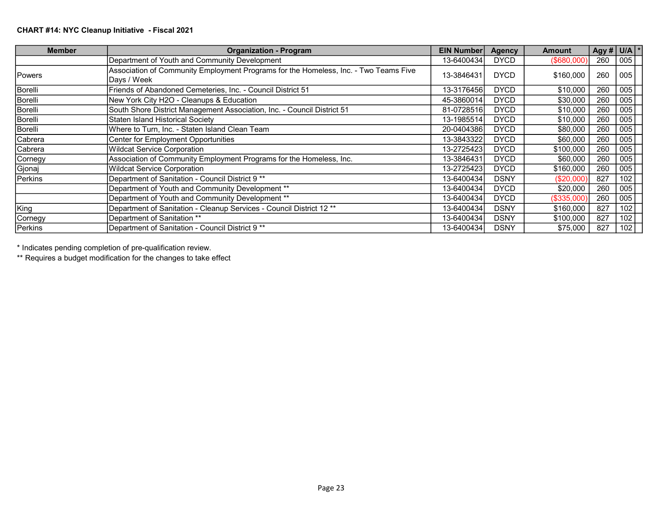## CHART #14: NYC Cleanup Initiative - Fiscal 2021

| <b>Member</b> | <b>Organization - Program</b>                                                                       | <b>EIN Number</b> | <b>Agency</b> | <b>Amount</b> | Agy # $ U/A $ * |     |
|---------------|-----------------------------------------------------------------------------------------------------|-------------------|---------------|---------------|-----------------|-----|
|               | Department of Youth and Community Development                                                       | 13-6400434        | <b>DYCD</b>   | (\$680,000)   | 260             | 005 |
| <b>Powers</b> | Association of Community Employment Programs for the Homeless, Inc. - Two Teams Five<br>Days / Week | 13-3846431        | <b>DYCD</b>   | \$160,000     | 260             | 005 |
| Borelli       | Friends of Abandoned Cemeteries, Inc. - Council District 51                                         | 13-3176456        | <b>DYCD</b>   | \$10,000      | 260             | 005 |
| Borelli       | New York City H2O - Cleanups & Education                                                            | 45-3860014        | <b>DYCD</b>   | \$30,000      | 260             | 005 |
| Borelli       | South Shore District Management Association, Inc. - Council District 51                             | 81-0728516        | <b>DYCD</b>   | \$10,000      | 260             | 005 |
| Borelli       | Staten Island Historical Society                                                                    | 13-1985514        | <b>DYCD</b>   | \$10,000      | 260             | 005 |
| Borelli       | Where to Turn, Inc. - Staten Island Clean Team                                                      | 20-0404386        | <b>DYCD</b>   | \$80,000      | 260             | 005 |
| Cabrera       | Center for Employment Opportunities                                                                 | 13-38433221       | <b>DYCD</b>   | \$60,000      | 260             | 005 |
| Cabrera       | <b>Wildcat Service Corporation</b>                                                                  | 13-27254231       | <b>DYCD</b>   | \$100,000     | 260             | 005 |
| Cornegy       | Association of Community Employment Programs for the Homeless, Inc.                                 | 13-3846431        | <b>DYCD</b>   | \$60,000      | 260             | 005 |
| Gjonaj        | <b>Wildcat Service Corporation</b>                                                                  | 13-27254231       | <b>DYCD</b>   | \$160,000     | 260             | 005 |
| Perkins       | Department of Sanitation - Council District 9 **                                                    | 13-6400434        | <b>DSNY</b>   | (\$20,000)    | 827             | 102 |
|               | Department of Youth and Community Development **                                                    | 13-6400434        | <b>DYCD</b>   | \$20,000      | 260             | 005 |
|               | Department of Youth and Community Development **                                                    | 13-6400434        | <b>DYCD</b>   | (\$335,000    | 260             | 005 |
| King          | Department of Sanitation - Cleanup Services - Council District 12 **                                | 13-6400434        | <b>DSNY</b>   | \$160,000     | 827             | 102 |
| Cornegy       | Department of Sanitation **                                                                         | 13-64004341       | <b>DSNY</b>   | \$100,000     | 827             | 102 |
| Perkins       | Department of Sanitation - Council District 9 **                                                    | 13-64004341       | <b>DSNY</b>   | \$75,000      | 827             | 102 |

\* Indicates pending completion of pre-qualification review.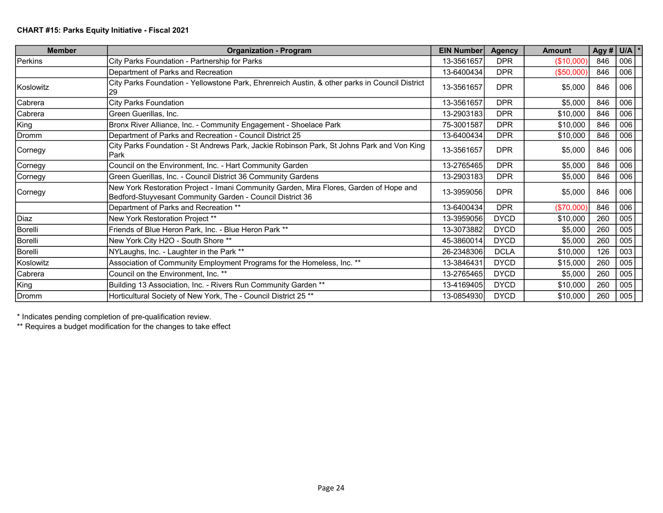| <b>Member</b>    | <b>Organization - Program</b>                                                                                                                       | <b>EIN Number</b> | <b>Agency</b> | <b>Amount</b> | Agy # $U/A$ * |     |
|------------------|-----------------------------------------------------------------------------------------------------------------------------------------------------|-------------------|---------------|---------------|---------------|-----|
| Perkins          | City Parks Foundation - Partnership for Parks                                                                                                       | 13-3561657        | <b>DPR</b>    | (\$10,000)    | 846           | 006 |
|                  | Department of Parks and Recreation                                                                                                                  | 13-6400434        | <b>DPR</b>    | (\$50,000)    | 846           | 006 |
| <b>Koslowitz</b> | City Parks Foundation - Yellowstone Park, Ehrenreich Austin, & other parks in Council District<br>29                                                | 13-3561657        | <b>DPR</b>    | \$5,000       | 846           | 006 |
| Cabrera          | City Parks Foundation                                                                                                                               | 13-3561657        | <b>DPR</b>    | \$5,000       | 846           | 006 |
| Cabrera          | Green Guerillas, Inc.                                                                                                                               | 13-2903183        | <b>DPR</b>    | \$10,000      | 846           | 006 |
| King             | Bronx River Alliance, Inc. - Community Engagement - Shoelace Park                                                                                   | 75-3001587        | <b>DPR</b>    | \$10,000      | 846           | 006 |
| Dromm            | Department of Parks and Recreation - Council District 25                                                                                            | 13-6400434        | <b>DPR</b>    | \$10,000      | 846           | 006 |
| Cornegy          | City Parks Foundation - St Andrews Park, Jackie Robinson Park, St Johns Park and Von King<br><b>IPark</b>                                           | 13-3561657        | <b>DPR</b>    | \$5,000       | 846           | 006 |
| Cornegy          | Council on the Environment, Inc. - Hart Community Garden                                                                                            | 13-2765465        | <b>DPR</b>    | \$5,000       | 846           | 006 |
| Cornegy          | Green Guerillas, Inc. - Council District 36 Community Gardens                                                                                       | 13-2903183        | <b>DPR</b>    | \$5,000       | 846           | 006 |
| Cornegy          | New York Restoration Project - Imani Community Garden, Mira Flores, Garden of Hope and<br>Bedford-Stuyvesant Community Garden - Council District 36 | 13-3959056        | <b>DPR</b>    | \$5,000       | 846           | 006 |
|                  | Department of Parks and Recreation **                                                                                                               | 13-6400434        | <b>DPR</b>    | (\$70,000)    | 846           | 006 |
| Diaz             | New York Restoration Project **                                                                                                                     | 13-3959056        | <b>DYCD</b>   | \$10,000      | 260           | 005 |
| Borelli          | Friends of Blue Heron Park, Inc. - Blue Heron Park **                                                                                               | 13-3073882        | <b>DYCD</b>   | \$5,000       | 260           | 005 |
| Borelli          | New York City H2O - South Shore **                                                                                                                  | 45-3860014        | <b>DYCD</b>   | \$5,000       | 260           | 005 |
| Borelli          | NYLaughs, Inc. - Laughter in the Park **                                                                                                            | 26-2348306        | <b>DCLA</b>   | \$10,000      | 126           | 003 |
| Koslowitz        | Association of Community Employment Programs for the Homeless, Inc. **                                                                              | 13-3846431        | <b>DYCD</b>   | \$15,000      | 260           | 005 |
| Cabrera          | Council on the Environment, Inc. **                                                                                                                 | 13-2765465        | <b>DYCD</b>   | \$5,000       | 260           | 005 |
| King             | Building 13 Association, Inc. - Rivers Run Community Garden **                                                                                      | 13-4169405        | <b>DYCD</b>   | \$10,000      | 260           | 005 |
| Dromm            | Horticultural Society of New York, The - Council District 25 **                                                                                     | 13-0854930        | <b>DYCD</b>   | \$10,000      | 260           | 005 |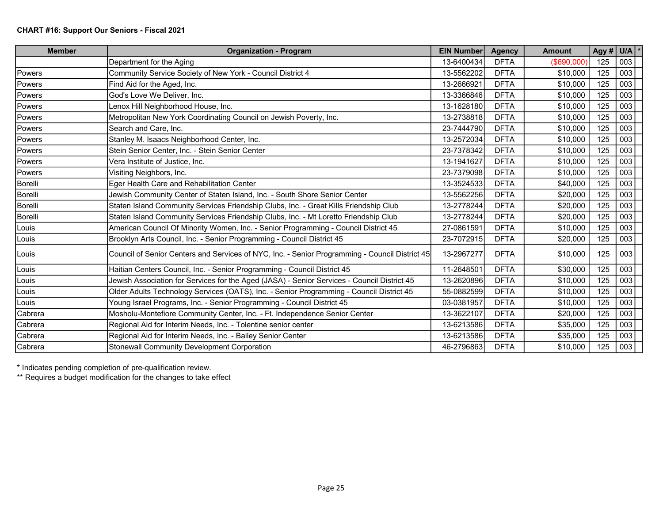| <b>Member</b> | <b>Organization - Program</b>                                                                  | <b>EIN Number</b> | <b>Agency</b> | <b>Amount</b>  | Agy # | $U/A$ $*$ |
|---------------|------------------------------------------------------------------------------------------------|-------------------|---------------|----------------|-------|-----------|
|               | Department for the Aging                                                                       | 13-6400434        | <b>DFTA</b>   | $($ \$690,000) | 125   | 003       |
| Powers        | Community Service Society of New York - Council District 4                                     | 13-5562202        | <b>DFTA</b>   | \$10,000       | 125   | 003       |
| Powers        | Find Aid for the Aged, Inc.                                                                    | 13-2666921        | <b>DFTA</b>   | \$10,000       | 125   | 003       |
| Powers        | God's Love We Deliver, Inc.                                                                    | 13-3366846        | <b>DFTA</b>   | \$10,000       | 125   | 003       |
| Powers        | enox Hill Neighborhood House, Inc.                                                             | 13-1628180        | <b>DFTA</b>   | \$10,000       | 125   | 003       |
| Powers        | Metropolitan New York Coordinating Council on Jewish Poverty, Inc.                             | 13-2738818        | <b>DFTA</b>   | \$10,000       | 125   | 003       |
| Powers        | Search and Care, Inc.                                                                          | 23-7444790        | <b>DFTA</b>   | \$10,000       | 125   | 003       |
| Powers        | Stanley M. Isaacs Neighborhood Center, Inc.                                                    | 13-2572034        | <b>DFTA</b>   | \$10,000       | 125   | 003       |
| Powers        | Stein Senior Center, Inc. - Stein Senior Center                                                | 23-7378342        | <b>DFTA</b>   | \$10,000       | 125   | 003       |
| Powers        | Vera Institute of Justice, Inc.                                                                | 13-1941627        | <b>DFTA</b>   | \$10,000       | 125   | 003       |
| Powers        | Visiting Neighbors, Inc.                                                                       | 23-7379098        | <b>DFTA</b>   | \$10,000       | 125   | 003       |
| Borelli       | Eger Health Care and Rehabilitation Center                                                     | 13-3524533        | <b>DFTA</b>   | \$40,000       | 125   | 003       |
| Borelli       | Jewish Community Center of Staten Island, Inc. - South Shore Senior Center                     | 13-5562256        | <b>DFTA</b>   | \$20,000       | 125   | 003       |
| Borelli       | Staten Island Community Services Friendship Clubs, Inc. - Great Kills Friendship Club          | 13-2778244        | <b>DFTA</b>   | \$20,000       | 125   | 003       |
| Borelli       | Staten Island Community Services Friendship Clubs, Inc. - Mt Loretto Friendship Club           | 13-2778244        | <b>DFTA</b>   | \$20,000       | 125   | 003       |
| Louis         | American Council Of Minority Women, Inc. - Senior Programming - Council District 45            | 27-0861591        | <b>DFTA</b>   | \$10,000       | 125   | 003       |
| Louis         | Brooklyn Arts Council, Inc. - Senior Programming - Council District 45                         | 23-7072915        | <b>DFTA</b>   | \$20,000       | 125   | 003       |
| Louis         | Council of Senior Centers and Services of NYC, Inc. - Senior Programming - Council District 45 | 13-2967277        | <b>DFTA</b>   | \$10,000       | 125   | 003       |
| Louis         | Haitian Centers Council, Inc. - Senior Programming - Council District 45                       | 11-2648501        | <b>DFTA</b>   | \$30,000       | 125   | 003       |
| Louis         | Jewish Association for Services for the Aged (JASA) - Senior Services - Council District 45    | 13-2620896        | <b>DFTA</b>   | \$10,000       | 125   | 003       |
| Louis         | Older Adults Technology Services (OATS), Inc. - Senior Programming - Council District 45       | 55-0882599        | <b>DFTA</b>   | \$10,000       | 125   | 003       |
| Louis         | Young Israel Programs, Inc. - Senior Programming - Council District 45                         | 03-0381957        | <b>DFTA</b>   | \$10,000       | 125   | 003       |
| Cabrera       | Mosholu-Montefiore Community Center, Inc. - Ft. Independence Senior Center                     | 13-3622107        | <b>DFTA</b>   | \$20,000       | 125   | 003       |
| Cabrera       | Regional Aid for Interim Needs, Inc. - Tolentine senior center                                 | 13-6213586        | <b>DFTA</b>   | \$35,000       | 125   | 003       |
| Cabrera       | Regional Aid for Interim Needs, Inc. - Bailey Senior Center                                    | 13-6213586        | <b>DFTA</b>   | \$35,000       | 125   | 003       |
| Cabrera       | <b>Stonewall Community Development Corporation</b>                                             | 46-2796863        | <b>DFTA</b>   | \$10,000       | 125   | 003       |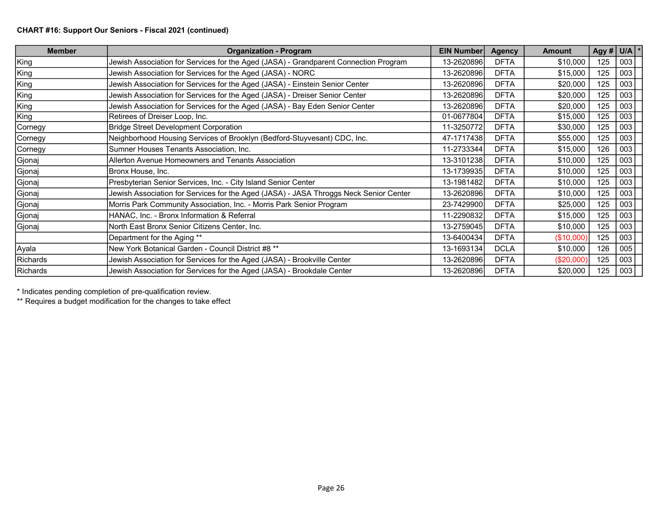## CHART #16: Support Our Seniors - Fiscal 2021 (continued)

| <b>Member</b>   | <b>Organization - Program</b>                                                         | <b>EIN Number</b> | <b>Agency</b> | <b>Amount</b> | Agy # $U/A$ * |     |
|-----------------|---------------------------------------------------------------------------------------|-------------------|---------------|---------------|---------------|-----|
| King            | Jewish Association for Services for the Aged (JASA) - Grandparent Connection Program  | 13-2620896        | <b>DFTA</b>   | \$10,000      | 125           | 003 |
| King            | Jewish Association for Services for the Aged (JASA) - NORC                            | 13-2620896        | <b>DFTA</b>   | \$15,000      | 125           | 003 |
| King            | Jewish Association for Services for the Aged (JASA) - Einstein Senior Center          | 13-2620896        | <b>DFTA</b>   | \$20,000      | 125           | 003 |
| King            | Jewish Association for Services for the Aged (JASA) - Dreiser Senior Center           | 13-2620896        | <b>DFTA</b>   | \$20,000      | 125           | 003 |
| King            | Jewish Association for Services for the Aged (JASA) - Bay Eden Senior Center          | 13-2620896        | <b>DFTA</b>   | \$20,000      | 125           | 003 |
| King            | Retirees of Dreiser Loop, Inc.                                                        | 01-0677804        | <b>DFTA</b>   | \$15,000      | 125           | 003 |
| Cornegy         | <b>Bridge Street Development Corporation</b>                                          | 11-3250772        | <b>DFTA</b>   | \$30,000      | 125           | 003 |
| Cornegy         | Neighborhood Housing Services of Brooklyn (Bedford-Stuyvesant) CDC, Inc.              | 47-1717438        | <b>DFTA</b>   | \$55,000      | 125           | 003 |
| Cornegy         | Sumner Houses Tenants Association, Inc.                                               | 11-2733344        | <b>DFTA</b>   | \$15,000      | 126           | 003 |
| Gjonaj          | Allerton Avenue Homeowners and Tenants Association                                    | 13-3101238        | <b>DFTA</b>   | \$10,000      | 125           | 003 |
| Gjonaj          | Bronx House, Inc.                                                                     | 13-1739935        | <b>DFTA</b>   | \$10,000      | 125           | 003 |
| Gjonaj          | Presbyterian Senior Services, Inc. - City Island Senior Center                        | 13-1981482        | <b>DFTA</b>   | \$10,000      | 125           | 003 |
| Gjonaj          | Jewish Association for Services for the Aged (JASA) - JASA Throggs Neck Senior Center | 13-2620896        | <b>DFTA</b>   | \$10,000      | 125           | 003 |
| Gjonaj          | Morris Park Community Association, Inc. - Morris Park Senior Program                  | 23-7429900        | <b>DFTA</b>   | \$25,000      | 125           | 003 |
| Gjonaj          | HANAC, Inc. - Bronx Information & Referral                                            | 11-2290832        | <b>DFTA</b>   | \$15,000      | 125           | 003 |
| Gjonaj          | North East Bronx Senior Citizens Center, Inc.                                         | 13-2759045        | <b>DFTA</b>   | \$10,000      | 125           | 003 |
|                 | Department for the Aging **                                                           | 13-6400434        | <b>DFTA</b>   | (\$10,000)    | 125           | 003 |
| Ayala           | New York Botanical Garden - Council District #8 **                                    | 13-1693134        | <b>DCLA</b>   | \$10,000      | 126           | 005 |
| Richards        | Jewish Association for Services for the Aged (JASA) - Brookville Center               | 13-2620896        | <b>DFTA</b>   | (\$20,000)    | 125           | 003 |
| <b>Richards</b> | Jewish Association for Services for the Aged (JASA) - Brookdale Center                | 13-2620896        | <b>DFTA</b>   | \$20,000      | 125           | 003 |

\* Indicates pending completion of pre-qualification review.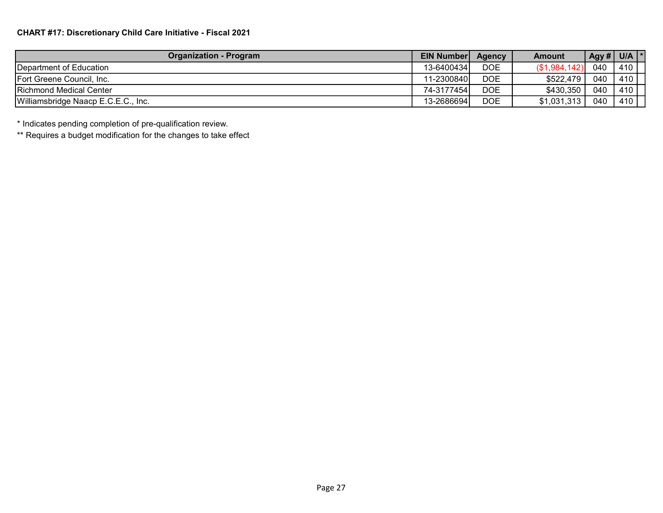| <b>Organization - Program</b>       | <b>EIN Number</b> | <b>Agency</b> | Amount       |     | Agy # $ $ U/A $ $ * |
|-------------------------------------|-------------------|---------------|--------------|-----|---------------------|
| <b>IDepartment of Education</b>     | 13-6400434        | <b>DOE</b>    | (S1,984,142) | 040 | 410                 |
| Fort Greene Council, Inc.           | 11-2300840        | <b>DOE</b>    | \$522,479    | 040 | 410                 |
| Richmond Medical Center             | 74-3177454        | <b>DOE</b>    | \$430,350    | 040 | 410                 |
| Williamsbridge Naacp E.C.E.C., Inc. | 13-2686694        | <b>DOE</b>    | \$1,031,313  | 040 | 410                 |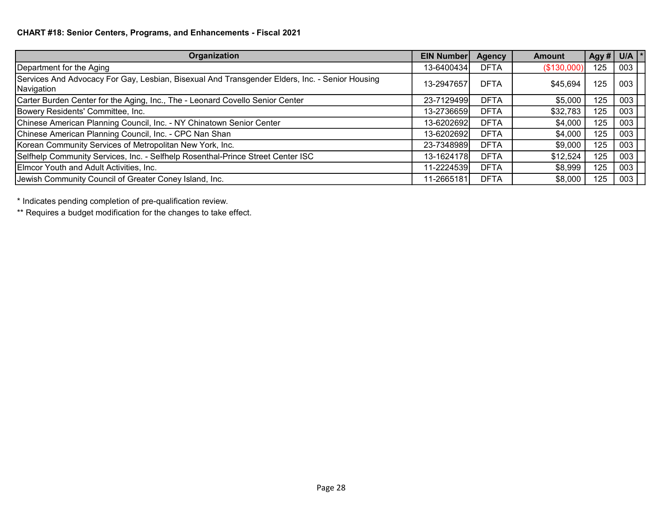| Organization                                                                                                 | <b>EIN Number</b> | <b>Agency</b> | <b>Amount</b> |     | Agy# U/A $\vert$ * |
|--------------------------------------------------------------------------------------------------------------|-------------------|---------------|---------------|-----|--------------------|
| Department for the Aging                                                                                     | 13-6400434        | <b>DFTA</b>   | (\$130,000)   | 125 | 003                |
| Services And Advocacy For Gay, Lesbian, Bisexual And Transgender Elders, Inc. - Senior Housing<br>Navigation | 13-2947657        | <b>DFTA</b>   | \$45,694      | 125 | 003                |
| Carter Burden Center for the Aging, Inc., The - Leonard Covello Senior Center                                | 23-7129499        | <b>DFTA</b>   | \$5,000       | 125 | 003                |
| Bowery Residents' Committee, Inc.                                                                            | 13-2736659        | <b>DFTA</b>   | \$32,783      | 125 | 003                |
| Chinese American Planning Council, Inc. - NY Chinatown Senior Center                                         | 13-6202692        | <b>DFTA</b>   | \$4,000       | 125 | 003                |
| Chinese American Planning Council, Inc. - CPC Nan Shan                                                       | 13-6202692        | <b>DFTA</b>   | \$4,000       | 125 | 003                |
| Korean Community Services of Metropolitan New York, Inc.                                                     | 23-7348989        | <b>DFTA</b>   | \$9,000       | 125 | 003                |
| Selfhelp Community Services, Inc. - Selfhelp Rosenthal-Prince Street Center ISC                              | 13-1624178        | <b>DFTA</b>   | \$12,524      | 125 | 003                |
| Elmcor Youth and Adult Activities, Inc.                                                                      | 11-2224539        | <b>DFTA</b>   | \$8,999       | 125 | 003                |
| Jewish Community Council of Greater Coney Island, Inc.                                                       | 11-2665181        | <b>DFTA</b>   | \$8,000       | 125 | 003                |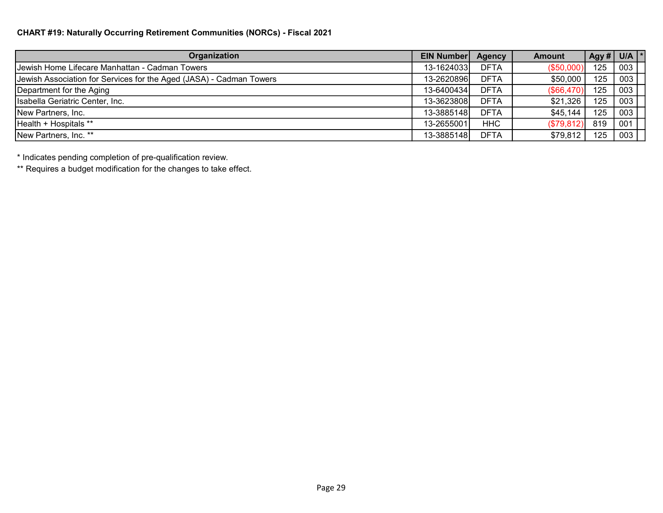## CHART #19: Naturally Occurring Retirement Communities (NORCs) - Fiscal 2021

| Organization                                                        | <b>EIN Number</b> | <b>Agency</b> | <b>Amount</b> |     | Agy # $ $ U/A $ $ * |
|---------------------------------------------------------------------|-------------------|---------------|---------------|-----|---------------------|
| Uewish Home Lifecare Manhattan - Cadman Towers                      | 13-1624033        | <b>DFTA</b>   | (\$50,000)    | 125 | 003                 |
| Jewish Association for Services for the Aged (JASA) - Cadman Towers | 13-2620896        | <b>DFTA</b>   | \$50,000      | 125 | 003                 |
| Department for the Aging                                            | 13-6400434        | <b>DFTA</b>   | (\$66,470)    | 125 | 003                 |
| Isabella Geriatric Center, Inc.                                     | 13-3623808        | <b>DFTA</b>   | \$21,326      | 125 | 003                 |
| New Partners, Inc.                                                  | 13-3885148        | <b>DFTA</b>   | \$45,144      | 125 | 003                 |
| Health + Hospitals **                                               | 13-2655001        | <b>HHC</b>    | (\$79,812)    | 819 | 001                 |
| New Partners, Inc. **                                               | 13-3885148        | <b>DFTA</b>   | \$79,812      | 125 | 003                 |

\* Indicates pending completion of pre-qualification review.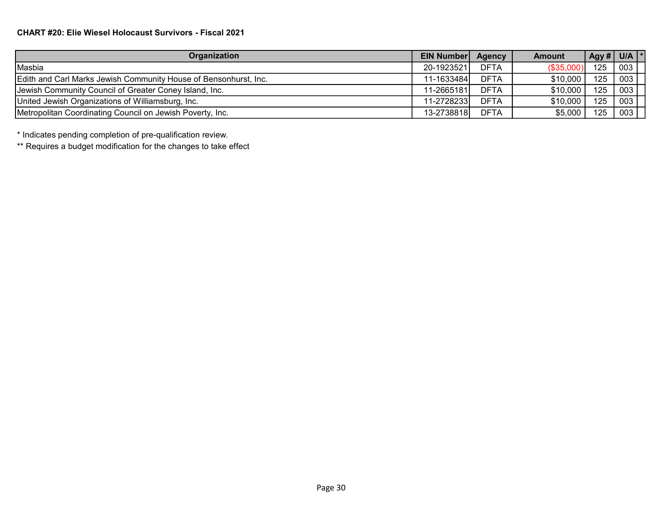# CHART #20: Elie Wiesel Holocaust Survivors - Fiscal 2021

| Organization                                                     | <b>EIN Number Agency</b> |             | <b>Amount</b> |     | Agy # $ $ U/A $ $ * |
|------------------------------------------------------------------|--------------------------|-------------|---------------|-----|---------------------|
| Masbia                                                           | 20-1923521               | <b>DFTA</b> | (\$35,000)    | 125 | 003                 |
| Edith and Carl Marks Jewish Community House of Bensonhurst, Inc. | 11-1633484               | <b>DFTA</b> | \$10,000      | 125 | 003                 |
| Jewish Community Council of Greater Coney Island, Inc.           | 11-2665181               | <b>DFTA</b> | \$10,000      | 125 | 003                 |
| United Jewish Organizations of Williamsburg, Inc.                | 11-2728233               | <b>DFTA</b> | \$10,000      | 125 | 003                 |
| Metropolitan Coordinating Council on Jewish Poverty, Inc.        | 13-2738818               | <b>DFTA</b> | \$5,000       | 125 | 003                 |

\* Indicates pending completion of pre-qualification review.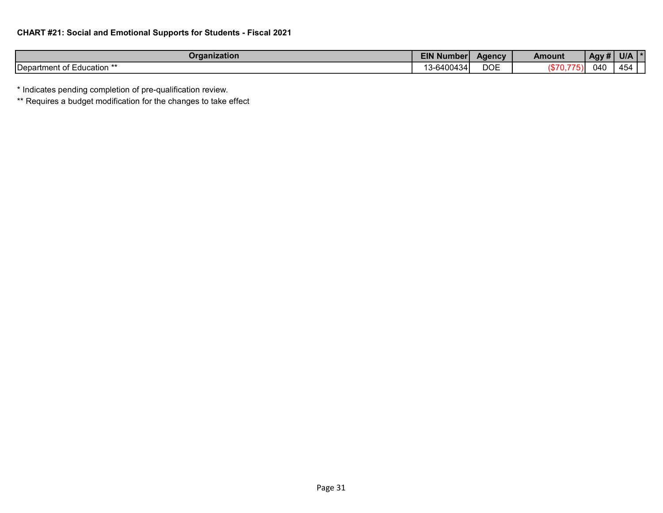| Organization                 | EIN<br>.<br>l Number | Agency     | <b>Amount</b>      | Agy # | <b>U/A</b> |
|------------------------------|----------------------|------------|--------------------|-------|------------|
| Department of I<br>Education | ا400434د             | <b>DOE</b> | <b>1870</b><br>, ن | 040   | 454        |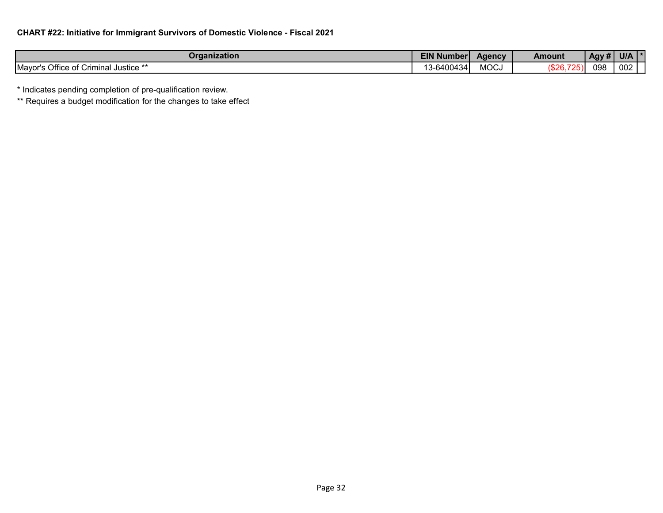| Organization                                          | <b>EIN Numberi</b>                             | Agency         | Amount           | . .<br>Agy# | <b>U/A</b> |
|-------------------------------------------------------|------------------------------------------------|----------------|------------------|-------------|------------|
| Mayor's Office of<br>11° ′mminal Justice'<br>∩Ť<br>◡᠁ | $\sim$ . $\sim$ .<br>640043<br>- 34.<br>$\sim$ | $\sim$<br>MUUJ | \$26<br>ب جا و - | 098         | 002        |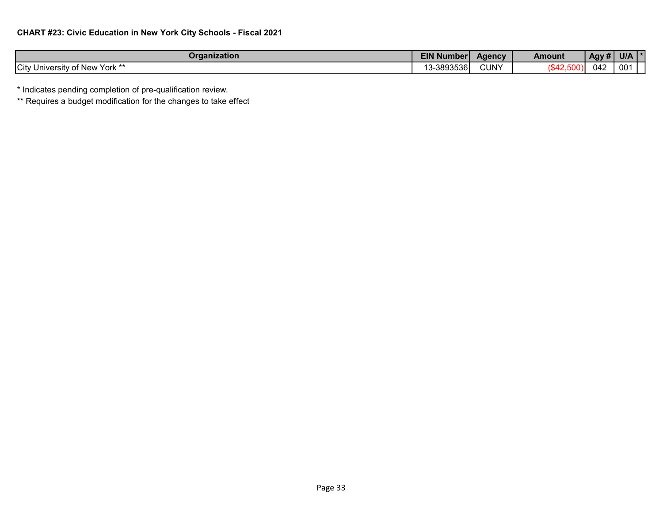| Organization                                       | <b>EIN</b><br>.<br><b>Number</b> | Agency      | Amount | $.$ Agy $#$        | <b>U/A</b>      |
|----------------------------------------------------|----------------------------------|-------------|--------|--------------------|-----------------|
| <b>City</b><br>' York **<br>of New<br>University < | -3893536l                        | <b>CUNY</b> |        | $0.1^\circ$<br>∪∸∠ | 00 <sup>4</sup> |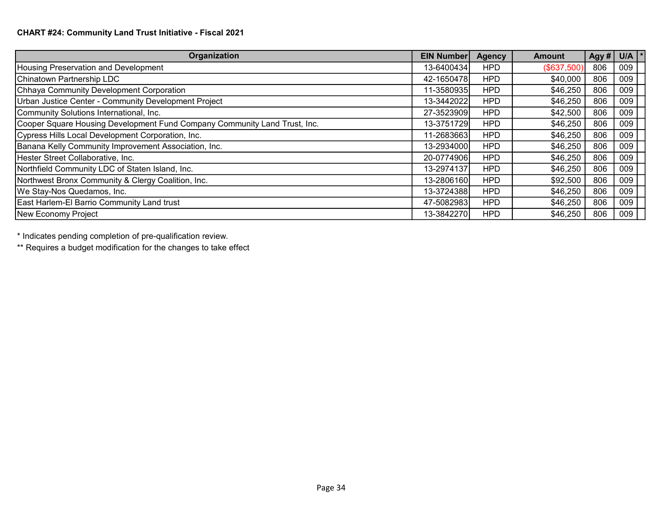| Organization                                                              | <b>EIN Number</b> | <b>Agency</b> | <b>Amount</b> | Agy # | $U/A$  * |
|---------------------------------------------------------------------------|-------------------|---------------|---------------|-------|----------|
| Housing Preservation and Development                                      | 13-6400434        | <b>HPD</b>    | (\$637,500)   | 806   | 009      |
| Chinatown Partnership LDC                                                 | 42-1650478        | <b>HPD</b>    | \$40,000      | 806   | 009      |
| Chhaya Community Development Corporation                                  | 11-3580935        | <b>HPD</b>    | \$46,250      | 806   | 009      |
| Urban Justice Center - Community Development Project                      | 13-3442022        | <b>HPD</b>    | \$46,250      | 806   | 009      |
| Community Solutions International, Inc.                                   | 27-3523909        | <b>HPD</b>    | \$42,500      | 806   | 009      |
| Cooper Square Housing Development Fund Company Community Land Trust, Inc. | 13-3751729        | <b>HPD</b>    | \$46,250      | 806   | 009      |
| Cypress Hills Local Development Corporation, Inc.                         | 11-2683663        | <b>HPD</b>    | \$46,250      | 806   | 009      |
| Banana Kelly Community Improvement Association, Inc.                      | 13-2934000        | <b>HPD</b>    | \$46,250      | 806   | 009      |
| Hester Street Collaborative, Inc.                                         | 20-0774906        | <b>HPD</b>    | \$46,250      | 806   | 009      |
| Northfield Community LDC of Staten Island, Inc.                           | 13-2974137        | <b>HPD</b>    | \$46,250      | 806   | 009      |
| Northwest Bronx Community & Clergy Coalition, Inc.                        | 13-2806160        | <b>HPD</b>    | \$92,500      | 806   | 009      |
| We Stay-Nos Quedamos, Inc.                                                | 13-3724388        | <b>HPD</b>    | \$46,250      | 806   | 009      |
| East Harlem-El Barrio Community Land trust                                | 47-5082983        | <b>HPD</b>    | \$46,250      | 806   | 009      |
| New Economy Project                                                       | 13-3842270        | <b>HPD</b>    | \$46,250      | 806   | 009      |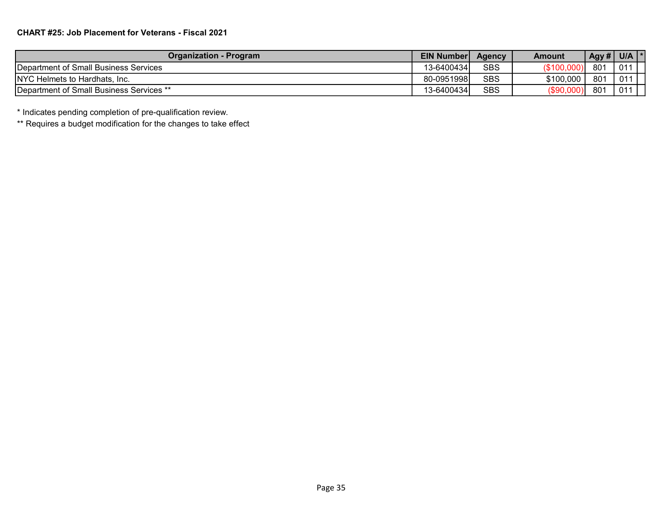| <b>Organization - Program</b>                    | <b>EIN Number</b> | <b>Agency</b> | Amount      | Agy # $ $ U/A |     |
|--------------------------------------------------|-------------------|---------------|-------------|---------------|-----|
| <b>IDepartment of Small Business Services</b>    | 13-6400434        | <b>SBS</b>    | (\$100,000) | 801           | 011 |
| <b>NYC Helmets to Hardhats, Inc.</b>             | 80-0951998        | <b>SBS</b>    | \$100,000   | 801           | 011 |
| <b>IDepartment of Small Business Services **</b> | 13-6400434        | <b>SBS</b>    | (\$90,000)  | 801           | 011 |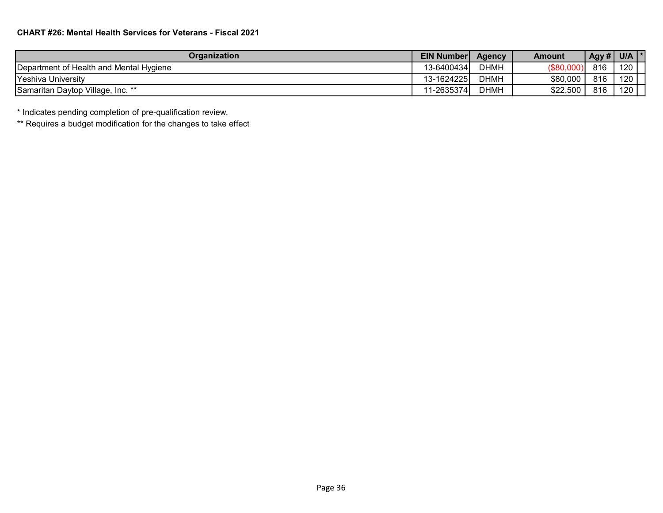| <b>Organization</b>                     | <b>EIN Number</b> | <b>Agency</b> | Amount     | Agy # $\vert$ | U/A |
|-----------------------------------------|-------------------|---------------|------------|---------------|-----|
| Department of Health and Mental Hygiene | 13-64004341       | <b>DHMH</b>   | (\$80,000) | 816           | 120 |
| Yeshiva University                      | 13-1624225        | <b>DHMH</b>   | \$80,000   | 816           | 120 |
| Samaritan Daytop Village, Inc. **       | 11-2635374        | <b>DHMH</b>   | \$22,500   | 816           | 120 |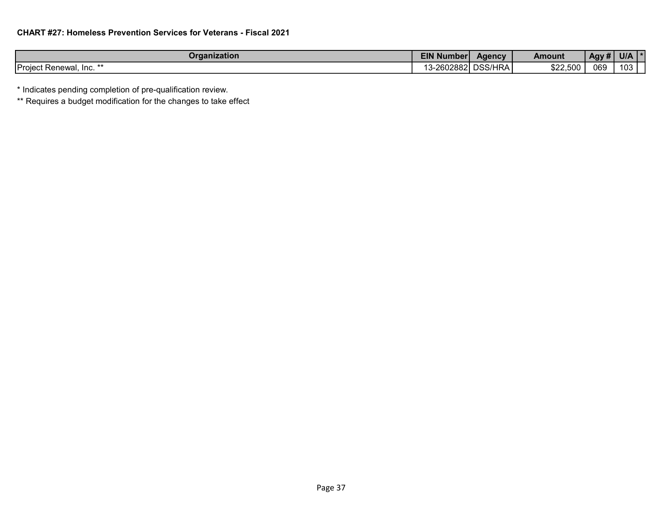| Organization             | <b>EIN Number</b>                      | Agency                       | Amount   | $^,$ Agy # | <b>U/A</b> |
|--------------------------|----------------------------------------|------------------------------|----------|------------|------------|
| Project<br>Renewal, Inc. | $\sim$ 028821 i.e.<br>--<br>. ZUUZUUZI | JDA<br>nee/L<br>וטטע׳<br>INA | \$22,500 | 069        | 103        |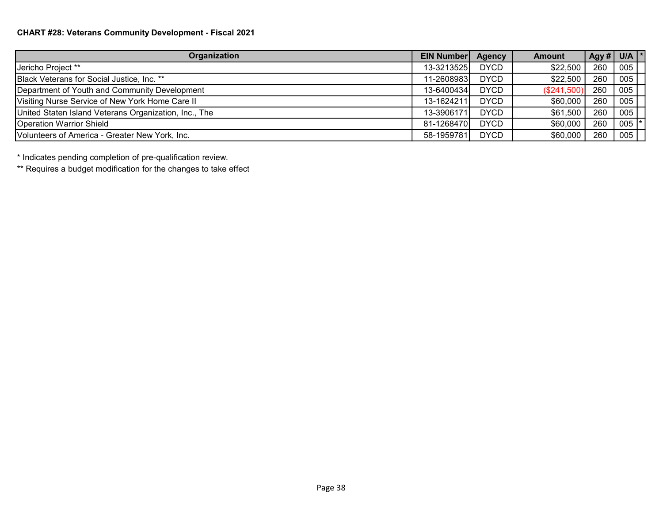| Organization                                          | <b>EIN Number</b> | Agency      | <b>Amount</b> |     | $\sqrt{$ Agy # $\sqrt{ }$ U/A $\ket*$ |
|-------------------------------------------------------|-------------------|-------------|---------------|-----|---------------------------------------|
| Jericho Project **                                    | 13-3213525        | <b>DYCD</b> | \$22,500      | 260 | 005                                   |
| Black Veterans for Social Justice, Inc. **            | 11-2608983        | <b>DYCD</b> | \$22,500      | 260 | 005                                   |
| Department of Youth and Community Development         | 13-6400434        | <b>DYCD</b> | (\$241,500)   | 260 | 005                                   |
| Visiting Nurse Service of New York Home Care II       | 13-1624211        | <b>DYCD</b> | \$60,000      | 260 | 005                                   |
| United Staten Island Veterans Organization, Inc., The | 13-3906171        | <b>DYCD</b> | \$61,500      | 260 | 005                                   |
| <b>Operation Warrior Shield</b>                       | 81-1268470        | <b>DYCD</b> | \$60,000      | 260 | 005                                   |
| Volunteers of America - Greater New York, Inc.        | 58-1959781        | <b>DYCD</b> | \$60,000      | 260 | 005                                   |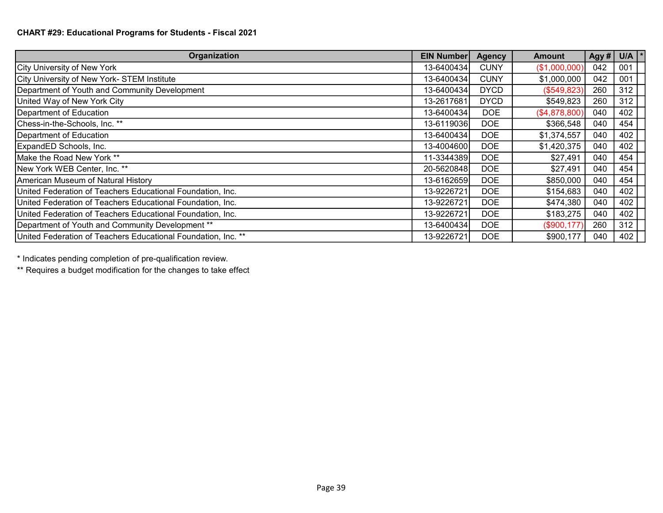## CHART #29: Educational Programs for Students - Fiscal 2021

| Organization                                                  | <b>EIN Number</b> | <b>Agency</b> | <b>Amount</b> | Agy # | U/A $\vert$ * |
|---------------------------------------------------------------|-------------------|---------------|---------------|-------|---------------|
| City University of New York                                   | 13-6400434        | <b>CUNY</b>   | (\$1,000,000) | 042   | 001           |
| City University of New York- STEM Institute                   | 13-6400434        | <b>CUNY</b>   | \$1,000,000   | 042   | 001           |
| Department of Youth and Community Development                 | 13-6400434        | <b>DYCD</b>   | (\$549,823)   | 260   | 312           |
| United Way of New York City                                   | 13-2617681        | <b>DYCD</b>   | \$549,823     | 260   | 312           |
| Department of Education                                       | 13-6400434        | <b>DOE</b>    | (\$4,878,800) | 040   | 402           |
| Chess-in-the-Schools, Inc. **                                 | 13-6119036        | <b>DOE</b>    | \$366,548     | 040   | 454           |
| Department of Education                                       | 13-6400434        | <b>DOE</b>    | \$1,374,557   | 040   | 402           |
| ExpandED Schools, Inc.                                        | 13-4004600        | <b>DOE</b>    | \$1,420,375   | 040   | 402           |
| Make the Road New York **                                     | 11-3344389        | <b>DOE</b>    | \$27,491      | 040   | 454           |
| New York WEB Center, Inc. **                                  | 20-5620848        | <b>DOE</b>    | \$27,491      | 040   | 454           |
| American Museum of Natural History                            | 13-6162659        | <b>DOE</b>    | \$850,000     | 040   | 454           |
| United Federation of Teachers Educational Foundation, Inc.    | 13-9226721        | <b>DOE</b>    | \$154,683     | 040   | 402           |
| United Federation of Teachers Educational Foundation, Inc.    | 13-9226721        | <b>DOE</b>    | \$474,380     | 040   | 402           |
| United Federation of Teachers Educational Foundation, Inc.    | 13-9226721        | <b>DOE</b>    | \$183,275     | 040   | 402           |
| Department of Youth and Community Development **              | 13-6400434        | <b>DOE</b>    | (\$900, 177)  | 260   | 312           |
| United Federation of Teachers Educational Foundation, Inc. ** | 13-9226721        | DOE           | \$900,177     | 040   | 402           |

\* Indicates pending completion of pre-qualification review.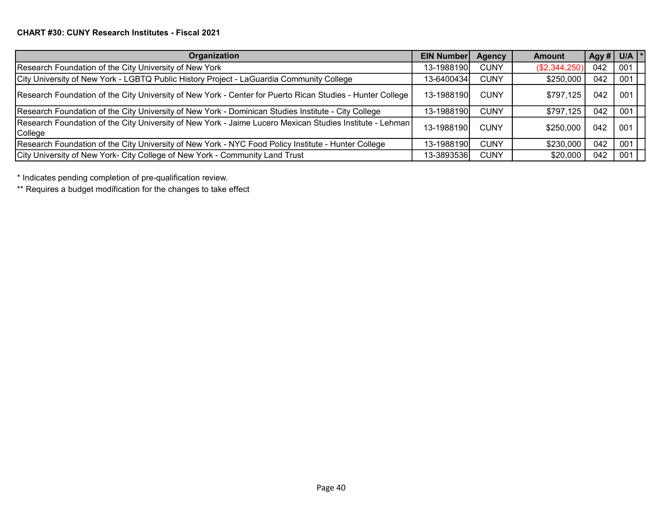| Organization                                                                                                        | <b>EIN Number</b> | <b>Agency</b> | <b>Amount</b> |     | $\log y \#   U/A   *$ |
|---------------------------------------------------------------------------------------------------------------------|-------------------|---------------|---------------|-----|-----------------------|
| Research Foundation of the City University of New York                                                              | 13-1988190        | <b>CUNY</b>   | (\$2,344,250) | 042 | 001                   |
| City University of New York - LGBTQ Public History Project - LaGuardia Community College                            | 13-6400434        | <b>CUNY</b>   | \$250,000     | 042 | 001                   |
| Research Foundation of the City University of New York - Center for Puerto Rican Studies - Hunter College           | 13-1988190        | <b>CUNY</b>   | \$797,125     | 042 | 001                   |
| Research Foundation of the City University of New York - Dominican Studies Institute - City College                 | 13-1988190        | <b>CUNY</b>   | \$797,125     | 042 | 001                   |
| Research Foundation of the City University of New York - Jaime Lucero Mexican Studies Institute - Lehman<br>College | 13-1988190        | <b>CUNY</b>   | \$250,000     | 042 | 001                   |
| Research Foundation of the City University of New York - NYC Food Policy Institute - Hunter College                 | 13-1988190        | <b>CUNY</b>   | \$230,000     | 042 | 001                   |
| City University of New York- City College of New York - Community Land Trust                                        | 13-3893536        | <b>CUNY</b>   | \$20,000      | 042 | 001                   |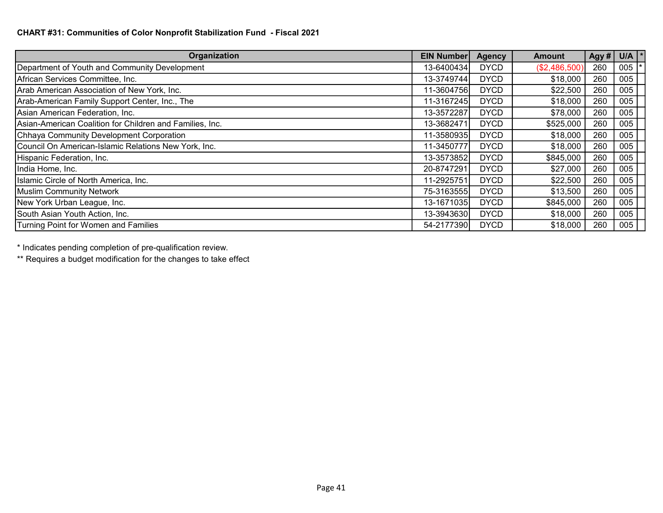| Organization                                             | <b>EIN Number</b> | <b>Agency</b> | Amount        | Agy # | U/A $\vert$ * |
|----------------------------------------------------------|-------------------|---------------|---------------|-------|---------------|
| Department of Youth and Community Development            | 13-6400434        | <b>DYCD</b>   | (\$2,486,500) | 260   | 005           |
| African Services Committee, Inc.                         | 13-3749744        | <b>DYCD</b>   | \$18,000      | 260   | 005           |
| Arab American Association of New York, Inc.              | 11-3604756        | <b>DYCD</b>   | \$22,500      | 260   | 005           |
| Arab-American Family Support Center, Inc., The           | 11-3167245        | <b>DYCD</b>   | \$18,000      | 260   | 005           |
| Asian American Federation, Inc.                          | 13-3572287        | <b>DYCD</b>   | \$78,000      | 260   | 005           |
| Asian-American Coalition for Children and Families, Inc. | 13-3682471        | <b>DYCD</b>   | \$525,000     | 260   | 005           |
| Chhaya Community Development Corporation                 | 11-3580935        | <b>DYCD</b>   | \$18,000      | 260   | 005           |
| Council On American-Islamic Relations New York, Inc.     | 11-3450777        | <b>DYCD</b>   | \$18,000      | 260   | 005           |
| Hispanic Federation, Inc.                                | 13-3573852        | <b>DYCD</b>   | \$845,000     | 260   | 005           |
| India Home, Inc.                                         | 20-8747291        | <b>DYCD</b>   | \$27,000      | 260   | 005           |
| Islamic Circle of North America, Inc.                    | 11-2925751        | <b>DYCD</b>   | \$22,500      | 260   | 005           |
| Muslim Community Network                                 | 75-3163555        | <b>DYCD</b>   | \$13,500      | 260   | 005           |
| New York Urban League, Inc.                              | 13-1671035        | <b>DYCD</b>   | \$845,000     | 260   | 005           |
| South Asian Youth Action, Inc.                           | 13-3943630        | <b>DYCD</b>   | \$18,000      | 260   | 005           |
| Turning Point for Women and Families                     | 54-2177390        | <b>DYCD</b>   | \$18,000      | 260   | 005           |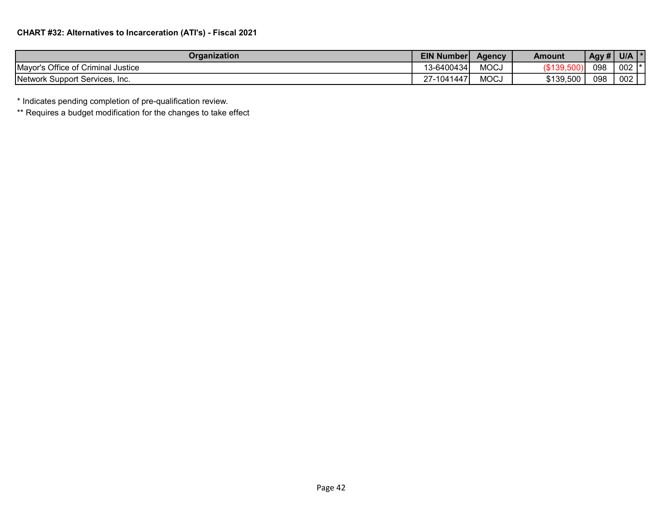| Organization                       | <b>EIN Number</b> | <b>Agency</b> | <b>Amount</b> | Agy # | U/A                 |
|------------------------------------|-------------------|---------------|---------------|-------|---------------------|
| Mayor's Office of Criminal Justice | 13-6400434'       | MOP<br>טששועו | (\$139,50ს,   | 098   | 002<br>$\mathbf{r}$ |
| Network Support Services, Inc.     | ا1041447∍∠        | MOP<br>טששועו | \$139,500     | 098   | 002                 |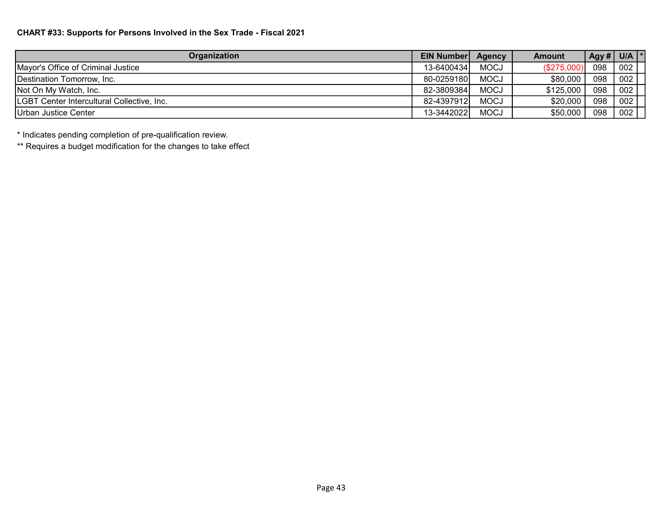## CHART #33: Supports for Persons Involved in the Sex Trade - Fiscal 2021

| Organization                               | <b>EIN Number</b> | Agency      | Amount      |     | Agy # $ $ U/A $ $ * |
|--------------------------------------------|-------------------|-------------|-------------|-----|---------------------|
| Mayor's Office of Criminal Justice         | 13-6400434        | <b>MOCJ</b> | (\$275,000) | 098 | 002                 |
| <b>IDestination Tomorrow. Inc.</b>         | 80-0259180        | <b>MOCJ</b> | \$80,000    | 098 | 002                 |
| Not On My Watch, Inc.                      | 82-3809384        | <b>MOCJ</b> | \$125,000   | 098 | 002                 |
| LGBT Center Intercultural Collective, Inc. | 82-4397912        | <b>MOCJ</b> | \$20,000    | 098 | 002                 |
| <b>IUrban Justice Center</b>               | 13-3442022        | <b>MOCJ</b> | \$50,000    | 098 | 002                 |

\* Indicates pending completion of pre-qualification review.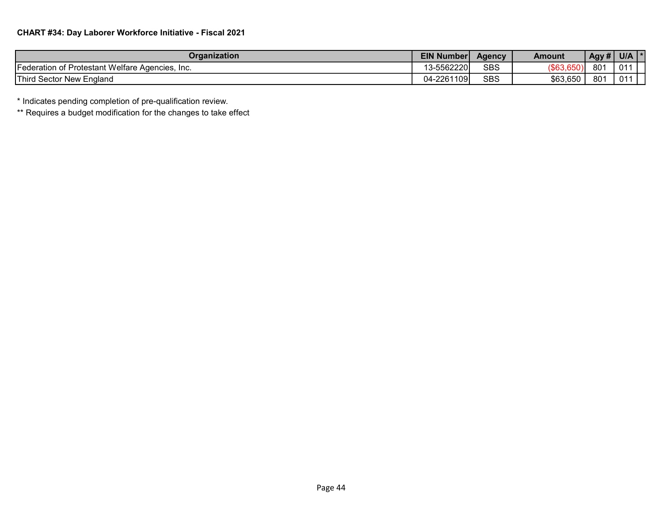| Organization                                                         | <b>EIN Number</b> | <b>Agency</b> | Amount           | Agy #           | <b>U/A</b>      |
|----------------------------------------------------------------------|-------------------|---------------|------------------|-----------------|-----------------|
| $\sim$ $\sim$<br>TFederation of Protestant Welfare Agencies.<br>Inc. | 13-5562220        | <b>SBS</b>    | $($ \$63,650 $)$ | 801             | 01 <sup>1</sup> |
| Third Sector New England                                             | 04-2261109        | <b>SBS</b>    | \$63,650         | 80 <sup>2</sup> | 011             |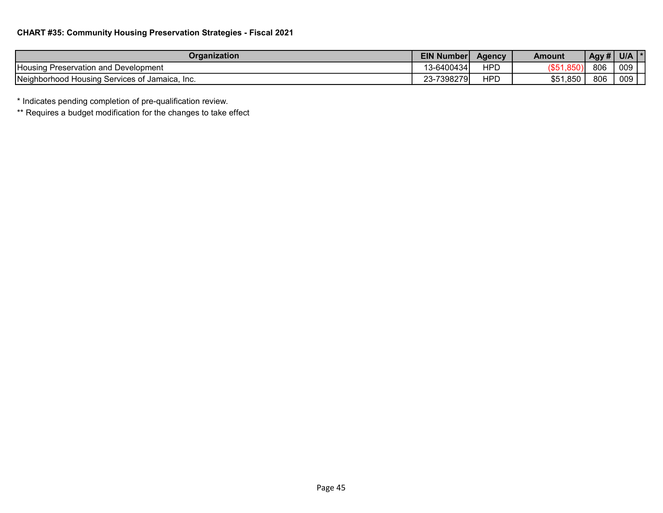| Organization                                             | <b>EIN Number</b>        | Agency | <b>Amount</b> | Agy# | U/A |
|----------------------------------------------------------|--------------------------|--------|---------------|------|-----|
| <b>Housing</b><br>' Preservation and Development         | 13-6400434               | ⊣PC    | . טש          | 806  | 009 |
| Neighborhood I<br>d Housing Services of Jamaica.<br>-Inc | ·7398279 <br>ററ<br>′ -د∠ | HPD    | \$51,850      | 806  | 009 |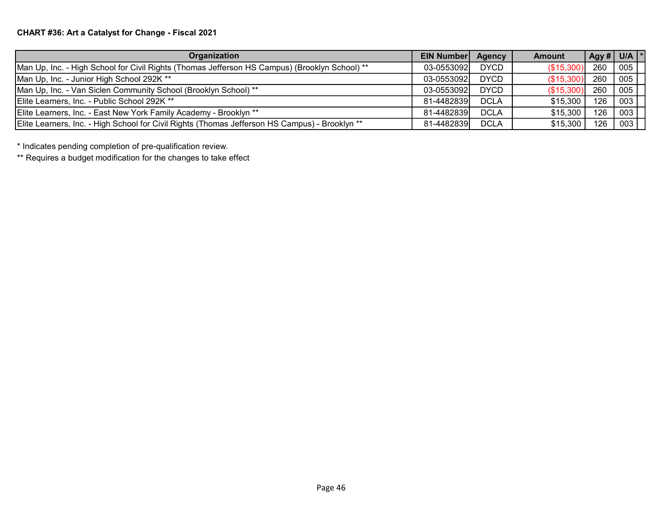# CHART #36: Art a Catalyst for Change - Fiscal 2021

| Organization                                                                                   | <b>EIN Number</b> | <b>Agency</b> | <b>Amount</b> |     | $\log y \#$ U/A $\sim$ |
|------------------------------------------------------------------------------------------------|-------------------|---------------|---------------|-----|------------------------|
| Man Up, Inc. - High School for Civil Rights (Thomas Jefferson HS Campus) (Brooklyn School) **  | 03-0553092        | <b>DYCD</b>   | (\$15,300)    | 260 | 005                    |
| Man Up, Inc. - Junior High School 292K **                                                      | 03-0553092        | <b>DYCD</b>   | (S15,300)     | 260 | 005                    |
| Man Up, Inc. - Van Siclen Community School (Brooklyn School) **                                | 03-0553092        | <b>DYCD</b>   | (\$15,300)    | 260 | 005                    |
| Elite Learners, Inc. - Public School 292K **                                                   | 81-4482839        | <b>DCLA</b>   | \$15,300      | 126 | 003                    |
| Elite Learners, Inc. - East New York Family Academy - Brooklyn **                              | 81-4482839l       | <b>DCLA</b>   | \$15,300      | 126 | 003                    |
| Elite Learners, Inc. - High School for Civil Rights (Thomas Jefferson HS Campus) - Brooklyn ** | 81-4482839        | <b>DCLA</b>   | \$15,300      | 126 | 003                    |

\* Indicates pending completion of pre-qualification review.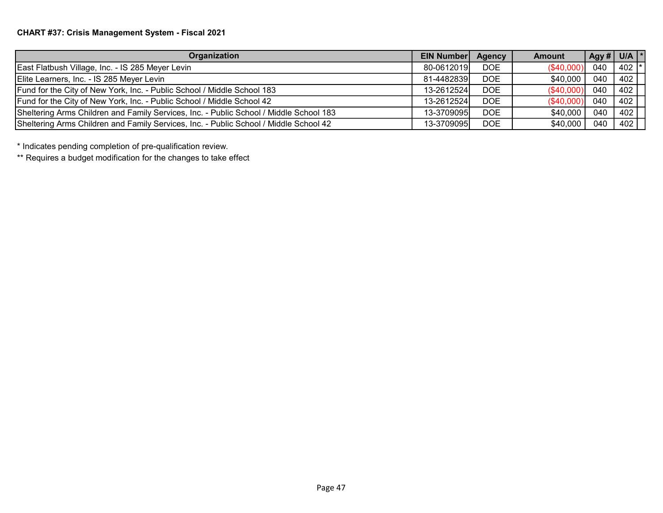# CHART #37: Crisis Management System - Fiscal 2021

| <b>Organization</b>                                                                    | <b>EIN Number</b> | Agency     | <b>Amount</b> |     | $\left\lfloor \right.$ Agy # $\left\lfloor \right.$ U/A $\left\lfloor \right.$ $\left. ^{\ast }\right.$ |
|----------------------------------------------------------------------------------------|-------------------|------------|---------------|-----|---------------------------------------------------------------------------------------------------------|
| East Flatbush Village, Inc. - IS 285 Meyer Levin                                       | 80-0612019        | DOE.       | (\$40,000)    | 040 | 402 l'                                                                                                  |
| Elite Learners, Inc. - IS 285 Meyer Levin                                              | 81-4482839        | DOE.       | \$40,000      | 040 | 402                                                                                                     |
| Fund for the City of New York, Inc. - Public School / Middle School 183                | 13-2612524        | <b>DOE</b> | (\$40,000)    | 040 | 402                                                                                                     |
| Fund for the City of New York, Inc. - Public School / Middle School 42                 | 13-2612524        | DOE        | (\$40,000)    | 040 | 402                                                                                                     |
| Sheltering Arms Children and Family Services, Inc. - Public School / Middle School 183 | 13-3709095l       | DOE        | \$40,000      | 040 | 402                                                                                                     |
| Sheltering Arms Children and Family Services, Inc. - Public School / Middle School 42  | 13-3709095        | <b>DOE</b> | \$40,000      | 040 | 402                                                                                                     |

\* Indicates pending completion of pre-qualification review.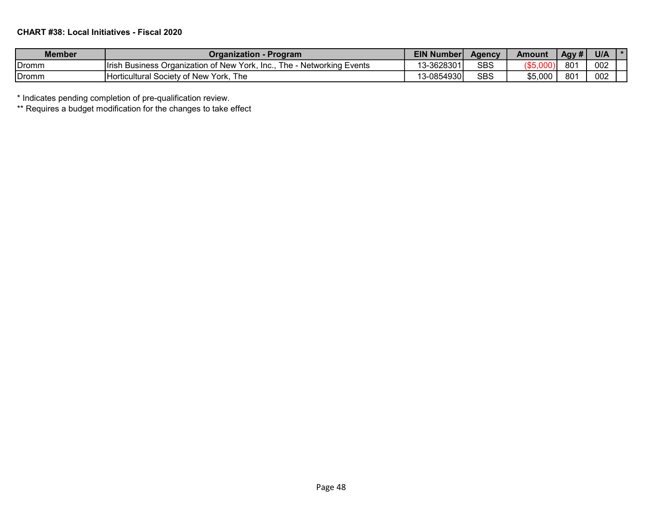## CHART #38: Local Initiatives - Fiscal 2020

| <b>Member</b> | Organization - Program                                                 | EIN Number | Aaencv     | Amount   | Agy #           | <b>U/A</b> |  |
|---------------|------------------------------------------------------------------------|------------|------------|----------|-----------------|------------|--|
| Dromm         | Irish Business Organization of New York, Inc., The - Networking Events | 13-3628301 | <b>SBS</b> | (\$5,000 | 801             | 002        |  |
| Dromm         | The<br>Horticultural Society of New York,                              | 13-0854930 | <b>SBS</b> | \$5,000  | 80 <sup>2</sup> | 002        |  |

\* Indicates pending completion of pre-qualification review.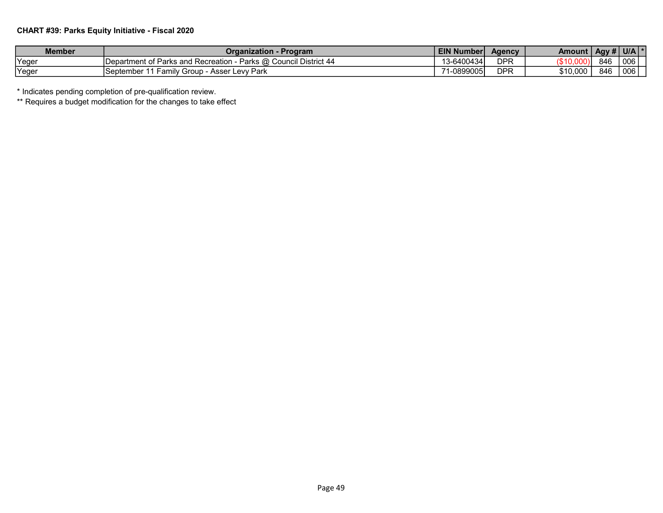## CHART #39: Parks Equity Initiative - Fiscal 2020

| Member  | Organization - Program                                           | <b>EIN Number</b> | <b>Agency</b> | Amount I |     | $\overline{AB}$ Agy # U/A $\overline{Y}$ |
|---------|------------------------------------------------------------------|-------------------|---------------|----------|-----|------------------------------------------|
| , Yeger | Department of Parks and Recreation - Parks @ Council District 44 | 13-6400434        | <b>DPR</b>    | '\$10    | 846 | 006                                      |
| Yeger   | Family Group - Asser Levy Park<br>⊥September 11                  | $-0899005$        | DPR           | \$10,000 | 846 | 006                                      |

\* Indicates pending completion of pre-qualification review.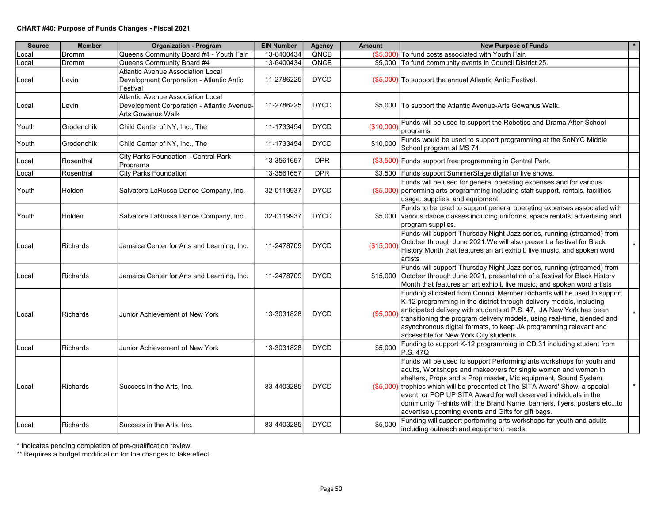| <b>Source</b> | <b>Member</b>   | <b>Organization - Program</b>                                                                        | <b>EIN Number</b> | Agency      | Amount     | <b>New Purpose of Funds</b>                                                                                                                                                                                                                                                                                                                                                                                                                                                                    | $\star$ |
|---------------|-----------------|------------------------------------------------------------------------------------------------------|-------------------|-------------|------------|------------------------------------------------------------------------------------------------------------------------------------------------------------------------------------------------------------------------------------------------------------------------------------------------------------------------------------------------------------------------------------------------------------------------------------------------------------------------------------------------|---------|
| _ocal         | Dromm           | Queens Community Board #4 - Youth Fair                                                               | 13-6400434        | QNCB        | (\$5,000)  | To fund costs associated with Youth Fair.                                                                                                                                                                                                                                                                                                                                                                                                                                                      |         |
| ∟ocal         | Dromm           | Queens Community Board #4                                                                            | 13-6400434        | QNCB        |            | \$5,000 To fund community events in Council District 25.                                                                                                                                                                                                                                                                                                                                                                                                                                       |         |
| Local         | Levin           | Atlantic Avenue Association Local<br>Development Corporation - Atlantic Antic<br>Festival            | 11-2786225        | <b>DYCD</b> |            | (\$5,000) To support the annual Atlantic Antic Festival.                                                                                                                                                                                                                                                                                                                                                                                                                                       |         |
| ∣Local        | Levin           | Atlantic Avenue Association Local<br>Development Corporation - Atlantic Avenue-<br>Arts Gowanus Walk | 11-2786225        | <b>DYCD</b> |            | \$5,000 To support the Atlantic Avenue-Arts Gowanus Walk.                                                                                                                                                                                                                                                                                                                                                                                                                                      |         |
| Youth         | Grodenchik      | Child Center of NY, Inc., The                                                                        | 11-1733454        | <b>DYCD</b> | (\$10,000) | Funds will be used to support the Robotics and Drama After-School<br>programs.                                                                                                                                                                                                                                                                                                                                                                                                                 |         |
| Youth         | Grodenchik      | Child Center of NY, Inc., The                                                                        | 11-1733454        | <b>DYCD</b> | \$10,000   | Funds would be used to support programming at the SoNYC Middle<br>School program at MS 74.                                                                                                                                                                                                                                                                                                                                                                                                     |         |
| Local         | Rosenthal       | City Parks Foundation - Central Park<br>Programs                                                     | 13-3561657        | <b>DPR</b>  |            | (\$3,500) Funds support free programming in Central Park.                                                                                                                                                                                                                                                                                                                                                                                                                                      |         |
| Local         | Rosenthal       | <b>City Parks Foundation</b>                                                                         | 13-3561657        | <b>DPR</b>  |            | \$3,500 Funds support SummerStage digital or live shows.                                                                                                                                                                                                                                                                                                                                                                                                                                       |         |
| Youth         | Holden          | Salvatore LaRussa Dance Company, Inc.                                                                | 32-0119937        | <b>DYCD</b> |            | Funds will be used for general operating expenses and for various<br>(\$5,000) performing arts programming including staff support, rentals, facilities<br>usage, supplies, and equipment.                                                                                                                                                                                                                                                                                                     |         |
| Youth         | Holden          | Salvatore LaRussa Dance Company, Inc.                                                                | 32-0119937        | <b>DYCD</b> |            | Funds to be used to support general operating expenses associated with<br>\$5,000 various dance classes including uniforms, space rentals, advertising and<br>program supplies.                                                                                                                                                                                                                                                                                                                |         |
| Local         | Richards        | Jamaica Center for Arts and Learning, Inc.                                                           | 11-2478709        | <b>DYCD</b> | (\$15,000) | Funds will support Thursday Night Jazz series, running (streamed) from<br>October through June 2021. We will also present a festival for Black<br>History Month that features an art exhibit, live music, and spoken word<br>artists                                                                                                                                                                                                                                                           |         |
| Local         | Richards        | Jamaica Center for Arts and Learning, Inc.                                                           | 11-2478709        | <b>DYCD</b> |            | Funds will support Thursday Night Jazz series, running (streamed) from<br>\$15,000 October through June 2021, presentation of a festival for Black History<br>Month that features an art exhibit, live music, and spoken word artists                                                                                                                                                                                                                                                          |         |
| Local         | Richards        | Junior Achievement of New York                                                                       | 13-3031828        | <b>DYCD</b> | (\$5,000)  | Funding allocated from Council Member Richards will be used to support<br>K-12 programming in the district through delivery models, including<br>anticipated delivery with students at P.S. 47. JA New York has been<br>transitioning the program delivery models, using real-time, blended and<br>asynchronous digital formats, to keep JA programming relevant and<br>accessible for New York City students.                                                                                 | $\star$ |
| Local         | Richards        | Junior Achievement of New York                                                                       | 13-3031828        | <b>DYCD</b> | \$5,000    | Funding to support K-12 programming in CD 31 including student from<br>P.S. 47Q                                                                                                                                                                                                                                                                                                                                                                                                                |         |
| Local         | Richards        | Success in the Arts, Inc.                                                                            | 83-4403285        | <b>DYCD</b> |            | Funds will be used to support Performing arts workshops for youth and<br>adults, Workshops and makeovers for single women and women in<br>shelters, Props and a Prop master, Mic equipment, Sound System,<br>(\$5,000) trophies which will be presented at The SITA Award' Show, a special<br>event, or POP UP SITA Award for well deserved individuals in the<br>community T-shirts with the Brand Name, banners, flyers. posters etcto<br>advertise upcoming events and Gifts for gift bags. | $\star$ |
| Local         | <b>Richards</b> | Success in the Arts, Inc.                                                                            | 83-4403285        | <b>DYCD</b> | \$5,000    | Funding will support perfomring arts workshops for youth and adults<br>including outreach and equipment needs.                                                                                                                                                                                                                                                                                                                                                                                 |         |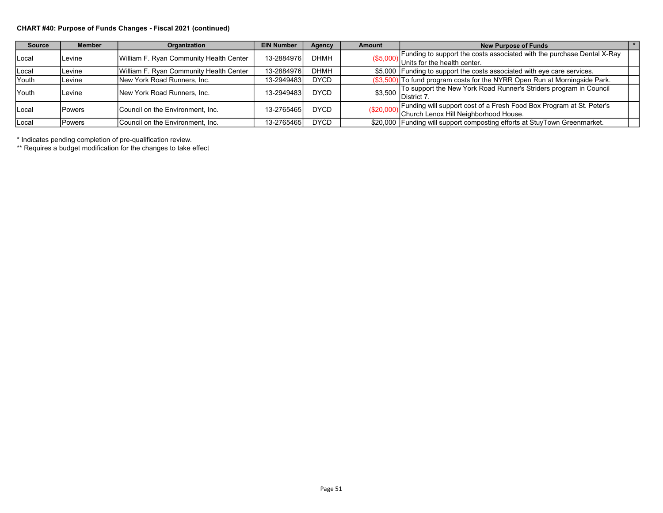#### CHART #40: Purpose of Funds Changes - Fiscal 2021 (continued)

| <b>Source</b> | <b>Member</b>  | Organization                            | <b>EIN Number</b> | Agency      | <b>Amount</b> | <b>New Purpose of Funds</b>                                                    |  |
|---------------|----------------|-----------------------------------------|-------------------|-------------|---------------|--------------------------------------------------------------------------------|--|
| Local         | ILevine        | William F. Ryan Community Health Center | 13-2884976        | <b>DHMH</b> |               | Funding to support the costs associated with the purchase Dental X-Ray         |  |
|               |                |                                         |                   |             |               | $($5,000)$ Units for the health center.                                        |  |
| Local         | ILevine        | William F. Ryan Community Health Center | 13-2884976        | <b>DHMH</b> |               | \$5,000 Funding to support the costs associated with eye care services.        |  |
| <b>Youth</b>  | ILevine        | New York Road Runners, Inc.             | 13-2949483        | <b>DYCD</b> | (\$3,50f      | $ 0\rangle$ To fund program costs for the NYRR Open Run at Morningside Park.   |  |
| <b>Youth</b>  | ILevine.       | <b>INew York Road Runners, Inc.</b>     | 13-2949483        | <b>DYCD</b> |               |                                                                                |  |
|               |                |                                         |                   |             |               |                                                                                |  |
| Local         | <b>IPowers</b> | Council on the Environment, Inc.        | 13-2765465        | <b>DYCD</b> |               | Funding will support cost of a Fresh Food Box Program at St. Peter's           |  |
|               |                |                                         |                   |             |               | (\$20,000)   ununny min sept<br> Chur <u>ch Lenox Hill Neighborhood House.</u> |  |
| Local         | l Powers       | Council on the Environment, Inc.        | 13-2765465        | DYCD        |               | \$20,000 Funding will support composting efforts at StuyTown Greenmarket.      |  |

\* Indicates pending completion of pre-qualification review.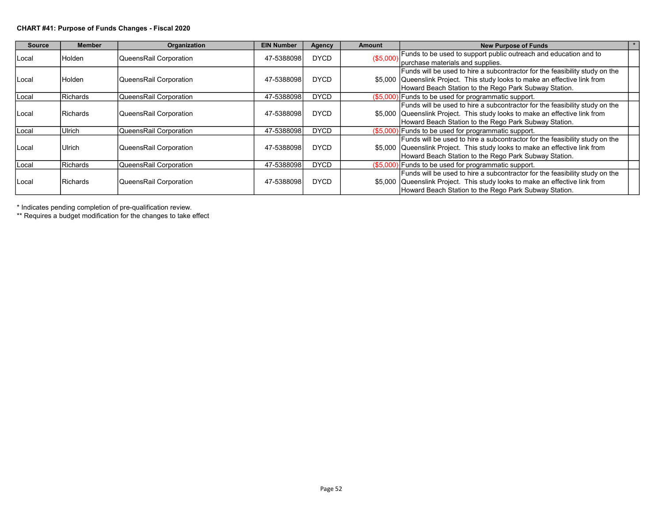#### CHART #41: Purpose of Funds Changes - Fiscal 2020

| <b>Source</b>   | <b>Member</b>   | Organization           | <b>EIN Number</b> | <b>Agency</b> | <b>Amount</b> | <b>New Purpose of Funds</b>                                                 |  |
|-----------------|-----------------|------------------------|-------------------|---------------|---------------|-----------------------------------------------------------------------------|--|
|                 |                 | QueensRail Corporation | 47-5388098        | <b>DYCD</b>   | (\$5,000)     | Funds to be used to support public outreach and education and to            |  |
| Holden<br>Local |                 |                        |                   |               |               | purchase materials and supplies.                                            |  |
|                 |                 |                        |                   |               |               | Funds will be used to hire a subcontractor for the feasibility study on the |  |
| Local           | Holden          | QueensRail Corporation | 47-5388098        | <b>DYCD</b>   |               | \$5,000 Queenslink Project. This study looks to make an effective link from |  |
|                 |                 |                        |                   |               |               | Howard Beach Station to the Rego Park Subway Station.                       |  |
| Local           | Richards        | QueensRail Corporation | 47-5388098        | <b>DYCD</b>   |               | $(S5,000)$ Funds to be used for programmatic support.                       |  |
|                 |                 |                        |                   |               |               | Funds will be used to hire a subcontractor for the feasibility study on the |  |
| Local           | Richards        | QueensRail Corporation | 47-5388098        | <b>DYCD</b>   |               | \$5,000 Queenslink Project. This study looks to make an effective link from |  |
|                 |                 |                        |                   |               |               | Howard Beach Station to the Rego Park Subway Station.                       |  |
| Local           | Ulrich          | QueensRail Corporation | 47-5388098        | <b>DYCD</b>   |               | $($5,000)$ Funds to be used for programmatic support.                       |  |
|                 |                 |                        |                   |               |               | Funds will be used to hire a subcontractor for the feasibility study on the |  |
| Local           | Ulrich          | QueensRail Corporation | 47-5388098        | <b>DYCD</b>   |               | \$5,000 Queenslink Project. This study looks to make an effective link from |  |
|                 |                 |                        |                   |               |               | Howard Beach Station to the Rego Park Subway Station.                       |  |
| Local           | <b>Richards</b> | QueensRail Corporation | 47-5388098        | <b>DYCD</b>   |               | $( $5,000)$ Funds to be used for programmatic support.                      |  |
|                 |                 |                        |                   |               |               | Funds will be used to hire a subcontractor for the feasibility study on the |  |
| Local           | Richards        | QueensRail Corporation | 47-5388098        | <b>DYCD</b>   |               | \$5,000 Queenslink Project. This study looks to make an effective link from |  |
|                 |                 |                        |                   |               |               | Howard Beach Station to the Rego Park Subway Station.                       |  |

\* Indicates pending completion of pre-qualification review.